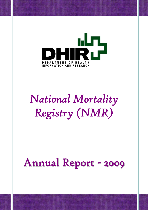

# *National Mortality Registry (NMR)*

## Annual Report - 2009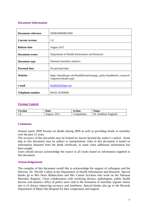## **Document Information**

| <b>Document reference</b> | DHIR/MNMR/2009                                                                                      |
|---------------------------|-----------------------------------------------------------------------------------------------------|
| <b>Current version</b>    | 1.0                                                                                                 |
| Release date              | August 2011                                                                                         |
| <b>Document owner</b>     | Department of Health Information and Research                                                       |
| Document type             | National mortality statistics                                                                       |
| <b>Personal data</b>      | No personal data                                                                                    |
| Website                   | https://ehealth.gov.mt/HealthPortal/strategy_policy/healthinfor_research<br>/registries/deaths.aspx |
| e-mail                    | healthinfo@gov.mt                                                                                   |
| <b>Telephone number</b>   | 00356 25599000                                                                                      |

## **Version Control**

| <b>Version</b> | Date                 |             | <b>Name</b>          |  |  |
|----------------|----------------------|-------------|----------------------|--|--|
|                | <b>August</b> , 2011 | Compilation | Dr. Kathleen England |  |  |

## **Comments**

Annual report 2009 focuses on deaths during 2009 as well as providing trends in mortality over the past 15 years.

The accuracy of this document may be limited by factors beyond the author's control. Some data in this document may be subject to interpretation. Data in this document is based on information obtained from the death certificate, in some cases additional information has been sought.

Users should always acknowledge the source in all works based on information supplied in this document.

#### **Acknowledgements**

The compiler of this document would like to acknowledge the support of colleagues and the Director, Dr. Neville Calleja at the Department of Health Information and Research. Special thanks go to Mrs Doris Baldacchino and Mrs Connie Scicluna who work on the National Mortality Registry. Close collaboration with certifying doctors, pathologists, public health doctors and statistics office of police were vital to the formation of mortality register whose aim is of always improving accuracy and timeliness. Special thanks also go to the Records Department of Mater Dei Hospital for their cooperation and support.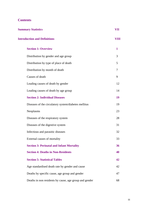## **Contents**

| <b>Summary Statistics</b>                              | VII          |
|--------------------------------------------------------|--------------|
| <b>Introduction and Definitions</b>                    | <b>VIII</b>  |
| <b>Section 1: Overview</b>                             | $\mathbf{1}$ |
| Distribution by gender and age group                   | 3            |
| Distribution by type of place of death                 | 5            |
| Distribution by month of death                         | 7            |
| Causes of death                                        | 9            |
| Leading causes of death by gender                      | 12           |
| Leading causes of death by age group                   | 14           |
| <b>Section 2: Individual Diseases</b>                  | 19           |
| Diseases of the circulatory system/diabetes mellitus   | 19           |
| Neoplasms                                              | 23           |
| Diseases of the respiratory system                     | 28           |
| Diseases of the digestive system                       | 31           |
| Infectious and parasitic diseases                      | 32           |
| External causes of mortality                           | 33           |
| <b>Section 3: Perinatal and Infant Mortality</b>       | 36           |
| <b>Section 4: Deaths in Non-Residents</b>              | 40           |
| <b>Section 5: Statistical Tables</b>                   | 42           |
| Age standardised death rate by gender and cause        | 42           |
| Deaths by specific cause, age group and gender         | 47           |
| Deaths in non residents by cause, age group and gender | 68           |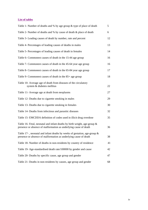## **List of tables**

| Table 1- Number of deaths and % by age group & type of place of death                                                                           | 5  |
|-------------------------------------------------------------------------------------------------------------------------------------------------|----|
| Table 2- Number of deaths and % by cause of death & place of death                                                                              | 6  |
| Table 3- Leading causes of death by number, rate and percent                                                                                    | 12 |
| Table 4- Percentages of leading causes of deaths in males                                                                                       | 13 |
| Table 5- Percentages of leading causes of death in females                                                                                      | 14 |
| Table 6- Commonest causes of death in the 15-44 age group                                                                                       | 16 |
| Table 7- Commonest causes of death in the 45-64 year age group                                                                                  | 16 |
| Table 8- Commonest causes of death in the 65-84 year age group                                                                                  | 17 |
| Table 9- Commonest causes of death in the 85+ age group                                                                                         | 18 |
| Table 10- Average age of death from diseases of the circulatory<br>system & diabetes mellitus                                                   | 22 |
| Table 11- Average age at death from neoplasms                                                                                                   | 27 |
| Table 12- Deaths due to cigarette smoking in males                                                                                              | 29 |
| Table 13- Deaths due to cigarette smoking in females                                                                                            | 30 |
| Table 14- Deaths from infectious and parasitic diseases                                                                                         | 32 |
| Table 15- EMCDDA definition of codes used in illicit drug overdose                                                                              | 35 |
| Table 16- Fetal, neonatal and infant deaths by birth weight, age-group $\&$<br>presence or absence of malformation as underlying cause of death | 36 |
| Table 17-, neonatal and infant deaths by weeks of gestation, age-group $\&$<br>presence or absence of malformation as underlying cause of death | 38 |
| Table 18- Number of deaths in non-residents by country of residence                                                                             | 41 |
| Table 19- Age-standardised death rate/100000 by gender and cause                                                                                | 42 |
| Table 20- Deaths by specific cause, age group and gender                                                                                        | 47 |
| Table 21- Deaths in non-residents by causes, age group and gender                                                                               | 68 |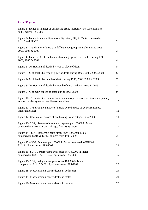## **List of Figures**

| Figure 1- Trends in number of deaths and crude mortality rate/1000 in males<br>and females: 1995-2009                                    | $\mathbf{1}$ |
|------------------------------------------------------------------------------------------------------------------------------------------|--------------|
| Figure 2- Trends in standardized mortality rates (ESP) in Malta compared to<br>EU-15 and EU-12                                           | 2            |
| Figure 3 – Trends in % of deaths in different age groups in males during 1995,<br>2000, 2005 & 2009                                      | 3            |
| Figure 4- Trends in % of deaths in different age groups in females during 1995,<br>2000, 2005 & 2009                                     | 4            |
| Figure 5- Distribution of deaths by type of place of death                                                                               | 5            |
| Figure 6- % of deaths by type of place of death during 1995, 2000, 2005, 2009                                                            | 6            |
| Figure 7- % of deaths by month of death during 1995, 2000, 2005 & 2009                                                                   | 7            |
| Figure 8- Distribution of deaths by month of death and age group in 2009                                                                 | 8            |
| Figure 9- % of main causes of death during 1995-2009                                                                                     | 9            |
| Figure 10- Trends in % of deaths due to circulatory $\&$ endocrine diseases separately<br>versus circulatory/endocrine diseases combined | 10           |
| Figure 11- Trends in the number of deaths over the past 15 years from most<br>important causes                                           | 11           |
| Figure 12- Commonest causes of death using broad categories in 2009                                                                      | 11           |
| Figure 13- SDR, diseases of circulatory system per 100000 in Malta<br>compared to EU15 & EU12, all ages from 1995-2009                   | 19           |
| Figure 14 – SDR, Ischaemic heart disease per 100000 in Malta<br>compared to EU15 & EU12, all ages from 1995-2009                         | 20           |
| Figure 15 – SDR, Diabetes per 100000 in Malta compared to EU15 $\&$<br>EU 12, all ages from 1995-2009                                    | 21           |
| Figure 16- SDR, Cerebrovascular diseases per 100,000 in Malta<br>compared to EU 15 $&$ EU12, all ages from 1995-2009                     | 22           |
| Figure 17- SDR, malignant neoplasms per 100,000 in Malta<br>compared to EU-15 & EU12, all ages from 1995-2009                            | 23           |
| Figure 18- Most common cancer deaths in both sexes                                                                                       | 24           |
| Figure 19- Most common cancer deaths in males                                                                                            | 24           |
| Figure 20- Most common cancer deaths in females                                                                                          | 25           |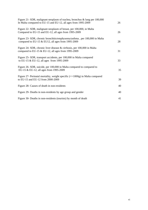| Figure 21- SDR, malignant neoplasm of trachea, bronchus & lung per 100,000<br>In Malta compared to EU-15 and EU-12, all ages from 1995-2009 | 26 |
|---------------------------------------------------------------------------------------------------------------------------------------------|----|
| Figure 22- SDR, malignant neoplasm of breast, per 100,000, in Malta<br>Compared to EU-15 and EU-12, all ages from 1995-2009                 | 26 |
| Figure 23- SDR, chronic bronchitis/emphysema/asthma, per 100,000 in Malta<br>compared to EU-15 & EU12, all ages from 1995-2009              | 28 |
| Figure 24- SDR, chronic liver disease & cirrhosis, per 100,000 in Malta<br>compared to EU-15 & EU-12, all ages from 1995-2009               | 31 |
| Figure 25- SDR, transport accidents, per 100,000 in Malta compared<br>to EU-15 & EU-12, all ages from 1995-2009                             | 33 |
| Figure 26- SDR, suicide, per 100,000 in Malta compared to compared to<br>EU-15 & EU-12, all ages from 1995-2009                             | 35 |
| Figure 27- Perinatal mortality, weight specific $(=>1000g)$ in Malta compared<br>to EU-15 and EU-12 from 2000-2009                          | 39 |
| Figure 28- Causes of death in non-residents                                                                                                 | 40 |
| Figure 29- Deaths in non-residents by age group and gender                                                                                  | 40 |
| Figure 30- Deaths in non-residents (tourists) by month of death                                                                             | 41 |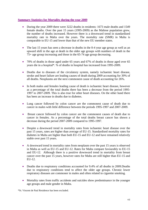## **Summary Statistics for Mortality during the year 2009**

- During the year 2009 there were 3222 deaths in residents: 1673 male deaths and 1549 female deaths. Over the past 15 years (1995-2009) as the Maltese population grew, the number of deaths increased. However there is a downward trend in standardized mortality rate in Malta over the years. The mortality rate (SMR) in Malta is comparable to EU-15 and lower than that of the new EU member states.
- The last 15 years has seen a decrease in deaths in the 0-4 year age group as well as an upward shift in the age at death in the older age groups with numbers of death in the 75+ age group increasing and those in the 65-74 age group decreasing.
- 70% of deaths in those aged under 65 years and 67% of deaths in those aged over 65 years die in a hospital\*. % of deaths in hospital has increased from 1995-2009.
- Deaths due to diseases of the circulatory system, namely ischaemic heart disease, stroke and heart failure are leading causes of death during 2009 accounting for 39% of all deaths. Neoplasms are the next commonest cause of death accounting for 26%.
- In both males and females leading cause of death is ischaemic heart disease, however as a percentage of the total deaths there has been a decrease from the period 1995- 1997 to 2007-2009. This is also true for other heart diseases. On the other hand there has been an increase in deaths due to diabetes.
- Lung cancer followed by colon cancer are the commonest cause of death due to cancer in males with little difference between the periods 1995-1997 and 2007-2009.
- Breast cancer followed by colon cancer are the commonest causes of death due to cancer in females. As a percentage of the total deaths breast cancer has shown a decrease during the period 2007-2009 compared to 1995-1997.
- Despite a downward trend in mortality rates from ischaemic heart disease over the past 15 years, rates are higher than average of EU-15. Standardised mortality rates for diabetes in Malta are higher than both EU-15 and EU-12 and have remained relatively stable over past 15 years.
- A downward trend in mortality rates from neoplasm over the past 15 years is observed in Malta as well as EU-15 and EU-12. Rates for Malta compare favourably to EU-15 and EU-12. Although there is a positive downward trend in mortality from breast cancer over the past 15 years, however rates for Malta are still higher than EU-15 and EU-12.
- Deaths due to respiratory conditions accounted for 9.4% of all deaths in 2009. Deaths due to respiratory conditions tend to affect the older age groups. Chronic lower respiratory diseases are commoner in males and often related to cigarette smoking.
- Mortality rates from traffic accidents and suicides show predominance in the younger age groups and male gender in Malta.

\*St. Vincent de Paul Residence has been excluded.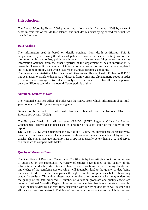## **Introduction**

The Annual Mortality Report 2009 presents mortality statistics for the year 2009 by cause of death in residents of the Maltese Islands, and includes residents dying abroad for which we have information.

## **Data Analysis**

The information used is based on details obtained from death certificates. This is supplemented by reviewing the deceased patients' records, newspaper cuttings as well as discussion with pathologists, public health doctors, police and certifying doctors as well as information obtained from the other registries at the department of health information & research. These additional sources of information are needed for verification, adding detail and providing mortality data which is as reliable and as accurate as possible.

The International Statistical Classification of Diseases and Related Health Problems- ICD 10 has been used to translate diagnoses of diseases from words into alphanumeric codes in order to permit easier storage, retrieval and analysis of the data. This also allows comparison between different countries and over different periods of time.

#### **Additional Sources of Data**

The National Statistics Office of Malta was the source from which information about midyear population 2009 by age group and gender.

Number of births and live births with has been obtained from the National Obstetrics Information system (NOIS).

The European Health for All database- HFA-DB, (WHO Regional Office for Europe, Copenhagen, Denmark) has been used as a source of data for some of the figures in this report.

**EU-15** and **EU-12** which represent the 15 old and 12 new EU member states respectively, have been used as a means of comparison with national data in a number of figures and graphs. The overall average mortality rate of EU-15 is usually better than EU-12 and serves as a standard to compare with Malta.

## **Quality of Mortality Data**

The 'Certificate of Death and Cause thereof" is filled in by the certifying doctor or in the case of autopsies by the pathologist. A variety of studies have looked at the quality of the information on death certificates and have found variations in the training habits and knowledge of the certifying doctors which will inevitably lead to the quality of data being inconsistent. Moreover the data passes through a number of processes before becoming usable for analysis. Throughout these steps a number of errors occur which may undermine the quality of the data produced. A number of validation processes and quality checks are done by National Mortality Registry in order to produce data that is as accurate as possible. These include reviewing patients' files, discussion with certifying doctors as well as checking all data that has been entered. Training of doctors is an important aspect which is has now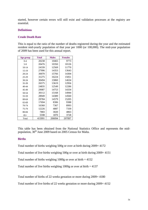started, however certain errors will still exist and validation processes at the registry are essential.

#### **Definitions**

#### **Crude Death Rate**

This is equal to the ratio of the number of deaths registered during the year and the estimated resident mid-yearly population of that year per 1000 (or 100,000). The mid-year population of 2009 has been used for this annual report.

| Age group | <b>Total</b> | <b>Males</b> | <b>Females</b> |
|-----------|--------------|--------------|----------------|
| $0 - 4$   | 20238        | 10465        | 9773           |
| $5-9$     | 20476        | 10350        | 10126          |
| $10-14$   | 24339        | 12569        | 11770          |
| $15-19$   | 27996        | 14353        | 13643          |
| 20-24     | 30070        | 15766        | 14304          |
| $25 - 29$ | 31275        | 16224        | 15051          |
| $30 - 34$ | 30494        | 15860        | 14634          |
| 35-39     | 26575        | 13619        | 12956          |
| 40-44     | 24835        | 12549        | 12286          |
| 45-49     | 29087        | 14753        | 14334          |
| 50-54     | 30112        | 15168        | 14944          |
| 55-59     | 28949        | 14389        | 14560          |
| 60-64     | 29784        | 14579        | 15205          |
| 65-69     | 17694        | 8306         | 9388           |
| 70-74     | 16360        | 7367         | 8993           |
| 75-79     | 12226        | 4887         | 7339           |
| 80-84     | 7883         | 3020         | 4863           |
| $85+$     | 5598         | 1870         | 3728           |
| Total     | 413991       | 206094       | 207897         |

This table has been obtained from the National Statistics Office and represents the midpopulation, 30<sup>th</sup> June 2009 based on 2005 Census for Malta.

#### **Births**

Total number of births weighing 500g or over at birth during 2009= 4172

Total number of live births weighing 500g or over at birth during 2009= 4151

Total number of births weighing  $1000g$  or over at birth =  $4152$ 

Total number of live births weighing  $1000g$  or over at birth = 4137

Total number of births of 22 weeks gestation or more during 2009= 4180

Total number of live births of 22 weeks gestation or more during 2009= 4152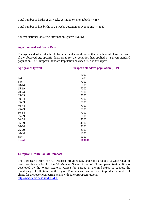Total number of births of 28 weeks gestation or over at birth  $= 4157$ 

Total number of live births of 28 weeks gestation or over at birth  $= 4140$ 

Source: National Obstetric Information System (NOIS)

#### **Age-Standardised Death Rate**

The age-standardised death rate for a particular condition is that which would have occurred if the observed age-specific death rates for the condition had applied in a given standard population. The European Standard Population has been used in this report.

| Age groups (years) | <b>European standard population (ESP)</b> |  |  |  |
|--------------------|-------------------------------------------|--|--|--|
|                    |                                           |  |  |  |
| $\overline{0}$     | 1600                                      |  |  |  |
| $1 - 4$            | 6400                                      |  |  |  |
| $5-9$              | 7000                                      |  |  |  |
| $10 - 14$          | 7000                                      |  |  |  |
| $15-19$            | 7000                                      |  |  |  |
| $20 - 24$          | 7000                                      |  |  |  |
| 25-29              | 7000                                      |  |  |  |
| 30-34              | 7000                                      |  |  |  |
| 35-39              | 7000                                      |  |  |  |
| 40-44              | 7000                                      |  |  |  |
| 45-49              | 7000                                      |  |  |  |
| 50-54              | 7000                                      |  |  |  |
| 55-59              | 6000                                      |  |  |  |
| 60-64              | 5000                                      |  |  |  |
| 65-69              | 4000                                      |  |  |  |
| 70-74              | 3000                                      |  |  |  |
| 75-79              | 2000                                      |  |  |  |
| 80-84              | 1000                                      |  |  |  |
| $85+$              | 1000                                      |  |  |  |
| <b>Total</b>       | 100000                                    |  |  |  |
|                    |                                           |  |  |  |

#### **European Health For All Database**

The European Health For All Database provides easy and rapid access to a wide range of basic health statistics for the 52 Member States of the WHO European Region. It was developed by the WHO Regional Office for Europe in the mid-1980s to support the monitoring of health trends in the region. This database has been used to produce a number of charts for the report comparing Malta with other European regions. http://www.euro.who.int/HFADB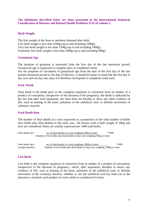**The definitions described below are those presented in the International Statistical Classification of Diseases and Related Health Problems ICD-10 volume 2.** 

#### **Birth Weight**

The first weight of the fetus or newborn obtained after birth. Low birth weight is less than 2500g (up to and including 2499g). Very low birth weight is less than 1500g (up to and including 1499g). Extremely low birth weight is less than 1000g (up to and including 999g)

#### **Gestational Age**

The duration of gestation is measured from the first day of the last menstrual period. Gestational age is expressed in complete days or completed weeks.

For the purposes of calculation of gestational age from the date of the first day of the last normal menstrual period to the date of delivery, it should be borne in mind that the first day is day zero and not day one; days 0-6 therefore correspond to completed week zero;

#### **Fetal Death**

Fetal death is the death prior to the complete expulsion or extraction from its mother of a product of conception, irrespective of the duration of the pregnancy; the death is indicated by the fact that after such separation, the fetus does not breathe or show any other evidence of life, such as beating of the heart, pulsation of the umbilical cord, or definite movement of voluntary muscles.

#### **Fetal Death Rate**

The number of fetal deaths in a year expressed as a proportion of the total number of births (live births plus fetal deaths) in the same year. All fetuses with a birth weight of 500g and over are considered. Rates are usually expressed per 1000 total births.

| Fetal death rate $=$                                                       | no. of fetal deaths in a year weighing 500g or more                         | $*1000$ |  |  |  |
|----------------------------------------------------------------------------|-----------------------------------------------------------------------------|---------|--|--|--|
| Number of live births plus fetal deaths in that year weighing 500g or more |                                                                             |         |  |  |  |
|                                                                            |                                                                             |         |  |  |  |
| Fetal death rate $=$                                                       | no. of fetal deaths in a year weighing 1000g or more                        | $*1000$ |  |  |  |
| (weight specific)                                                          | Number of live births plus fetal deaths in that year weighing 1000g or more |         |  |  |  |

#### **Live Birth**

Live birth is the complete expulsion or extraction from its mother of a product of conception, irrespective of the duration of pregnancy, which, after separation, breathes or shows any evidence of life, such as beating of the heart, pulsation of the umbilical cord, or definite movement of the voluntary muscles, whether or not the umbilical cord has been cut or the placenta is attached; each product of such a birth is considered live born.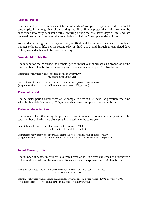#### **Neonatal Period**

The neonatal period commences at birth and ends 28 completed days after birth. Neonatal deaths (deaths among live births during the first 28 completed days of life) may be subdivided into early neonatal deaths, occuring during the first seven days of life, and late neonatal deaths, occuring after the seventh day but before 28 completed days of life.

Age at death during the first day of life (day 0) should be recorded in units of completed minutes or hours of life. For the second (day 1), third (day 2) and through 27 completed days of life, age at death should be recorded in days.

#### **Neonatal Mortality Rate**

The number of deaths during the neonatal period in that year expressed as a proportion of the total number of live births in the same year. Rates are expressed per 1000 live births.

|                                 | Neonatal mortality rate $=$ no. of neonatal deaths in a year*1000                                                                             |  |  |  |  |
|---------------------------------|-----------------------------------------------------------------------------------------------------------------------------------------------|--|--|--|--|
| no. of live births in that year |                                                                                                                                               |  |  |  |  |
| (weight specific)               | Neonatal mortality rate = no. of neonatal deaths in a year $(1000g \text{ or over})^*1000$<br>no. of live births in that year (1000g or over) |  |  |  |  |

#### **Perinatal Period**

The perinatal period commences at 22 completed weeks (154 days) of gestation (the time when birth weight is normally 500g) and ends at seven completed days after birth.

#### **Perinatal Mortality Rate**

The number of deaths during the perinatal period in a year expressed as a proportion of the total number of births (live births plus fetal deaths) in the same year.

Perinatal mortality rate =  $\underline{\text{no. of perinatal deaths in a year}}$  \*1000 no. of live births plus fetal deaths in that year

Perinatal mortality rate =  $\underline{\text{no. of perinatal deaths in a year (weight 1000g or over) *1000}}$ (weight specific) no. of live births plus fetal deaths in that year (weight 1000g or over)

#### **Infant Mortality Rate**

The number of deaths in children less than 1 year of age in a year expressed as a proportion of the total live births in the same year. Rates are usually expressed per 1000 live births.

Infant mortality rate  $=$  <u>no. of infant deaths (under 1 year of age)</u> in a year  $*$  1000 No. of live births in that year

Infant mortality rate = no. of infant deaths (under 1 year of age) in a year (weight 1000g or over) **\*** 1000 (weight specific) No. of live births in that year (weight over 1000g)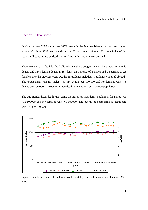#### **Section 1: Overview**

During the year 2009 there were 3274 deaths in the Maltese Islands and residents dying abroad. Of these **3222** were residents and 52 were non residents. The remainder of the report will concentrate on deaths in residents unless otherwise specified.

There were also 21 fetal deaths (stillbirths weighing 500g or over). There were 1673 male deaths and 1549 female deaths in residents, an increase of 5 males and a decrease of 26 females over the previous year. Deaths in residents included 7 residents who died abroad. The crude death rate for males was 814 deaths per 100,000 and for females was 746 deaths per 100,000. The overall crude death rate was 780 per 100,000 population.

The age-standardised death rate (using the European Standard Population) for males was 713/100000 and for females was 460/100000. The overall age-standardised death rate was 573 per 100,000.



Figure 1: trends in number of deaths and crude mortality rate/1000 in males and females: 1995- 2009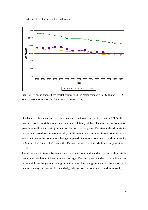Department of Health Information and Research



Figure 2: Trends in standardized mortality rates (ESP) in Malta compared to EU-15 and EU-12 Source: WHO/Europe-Health for all Database (HFA-DB)

Deaths in both males and females has increased over the past 15 years (1995-2009), however crude mortality rate has remained relatively stable. This is due to population growth as well as increasing number of deaths over the years. The standardized mortality rate which is used to compare mortality in different countries, takes into account different age structures in the populations being compared. It shows a downward trend in mortality in Malta, EU-15 and EU-12 over the 15 year period. Rates in Malta are very similar to EU-15.

The difference in trends between the crude death rate and standardized mortality rate is that crude rate has not been adjusted for age. The European standard population gives more weight to the younger age groups than the older age groups and as the majority of deaths is always increasing in the elderly, this results in a downward trend in mortality.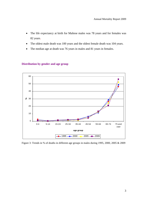- The life expectancy at birth for Maltese males was 78 years and for females was 82 years.
- The oldest male death was 100 years and the oldest female death was 104 years.
- The median age at death was 76 years in males and 81 years in females.



#### **Distribution by gender and age group**

Figure 3: Trends in % of deaths in different age groups in males during 1995, 2000, 2005 & 2009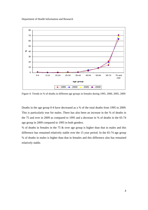Department of Health Information and Research



Figure 4: Trends in % of deaths in different age groups in females during 1995, 2000, 2005, 2009

Deaths in the age group 0-4 have decreased as a % of the total deaths from 1995 to 2009. This is particularly true for males. There has also been an increase in the % of deaths in the 75 and over in 2009 as compared to 1995 and a decrease in % of deaths in the 65-74 age group in 2009 compared to 1995 in both genders.

% of deaths in females in the 75 & over age group is higher than that in males and this difference has remained relatively stable over the 15 year period. In the 65-74 age group % of deaths in males is higher than that in females and this difference also has remained relatively stable.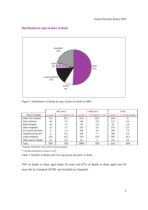

#### **Distribution by type of place of death**

Figure 5: Distribution of deaths by type of place of death in 2009

|                       |        | <65 years            |            | $=$ $5$ years      | <b>Total</b> |                   |
|-----------------------|--------|----------------------|------------|--------------------|--------------|-------------------|
| <b>Place of death</b> | number | $%$ of deaths $<$ 65 | number     | % of deaths $=565$ |              | % of total deaths |
| Mater Dei Hospital    | 331    | 53.7                 | 1311       | 50.3               | 1642         | 51                |
| Gozo General          | 29     | 4.7                  | 145        | 5.6                | 174          | 5.4               |
| <b>Boffa Hospital</b> | 46     | 7.5                  | 46         | 1.8                |              | 2.9               |
| Other hospitals*      | 23     | 3.7                  | 247        | 9.5                | 270          | 8.4               |
| St. Vincent de Paule  | 8      | 1.3                  | 9.4<br>245 |                    | 253          | 7.9               |
| Institutional homes** | 3      | 0.5                  | 7.1<br>185 |                    | 188          | 5.8               |
| Usual residence       | 115    | 18.7                 | 376        | 14.4               | 491          | 15.2              |
| Other place of death  | 61     | 9.9                  | 51<br>2    |                    | 112          | 3.5               |
| Total                 | 616    | 100                  | 2606       | 100                | 3222         | 100               |

\*includes SLH/KGH, ZCH, MCH, Private hospitals

\*\* includes Residenza St Anna in GGH

Table 1: Number of deaths and % by age group and place of death

70% of deaths in those aged under 65 years and 67% of deaths in those aged over 65 years die in a hospital (SVPR not included as a hospital).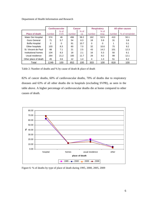Department of Health Information and Research

|                       |          | <b>Cardiovascular</b> | <b>Cancer</b>     |        | <b>Respiratory</b> |        | All other causes |                |
|-----------------------|----------|-----------------------|-------------------|--------|--------------------|--------|------------------|----------------|
|                       |          | $%$ of                |                   | $%$ of |                    | $%$ of |                  |                |
| <b>Place of death</b> | number   | <b>CVS</b>            | number            | ca     | number             | resp.  | number           | % of remainder |
| Mater Dei Hospital    | 574      | 46                    | 496               | 58.2   | 162                | 53.5   | 410              | 50.1           |
| Gozo General          | 71       | 5.7                   | 54                | 6.3    | 18                 | 5.9    | 31               | 3.8            |
| Boffa Hospital        | $\Omega$ | $\Omega$              | 91                | 10.7   | 0                  | 0      |                  | 0.1            |
| Other hospitals       | 103      | 8.3                   | 60                | 7.0    | 32                 | 10.6   | 75               | 9.2            |
| St. Vincent de Paul   | 88       | 7.1                   | 21                | 2.5    | 43                 | 14.2   | 101              | 12.3           |
| Institutional homes   | 104      | 8.3                   | 18                | 2.1    | 16                 | 5.3    | 50               | 6.1            |
| Usual residence       | 264      | 21.2                  | 100               | 11.7   | 28                 | 9.2    | 99               | 12.1           |
| Other place of death  | 45       | 3.6                   | $12 \overline{ }$ | 1.4    | 4                  | 1.3    | 51               | 6.2            |
| Total                 | 1249     | 100                   | 852               | 100    | 303                | 100    | 818              | 100            |

Table 2: Number of deaths and % by cause of death & place of death

82% of cancer deaths, 60% of cardiovascular deaths, 70% of deaths due to respiratory diseases and 63% of all other deaths die in hospitals (excluding SVPR), as seen in the table above. A higher percentage of cardiovascular deaths die at home compared to other causes of death.



Figure 6: % of deaths by type of place of death during 1995, 2000, 2005, 2009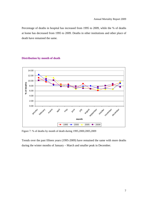Percentage of deaths in hospital has increased from 1995 to 2009, while the % of deaths at home has decreased from 1995 to 2009. Deaths in other institutions and other place of death have remained the same.





Figure 7: % of deaths by month of death during 1995,2000,2005,2009

Trends over the past fifteen years (1995-2009) have remained the same with more deaths during the winter months of January – March and smaller peak in December.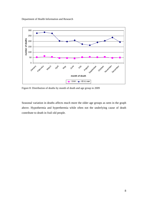Department of Health Information and Research



Figure 8: Distribution of deaths by month of death and age group in 2009

Seasonal variation in deaths affects much more the older age groups as seen in the graph above. Hypothermia and hyperthermia while often not the underlying cause of death contribute to death in frail old people.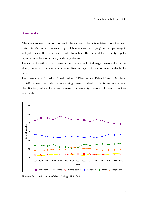#### **Causes of death**

The main source of information as to the causes of death is obtained from the death certificate. Accuracy is increased by collaboration with certifying doctors, pathologists and police as well as other sources of information. The value of the mortality register depends on its level of accuracy and completeness.

The cause of death is often clearer in the younger and middle-aged persons then in the elderly because in the latter a number of diseases may contribute to cause the death of a person.

The International Statistical Classification of Diseases and Related Health Problems: ICD-10 is used to code the underlying cause of death. This is an international classification, which helps to increase comparability between different countries worldwide.



Figure 9: % of main causes of death during 1995-2009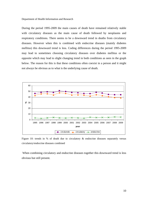During the period 1995-2009 the main causes of death have remained relatively stable with circulatory diseases as the main cause of death followed by neoplasms and respiratory conditions. There seems to be a downward trend in deaths from circulatory diseases. However when this is combined with endocrine diseases (mainly diabetes mellitus) this downward trend is less. Coding differences during the period 1995-2009 may lead to sometimes choosing circulatory diseases over diabetes mellitus or the opposite which may lead to slight changing trend in both conditions as seen in the graph below. The reason for this is that these conditions often coexist in a person and it might not always be obvious as to what is the underlying cause of death.



Figure 10: trends in % of death due to circulatory  $\&$  endocrine diseases separately versus circulatory/endocrine diseases combined

 When combining circulatory and endocrine diseases together this downward trend is less obvious but still present.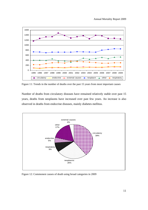

Figure 11: Trends in the number of deaths over the past 15 years from most important causes

Number of deaths from circulatory diseases have remained relatively stable over past 15 years, deaths from neoplasms have increased over past few years. An increase is also observed in deaths from endocrine diseases, mainly diabetes mellitus.



Figure 12: Commonest causes of death using broad categories in 2009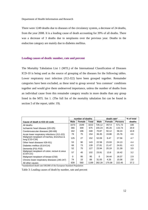There were 1249 deaths due to diseases of the circulatory system, a decrease of 24 deaths, from the year 2008. It is a leading cause of death accounting for 39% of all deaths. There was a decrease of 3 deaths due to neoplasms over the previous year. Deaths in the endocrine category are mainly due to diabetes mellitus.

#### **Leading causes of death: number, rate and percent**

The Mortality Tabulation List 1 (MTL) of the International Classification of Diseases ICD-10 is being used as the source of grouping of the diseases for the following tables. Lower respiratory tract infection (J12-J22) have been grouped together. Remainder categories have been excluded, as these tend to group several 'less common' conditions together and would give them undeserved importance, unless the number of deaths from an individual cause from this remainder category results in more deaths than any group listed in the MTL list 1. (The full list of the mortality tabulation list can be found in section 5 of the report, table: 19).

|                                                             | number of deaths |        |       | death rate* |        |                | % of total |
|-------------------------------------------------------------|------------------|--------|-------|-------------|--------|----------------|------------|
| Cause of death & ICD-10 code                                | Male             | Female | Total | Male        | Female | <b>Persons</b> | deaths     |
| All deaths                                                  | 1673             | 1549   | 3222  | 726.12      | 457.9  | 571.73         | 100        |
| Ischaemic heart disease (120-125)                           | 366              | 309    | 675   | 155.24      | 85.26  | 115.74         | 20.9       |
| Cerebrovascular diseases (I60-I69)                          | 162              | 186    | 348   | 70.87       | 50.12  | 58.24          | 10.8       |
| Acute lower respiratory infections (J12-J22)                | 79               | 75     | 154   | 36.35       | 19.88  | 25.76          | 4.8        |
| Malignant neoplasm of trachea, bronchus &<br>lung (C33-C34) | 125              | 27     | 152   | 52.09       | 9.47   | 27.56          | 4.7        |
| Other heart diseases II26-151)                              | 53               | 90     | 143   | 22.58       | 23.93  | 24.13          | 4.4        |
| Diabetes mellitus (E10-E14)                                 | 66               | 73     | 139   | 27.81       | 21.47  | 24.61          | 4.3        |
| Dementia (F01-F03)                                          | 52               | 75     | 127   | 23.94       | 20.19  | 21.39          | 3.9        |
| Malignant neoplasm of colon, rectum & anus<br>$(C18-C21)$   | 57               | 45     | 102   | 23.91       | 13.8   | 18.42          | 3.2        |
| Malignant neoplasm of breast (C50)                          | 0                | 95     | 95    | $\Omega$    | 34.44  | 18.37          | 2.9        |
| Chronic lower respiratory diseases (J40-J47)                | 74               | 15     | 89    | 31.05       | 4.26   | 15.06          | 2.8        |
| All other causes                                            | 639              | 560    | 1199  | 282.28      | 175.08 | 222.45         | 37.2       |

\*standardized death rate/100,000 of the European Standard Population

Table 3: Leading causes of death by number, rate and percent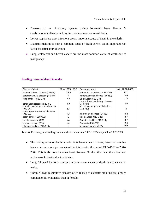- Diseases of the circulatory system, mainly ischaemic heart disease, & cerebrovascular disease rank as the most common causes of death.
- Lower respiratory tract infections are an important cause of death in the elderly.
- Diabetes mellitus is both a common cause of death as well as an important risk factor for circulatory diseases.
- Lung, colorectal and breast cancer are the most common cause of death due to malignancy.

#### **Leading causes of death in males**

| Cause of death                                  | % in 1995-1997 | Cause of death                                    | % in 2007-2009 |
|-------------------------------------------------|----------------|---------------------------------------------------|----------------|
| ischaemic heart disease (I20-I25)               | 25.3           | ischaemic heart disease (I20-I25)                 | 22.1           |
| cerebrovascular disease (I60-I69)               | 9              | cerebrovascular disease (I60-I69)                 | 8.6            |
| lung cancer (C33-C34)                           | 7.7            | lung cancer (C33-C34)                             | 7.2            |
| other heart diseases (126-151)                  | 6.1            | chronic lower respiratory diseases<br>$(J40-J47)$ | 4.6            |
| chronic lower respiratory diseases<br>(J40-J47) | 5.4            | acute lower respiratory infections<br>$(J12-J22)$ | 4              |
| acute lower respiratory infections<br>(J12-J22) | 4.4            | other heart diseases (126-151)                    | 3.8            |
| colon cancer (C18-C21)                          | 3              | colon cancer (C18-C21)                            | 3.7            |
| prostate cancer (C61)                           | 2.3            | Diabetes mellitus (E10-E14)                       | 3.7            |
| stomach cancer (C16)                            | 2.3            | Dementia (F01-F03)                                | 2.4            |
| diabetes mellitus (E10-E14)                     | 2              | pancreatic cancer (C25)                           | 2.2            |

Table 4: Percentages of leading causes of death in males in 1995-1997 compared to 2007-2009

- The leading cause of death in males is ischaemic heart disease, however there has been a decrease as a percentage of the total deaths the period 1995-1997 to 2007- 2009. This is also true for other heart diseases. On the other hand there has been an increase in deaths due to diabetes.
- Lung followed by colon cancer are commonest cause of death due to cancer in males.
- Chronic lower respiratory diseases often related to cigarette smoking are a much commoner killer in males than in females.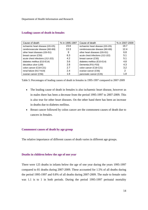| Cause of death                    | % in 1995-1997 | Cause of death                    | % in 2007-2009 |
|-----------------------------------|----------------|-----------------------------------|----------------|
| ischaemic heart disease (I20-I25) | 23.8           | ischaemic heart disease (I20-I25) | 19.7           |
| cerebrovascular disease (I60-I69) | 13.3           | cerebrovascular disease (I60-I69) | 12.4           |
| other heart diseases (I26-I51)    | 9              | other heart diseases (I26-I51)    | 6.8            |
| breast cancer (C50)               | 6.3            | acute chest infections (J12-J22)  | 5.1            |
| acute chest infections (J12-J22)  | 4.2            | breast cancer (C50)               | 5.1            |
| diabetes mellitus (E10-E14)       | 3.6            | diabetes mellitus (E10-E14)       | 4.8            |
| decubitus ulcer (L89)             | 2.8            | Dementia (F01-F03)                | 4.3            |
| colon cancer (C18-C21)            | 2.7            | colon cancer (C18-C21)            | 3.2            |
| renal failure (N17-N19)           | 2.4            | ovarian cancer (C56)              | 2              |
| ovarian cancer (C56)              | 1.6            | pancreatic cancer (C25)           | 1.8            |

#### **Leading causes of death in females**

Table 5: Percentages of leading causes of death in females in 1995-1997 compared to 2007-2009

- The leading cause of death in females is also ischaemic heart disease, however as in males there has been a decrease from the period 1995-1997 to 2007-2009. This is also true for other heart diseases. On the other hand there has been an increase in deaths due to diabetes mellitus.
- Breast cancer followed by colon cancer are the commonest causes of death due to cancers in females.

#### **Commonest causes of death by age group**

The relative importance of different causes of death varies in different age groups.

#### **Deaths in children below the age of one year**

There were 125 deaths in infants below the age of one year during the years 1995-1997 compared to 81 deaths during 2007-2009. These accounted for 1.5% of all deaths during the period 1995-1997 and 0.8% of all deaths during 2007-2009. The male to female ratio was 1.1 is to 1 in both periods. During the period 1995-1997 perinatal mortality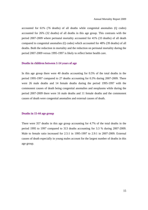accounted for 61% (76 deaths) of all deaths while congenital anomalies (Q codes) accounted for 26% (32 deaths) of all deaths in this age group. This contrasts with the period 2007-2009 where perinatal mortality accounted for 41% (33 deaths) of all death compared to congenital anomalies (Q codes) which accounted for 48% (39 deaths) of all deaths. Both the reduction in mortality and the reduction on perinatal mortality during the period 2007-2009 versus 1995-1997 is likely to reflect better health care.

#### **Deaths in children between 1-14 years of age**

In this age group there were 40 deaths accounting for 0.5% of the total deaths in the period 1995-1997 compared to 27 deaths accounting for 0.3% during 2007-2009. There were 26 male deaths and 14 female deaths during the period 1995-1997 with the commonest causes of death being congenital anomalies and neoplasms while during the period 2007-2009 there were 16 male deaths and 11 female deaths and the commonest causes of death were congenital anomalies and external causes of death.

#### **Deaths in 15-44 age group**

There were 357 deaths in this age group accounting for 4.7% of the total deaths in the period 1995 to 1997 compared to 313 deaths accounting for 3.3 % during 2007-2009. Male to female ratio increased for 2.5:1 in 1995-1997 to 2.9:1 in 2007-2009. External causes of death especially in young males account for the largest number of deaths in this age group.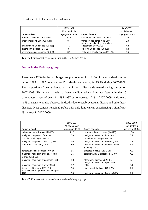#### Department of Health Information and Research

|                                    | 1995-1997       |                                                                  | 2007-2009       |
|------------------------------------|-----------------|------------------------------------------------------------------|-----------------|
|                                    | % of deaths in  |                                                                  | % of deaths in  |
| cause of death                     | age group 15-44 | cause of death                                                   | age group 15-44 |
| transport accidents (V01-V99)      | 10.6            | intentional self harm (X60-X84)                                  | 12.5            |
| intentional self harm (X60-X84)    | 8.4             | transport accidents (V01-V99)<br>accidental poisoning by noxious | 8.9             |
| ischeamic heart disease (120-125)  | 7.3             | substances (X40-X49)                                             | 7.3             |
| other heart disease (I26-I51)      | 5               | other heart disease (126-151)                                    | 4.8             |
| cerebrovascular diseases (I60-I69) | 3.1             | ischeamic heart disease (I20-I25)                                | 3.5             |

Table 6: Commonest causes of death in the 15-44 age group

#### **Deaths in the 45-64 age group**

There were 1206 deaths in this age group accounting for 14.4% of the total deaths in the period 1995 to 1997 compared to 1514 deaths accounting for 15.8% during 2007-2009. The proportion of deaths due to ischaemic heart disease decreased during the period 2007-2009. This contrasts with diabetes mellitus which does not feature in the 10 commonest causes of death in 1995-1997 but represents 4.2% in 2007-2009. A decrease in % of deaths was also observed in deaths due to cerebrovascular disease and other heart diseases. Most cancers remained stable with only lung cancer experiencing a significant % increase in 2007-2009.

|                                          | 1995-1997       |                                     | 2007-2009       |
|------------------------------------------|-----------------|-------------------------------------|-----------------|
|                                          | % of deaths in  |                                     | % of deaths in  |
| Cause of death                           | age group 45-64 | Cause of death                      | age group 45-64 |
| ischaemic heart disease (I20-I25)        | 21.3            | ischaemic heart disease (I20-I25)   | 17.8            |
| malignant neoplasm of trachea,           | 7.8             | malignant neoplasm of trachea,      | 8.9             |
| bronchus and lung (C33-C34)              |                 | bronchus and lung (C33-C34)         |                 |
| malignant neoplasm of breast (C50)       | 7.6             | malignant neoplasm of breast (C50)  | 7.1             |
| other heart diseases (126-151)           | 4.9             | malignant neoplasm of colon, rectum | 5.6             |
|                                          |                 | & anus (C18-C21)                    |                 |
| cerebrovascular diseases (160-169)       | 5.5             | diabetes mellitus (E10-E14)         | 4.2             |
| malignant neoplasm of colon, rectum      | 5.5             | cerebrovascular diseases (160-169)  | 4.2             |
| & anus (C18-C21)                         |                 |                                     |                 |
| malignant neoplasm of pancreas (C25)     | 2.8             | other heart diseases (126-151)      | 3.8             |
|                                          |                 | malignant neoplasm of pancreas      |                 |
| malignant neoplasm of ovary (C56)        | 2.7             | (C25)                               | 3.1             |
| diseases of the liver (K70-K76)          | 2.4             | diseases of the liver (K70-K76)     | 2.7             |
| chronic lower respiratory diseases (J40- |                 |                                     |                 |
| J47)                                     | 2.3             | malignant neoplasm of ovary (C56)   | 2.4             |

Table 7: Commonest causes of death in the 45-64 age group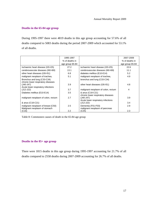#### **Deaths in the 65-84 age group**

During 1995-1997 there were 4819 deaths in this age group accounting for 57.6% of all deaths compared to 5083 deaths during the period 2007-2009 which accounted for 53.1% of all deaths.

|                                                                     | 1995-1997       |                                                        | 2007-2009       |
|---------------------------------------------------------------------|-----------------|--------------------------------------------------------|-----------------|
|                                                                     | % of deaths in  |                                                        | % of deaths in  |
|                                                                     | age group 65-84 |                                                        | age group 65-84 |
| Ischaemic heart disease (I20-I25)                                   | 27.2            | ischaemic heart disease (I20-I25)                      | 22.6            |
| cerebrovascular diseases (160-169)                                  | 13.1            | cerebrovascular diseases (160-169)                     | 11.1            |
| other heart diseases (126-151)                                      | 6.8             | diabetes mellitus (E10-E14)                            | 5.2             |
| malignant neoplasm of trachea,                                      | 5.1             | malignant neoplasm of trachea,                         | 4.9             |
| Bronchus and lung (C33-C34)<br>chronic lower respiratory diseases   |                 | bronchus and lung (C33-C34)                            |                 |
| (J40-J47)<br>Acute lower respiratory infections                     | 3.9             | other heart diseases (I26-151)                         | 4.8             |
| $(J12-J22)$                                                         | 3.7             | malignant neoplasm of colon, rectum                    | 4               |
| Diabetes mellitus (E10-E14)                                         | 3.5             | & anus (C18-C21)<br>chronic lower respiratory diseases |                 |
| malignant neoplasm of colon, rectum                                 | 2.7             | $(J40-J47)$<br>Acute lower respiratory infections      | 3.9             |
| & anus (C18-C21)                                                    |                 | $(J12-J22)$                                            | 3.4             |
| malignant neoplasm of breast (C50)<br>Malignant neoplasm of stomach | 2.5             | Dementia (F01-F03)<br>malignant neoplasm of pancreas   | 2.9             |
| (C16)                                                               | $2.2^{\circ}$   | (C25)                                                  | 2.3             |

Table 8: Commonest causes of death in the 65-84 age group

#### **Deaths in the 85+ age group**

There were 1815 deaths in this age group during 1995-1997 accounting for 21.7% of all deaths compared to 2558 deaths during 2007-2009 accounting for 26.7% of all deaths.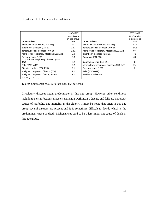Department of Health Information and Research

|                                                                  | 1995-1997<br>% of deaths<br>in age group |                                              | 2007-2009<br>% of deaths<br>in age group |
|------------------------------------------------------------------|------------------------------------------|----------------------------------------------|------------------------------------------|
| cause of death                                                   | $85+$                                    | cause of death                               | $85+$                                    |
| ischaemic heart disease (I20-I25)                                | 25.2                                     | ischaemic heart disease (120-125)            | 22.4                                     |
| other heart diseases (I26-I51)                                   | 12.3                                     | cerebrovascular diseases (I60-I69)           | 14.1                                     |
| cerebrovascular diseases (I60-I69)                               | 12.1                                     | Acute lower respiratory infections (J12-J22) | 9.4                                      |
| Acute lower respiratory infections (J12-J22)                     | 8.9                                      | other heart diseases (I26-I51)               | 7.1                                      |
| Pressure sores (L89)<br>chronic lower respiratory diseases (J40- | 3.3                                      | Dementia (F01-F03)                           | 6.6                                      |
| J47)                                                             | 3.2                                      | diabetes mellitus (E10-E14)                  | 3                                        |
| Falls (W00-W19)                                                  | 2.2                                      | chronic lower respiratory diseases (J40-J47) | 2.4                                      |
| Diabetes mellitus (E10-E14)                                      | 2.1                                      | Pressure sores (L89)                         | 2                                        |
| malignant neoplasm of breast (C50)                               | 2.1                                      | Falls (W00-W19)                              | 2                                        |
| malignant neoplasm of colon, rectum                              | 1.7                                      | Parkinson's disease                          | 2                                        |
| & anus (C18-C21)                                                 |                                          |                                              |                                          |

Table 9: Commonest causes of death in the 85+ age group

Circulatory diseases again predominate in this age group. However other conditions including chest infections, diabetes, dementia, Parkinson's disease and falls are important causes of morbidity and mortality in the elderly. It must be noted that often in this age group several diseases are present and it is sometimes difficult to decide which is the predominant cause of death. Malignancies tend to be a less important cause of death in this age group.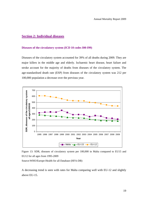#### **Section 2: Individual diseases**

#### **Diseases of the circulatory system (ICD 10 codes I00-I99)**

Diseases of the circulatory system accounted for 39% of all deaths during 2009. They are major killers in the middle age and elderly. Ischaemic heart disease, heart failure and stroke account for the majority of deaths from diseases of the circulatory system. The age-standardised death rate (ESP) from diseases of the circulatory system was 212 per 100,000 population a decrease over the previous year.



Figure 13: SDR, diseases of circulatory system per 100,000 in Malta compared to EU15 and EU12 for all ages from 1995-2009

Source:WHO/Europe-Health for all Database (HFA-DB)

A decreasing trend is seen with rates for Malta comparing well with EU-12 and slightly above EU-15.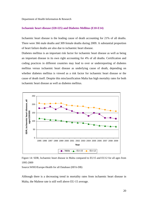Department of Health Information & Research

#### **Ischaemic heart disease (I20-I25) and Diabetes Mellitus (E10-E14)**

Ischaemic heart disease is the leading cause of death accounting for 21% of all deaths. There were 366 male deaths and 309 female deaths during 2009. A substantial proportion of heart failure deaths are also due to ischaemic heart disease.

Diabetes mellitus is an important risk factor for ischaemic heart disease as well as being an important disease in its own right accounting for 4% of all deaths. Certification and coding practices in different countries may lead to over or underreporting of diabetes mellitus versus ischaemic heart disease as underlying cause of death, depending on whether diabetes mellitus is viewed as a risk factor for ischaemic heart disease or the cause of death itself. Despite this misclassification Malta has high mortality rates for both ischaemic heart disease as well as diabetes mellitus.





Source:WHO/Europe-Health for all Database (HFA-DB)

Although there is a decreasing trend in mortality rates from ischaemic heart disease in Malta, the Maltese rate is still well above EU-15 average.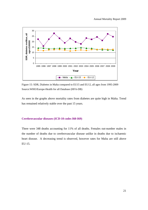

Figure 15: SDR, Diabetes in Malta compared to EU15 and EU12, all ages from 1995-2009 Source:WHO/Europe-Health for all Database (HFA-DB)

As seen in the graphs above mortality rates from diabetes are quite high in Malta. Trend has remained relatively stable over the past 15 years.

#### **Cerebrovascular diseases (ICD-10 codes I60-I69)**

There were 348 deaths accounting for 11% of all deaths. Females out-number males in the number of deaths due to cerebrovascular disease unlike in deaths due to ischaemic heart disease. A decreasing trend is observed, however rates for Malta are still above EU-15.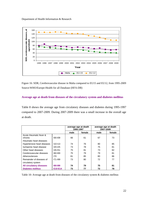Department of Health Information & Research



Figure 16: SDR, Cerebrovascular disease in Malta compared to EU15 and EU12, from 1995-2009 Source:WHO/Europe-Health for all Database (HFA-DB)

#### **Average age at death from diseases of the circulatory system and diabetes mellitus**

Table 8 shows the average age from circulatory diseases and diabetes during 1995-1997 compared to 2007-2009. During 2007-2009 there was a small increase in the overall age at death.

|                                    |             | average age at death<br>1995-1997 |        | average age at death<br>2007-2009 |        |
|------------------------------------|-------------|-----------------------------------|--------|-----------------------------------|--------|
|                                    |             | male                              | female | male                              | female |
| Acute rheumatic fever &<br>chronic | $100 - 109$ | 66                                | 61     | 67                                | 73     |
| rheumatic heart diseases           |             |                                   |        |                                   |        |
| Hypertensive heart diseases        | $110 - 113$ | 74                                | 76     | 80                                | 85     |
| Ischaemic heart disease            | $120 - 125$ | 73                                | 78     | 75                                | 81     |
| Other heart diseases               | 126-151     | 75                                | 81     | 73                                | 82     |
| Cerebrovascular diseases           | 160-169     | 75                                | 79     | 79                                | 81     |
| Atherosclerosis                    | 170         | 81                                | 85     | 80                                | 86     |
| Remainder of diseases of           | I71-I99     | 73                                | 80     | 72                                | 77     |
| circulatory system                 |             |                                   |        |                                   |        |
| <b>All circulatory diseases</b>    | 100-199     | 74                                | 79     | 75                                | 81     |
| <b>Diabetes mellitus</b>           | E10-E14     | 73                                | 77     | 72                                | 78     |

Table 10: Average age at death from diseases of the circulatory system & diabetes mellitus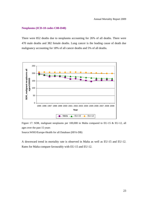#### **Neoplasms (ICD-10 codes C00-D48)**

There were 852 deaths due to neoplasms accounting for 26% of all deaths. There were 470 male deaths and 382 female deaths. Lung cancer is the leading cause of death due malignancy accounting for 18% of all cancer deaths and 5% of all deaths.



Figure 17: SDR, malignant neoplasms per 100,000 in Malta compared to EU-15 & EU-12, all ages over the past 15 years

Source:WHO/Europe-Health for all Database (HFA-DB)

A downward trend in mortality rate is observed in Malta as well as EU-15 and EU-12. Rates for Malta compare favourably with EU-15 and EU-12.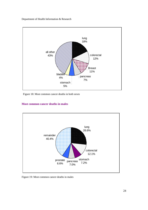Department of Health Information & Research



Figure 18: Most common cancer deaths in both sexes

## **Most common cancer deaths in males**



Figure 19: Most common cancer deaths in males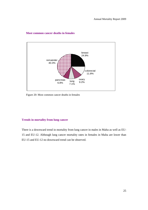

## **Most common cancer deaths in females**

Figure 20: Most common cancer deaths in females

## **Trends in mortality from lung cancer**

There is a downward trend in mortality from lung cancer in males in Malta as well as EU-15 and EU-12. Although lung cancer mortality rates in females in Malta are lower than EU-15 and EU-12 no downward trend can be observed.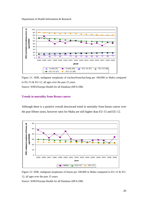

Figure 21: SDR, malignant neoplasms of trachea/bronchus/lung per 100,000 in Malta compared to EU-15  $&$  EU-12, all ages over the past 15 years Source: WHO/Europe-Health for all Database (HFA-DB)

### **Trends in mortality from Breast cancer**

Although there is a positive overall downward trend in mortality from breast cancer over the past fifteen years, however rates for Malta are still higher than EU-15 and EU-12.



Figure 22: SDR, malignant neoplasms of breast per 100,000 in Malta compared to EU-15 & EU-12, all ages over the past 15 years.

Source: WHO/Europe-Health for all Database (HFA-DB)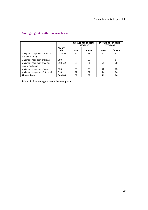|                                                 |                       | average age at death<br>1995-1997 |        | average age at death<br>2007-2009 |        |  |
|-------------------------------------------------|-----------------------|-----------------------------------|--------|-----------------------------------|--------|--|
|                                                 | <b>ICD-10</b><br>code | Male                              | female | male                              | female |  |
| Malignant neoplasm of trachea,                  | C33-C34               | 69                                | 68     | 71                                | 67     |  |
| bronchus & lung                                 |                       |                                   |        |                                   |        |  |
| Malignant neoplasm of breast                    | C <sub>50</sub>       |                                   | 68     |                                   | 67     |  |
| Malignant neoplasm of colon,<br>rectum and anus | C18-C21               | 69                                | 71     | 71                                | 72     |  |
| Malignant neoplasm of pancreas                  | C <sub>25</sub>       | 69                                | 70     | 72                                | 75     |  |
| Malignant neoplasm of stomach                   | C16                   | 72                                | 72     | 74                                | 74     |  |
| All neoplams                                    | C00-D48               | 69                                | 69     | 71                                | 70     |  |

# **Average age at death from neoplasms**

Table 11: Average age at death from neoplasms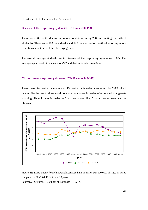#### **Diseases of the respiratory system (ICD 10 code J00-J98)**

There were 303 deaths due to respiratory conditions during 2009 accounting for 9.4% of all deaths. There were 183 male deaths and 120 female deaths. Deaths due to respiratory conditions tend to affect the older age groups.

The overall average at death due to diseases of the respiratory system was 80.5. The average age at death in males was 79.2 and that in females was 82.4

#### **Chronic lower respiratory diseases (ICD 10 codes J40-J47)**

There were 74 deaths in males and 15 deaths in females accounting for 2.8% of all deaths. Deaths due to these conditions are commoner in males often related to cigarette smoking. Though rates in males in Malta are above EU-15 a decreasing trend can be observed.



Figure 23: SDR, chronic bronchitis/emphysema/asthma, in males per 100,000, all ages in Malta compared to EU-15 & EU-12 over 15 years

Source:WHO/Europe-Health for all Database (HFA-DB)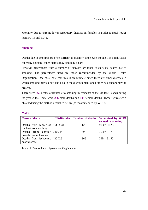Mortality due to chronic lower respiratory diseases in females in Malta is much lower than EU-15 and EU-12.

## **Smoking**

Deaths due to smoking are often difficult to quantify since even though it is a risk factor for many diseases, other factors may also play a part.

However percentages from a number of diseases are taken to calculate deaths due to smoking. The percentages used are those recommended by the World Health Organisation. One must note that this is an estimate since there are other diseases in which smoking plays a part and also in the diseases mentioned other risk factors may be present.

There were **365** deaths attributable to smoking in residents of the Maltese Islands during the year 2009. There were **256** male deaths and **109** female deaths. These figures were obtained using the method described below (as recommended by WHO).

| . .<br>M.<br>۰,<br>۹. |  |
|-----------------------|--|
|-----------------------|--|

| <b>Cause of death</b>         |           | <b>ICD-10 codes</b> Total no. of deaths | % advised by WHO   |
|-------------------------------|-----------|-----------------------------------------|--------------------|
|                               |           |                                         | related to smoking |
| Deaths from cancer of C33-C34 |           | 125                                     | $90\% = 112.5$     |
| trachea/bronchus/lung         |           |                                         |                    |
| Deaths from chronic           | J40-J44   | 69                                      | $75\% = 51.75$     |
| bronchitis/emphysema          |           |                                         |                    |
| Deaths from ischaemic         | $I20-I25$ | 366                                     | $25\% = 91.50$     |
| heart disease                 |           |                                         |                    |

Table 12: Deaths due to cigarette smoking in males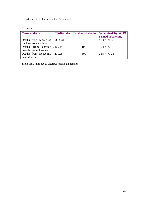# **Females**

| <b>Cause of death</b>         | <b>ICD-10 codes</b> Total no. of deaths | % advised by WHO   |
|-------------------------------|-----------------------------------------|--------------------|
|                               |                                         | related to smoking |
| Deaths from cancer of C33-C34 | 27                                      | $90\% = 24.3$      |
| trachea/bronchus/lung         |                                         |                    |
| Deaths from chronic 140-144   | 10                                      | $75\% = 7.5$       |
| bronchitis/emphysema          |                                         |                    |
| Deaths from ischaemic 120-125 | 309                                     | $25\% = 77.25$     |
| heart disease                 |                                         |                    |

Table 13: Deaths due to cigarette smoking in females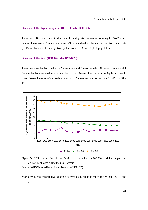#### **Diseases of the digestive system (ICD 10 codes K00-K92)**

There were 109 deaths due to diseases of the digestive system accounting for 3.4% of all deaths. There were 60 male deaths and 49 female deaths. The age standardized death rate (ESP) for diseases of the digestive system was 19.13 per 100,000 population.

### **Diseases of the liver (ICD 10 codes K70-K76)**

There were 24 deaths of which 22 were male and 2 were female. Of these 17 male and 1 female deaths were attributed to alcoholic liver disease. Trends in mortality from chronic liver disease have remained stable over past 15 years and are lower than EU-15 and EU-12.





Mortality due to chronic liver disease in females in Malta is much lower than EU-15 and EU-12.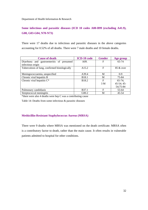# **Some infectious and parasitic diseases (ICD 10 codes A00-B99 (excluding A41.9), G00, G03-G04, N70-N73)**

There were 17 deaths due to infectious and parasitic diseases in the above categories accounting for 0.52% of all deaths. There were 7 male deaths and 10 female deaths.

| <b>Cause of death</b>                                          | <b>ICD-10</b> code | <b>Gender</b> | Age group                            |
|----------------------------------------------------------------|--------------------|---------------|--------------------------------------|
| Diarrhoea and gastroenteritis of presumed<br>infectious origin | A <sub>09</sub> .  | F             | 65-74                                |
| Tuberculosis of lung, confirmed histologically                 | A <sub>15.2</sub>  | F             | $85 \&$ over                         |
| Meningococcaemia, unspecified                                  | A39.4              | M             | $0 - 9$                              |
| Chronic viral hepatitis B                                      | <b>B</b> 18.1      | M             | 75-84                                |
| Chronic viral hepatitis $C^*$                                  | B18.2              | F<br>3 M      | $65-74;$<br>$45-54; 45-$<br>54;75-84 |
| Pulmonary candidiasis                                          | <b>B</b> 37.1      | F             | 55-64                                |
| Streptococcal meningitis                                       | G00.2              | M             | $45 - 54$                            |

\*there were also 4 deaths were hep C was a contributing cause

Table 14: Deaths from some infectious & parasitic diseases

### **Methicillin-Resistant Staphylococcus Aureus (MRSA)**

There were 9 deaths where MRSA was mentioned on the death certificate. MRSA often is a contributory factor to death, rather than the main cause. It often results in vulnerable patients admitted to hospital for other conditions.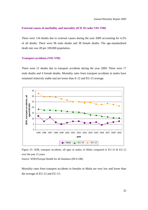#### **External causes of morbidity and mortality (ICD 10 codes V01-Y98)**

There were 134 deaths due to external causes during the year 2009 accounting for 4.2% of all deaths. There were 96 male deaths and 38 female deaths. The age-standardised death rate was 28 per 100,000 population.

#### **Transport accidents (V01-V99)**

There were 21 deaths due to transport accidents during the year 2009. There were 17 male deaths and 4 female deaths. Mortality rates from transport accidents in males have remained relatively stable and are lower than E-12 and EU-15 average.



Figure 25: SDR, transport accidents, all ages in males, in Malta compared to EU-15 & EU-12 over the past 15 years

Source: WHO/Europe-Health for all Database (HFA-DB)

Mortality rates from transport accidents in females in Malta are very low and lower than the average of EU-12 and EU-15**.**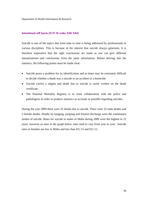### **Intentional self harm (ICD 10 codes X60-X84)**

Suicide is one of the topics that from time to time is being addressed by professionals in various disciplines. This is because of the interest that suicide always generates. It is therefore imperative that the right conclusions are made as one can give different interpretations and conclusions from the same information. Before delving into the statistics, the following points must be made clear:

- Suicide poses a problem for its identification and at times may be extremely difficult to decide whether a death was a suicide or an accident or a homicide.
- Suicide carries a stigma and death due to suicide is rarely written on the death certificate.
- The National Mortality Registry is in close collaboration with the police and pathologists in order to produce statistics as accurate as possible regarding suicides.

During the year 2009 there were 35 deaths due to suicide. There were 32 male deaths and 3 female deaths. Deaths by hanging, jumping and firearm discharge were the commonest modes of suicide. Rates for suicide in males in Malta during 2009 were the highest in 15 years, however as seen in the graph below rates tend to vary from year to year. Suicide rates in females are low in Malta and less than EU-15 and EU-12.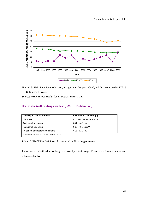

Figure 26: SDR, Intentional self harm, all ages in males per 100000, in Malta compared to EU-15

& EU-12 over 15 years

Source: WHO/Europe-Health for all Database (HFA-DB)

## **Deaths due to illicit drug overdose (EMCDDA definition)**

| Underlying cause of death        | Selected ICD-10 code(s)                                |
|----------------------------------|--------------------------------------------------------|
| <b>Disorders</b>                 | F11-F12, F14-F16, & F19                                |
| Accidental poisoning             | X441, X421, X411                                       |
| Intentional poisoning            | X621, X611, X641                                       |
| Poisoning of undetermined intent | Y12 <sup>1</sup> , Y11 <sup>1</sup> , Y14 <sup>1</sup> |

<sup>1</sup> In combination with T codes T40.0-9, T43.6

Table 15: EMCDDA definition of codes used in illicit drug overdose

There were 8 deaths due to drug overdose by illicit drugs. There were 6 male deaths and 2 female deaths.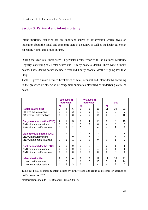## **Section 3: Perinatal and infant mortality**

Infant mortality statistics are an important source of information which gives an indication about the social and economic state of a country as well as the health care to an especially vulnerable group: infants.

During the year 2009 there were 34 perinatal deaths reported to the National Mortality Registry, consisting of 21 fetal deaths and 13 early neonatal deaths. There were 21infant deaths. These deaths do not include 7 fetal and 1 early neonatal death weighing less than 500g.

Table 16 gives a more detailed breakdown of fetal, neonatal and infant deaths according to the presence or otherwise of congenital anomalies classified as underlying cause of death.

|                                    |          | 500-999g or    |              |                | $>= 1000g$ or |          |          |                |    |
|------------------------------------|----------|----------------|--------------|----------------|---------------|----------|----------|----------------|----|
|                                    |          | equivalent     |              |                | equivalent    |          |          | <b>Total</b>   |    |
|                                    | М        | F              | т            | м              | F             | т        | М        | F              | т  |
| <b>Foetal deaths (FD)</b>          | 2        | 4              | 6            | 9              | 6             | 15       | 11       | 10             | 21 |
| FD with malformations              | 1        | $\overline{2}$ | 3            | $\mathbf{2}$   | $\Omega$      | 1        | 3        | $\mathfrak{p}$ | 5  |
| FD without malformations           | 1        | $\overline{2}$ | 3            | $\overline{7}$ | 6             | 14       | 8        | 8              | 16 |
| <b>Early neonatal deaths (END)</b> | 2        | 1              | 3            | 6              | 4             | 10       | 8        | 5              | 13 |
| <b>END</b> with malformations      | 1        | $\Omega$       | 1            | 3              | 3             | 6        | 4        | 3              | 7  |
| <b>END</b> without malformations   | 1        | 1              | $\mathbf{2}$ | 3              |               | 4        | 4        | $\overline{2}$ | 6  |
| Late neonatal deaths (LND)         | $\Omega$ | 1              | 1            | 0              | 3             | 3        | $\Omega$ | 4              | 4  |
| LND with malformations             | $\Omega$ | $\Omega$       | $\Omega$     | 0              | 3             | 3        | $\Omega$ | 3              | 3  |
| LND without malformations          | 0        | 1              | 1            | $\Omega$       | $\Omega$      | $\Omega$ | $\Omega$ | 1              | 1  |
| Post neonatal deaths (PND)         | 0        | 0              | 0            | 3              | 1             | 4        | 3        | 1              | 4  |
| PND with malformations             | 0        | 0              | $\Omega$     | 3              | 1             | 4        | 3        | 1              | 4  |
| <b>PND</b> without malformations   | 0        | $\Omega$       | $\Omega$     | $\Omega$       | $\Omega$      | $\Omega$ | $\Omega$ | $\Omega$       | 0  |
| Infant deaths (ID)                 | 2        | $\overline{2}$ | 4            | 9              | 8             | 17       | 11       | 10             | 21 |
| ID with malformations              | 1        | 0              | 1            | 6              | 7             | 13       | 7        | 7              | 14 |
| ID without malformations           | 1        | 2              | 3            | 3              | 1             | 4        | 4        | 3              | 7  |

Table 16: Fetal, neonatal & infant deaths by birth weight, age-group & presence or absence of malformation as UCD.

Malformations include ICD 10 codes: E88.9, Q00-Q99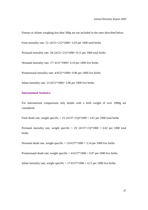Fetuses or infants weighing less than 500g are not included in the rates described below.

Fetal mortality rate: 21/ (4151+21)\*1000= 5.03 per 1000 total births

Perinatal mortality rate: 34/ (4151+21)\*1000= 8.15 per 1000 total births

Neonatal mortality rate: 17/ 4151\*1000= 4.10 per 1000 live births

Postneonatal mortality rate: 4/4151\*1000= 0.96 per 1000 live births

Infant mortality rate:  $21/4151*1000= 5.06$  per 1000 live births

## **International Statistics:**

For international comparisons only deaths with a birth weight of over 1000g are considered.

Fetal death rate, weight specific =  $15/(4137+15)*1000 = 3.61$  per 1000 total births

Perinatal mortality rate, weight specific =  $25/ (4137+15)^*1000 = 6.02$  per 1000 total births

Neonatal death rate, weight specific =  $13/4137*1000 = 3.14$  per 1000 live births

Postneonatal death rate, weight specific  $= 4/4137*1000 = 0.97$  per 1000 live births

Infant mortality rate, weight specific =  $17/4137*1000 = 4.11$  per 1000 live births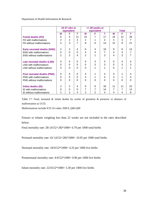|                                    |                | 22-27 wks or<br>equivalent |          |                | $>= 28$ weeks or<br>equivalent |    |          | <b>Total</b>    |          |
|------------------------------------|----------------|----------------------------|----------|----------------|--------------------------------|----|----------|-----------------|----------|
|                                    | м              | F                          | т        | м              | F                              | т  | М        | F               | т        |
| <b>Foetal deaths (FD)</b>          | 6              | 5                          | 11       | 10             | 7                              | 17 | 16       | 12 <sup>2</sup> | 28       |
| FD with malformations              | $\overline{2}$ | 2                          | 4        | 2              |                                | 3  | 4        | 3               | 7        |
| FD without malformations           | 4              | 3                          | 7        | 8              | 6                              | 14 | 12       | 9               | 21       |
| <b>Early neonatal deaths (END)</b> | 2              | 2                          | 4        | 6              | 4                              | 10 | 8        | 6               | 14       |
| <b>END</b> with malformations      | $\Omega$       | $\Omega$                   | $\Omega$ | 4              | 3                              | 7  | 4        | 3               | 7        |
| <b>END without malformations</b>   | $\overline{2}$ | 2                          | 4        | $\overline{2}$ | 1                              | 3  | 4        | 3               | 7        |
| Late neonatal deaths (LND)         | $\Omega$       | 0                          | 0        | 0              | 4                              | 4  | $\Omega$ | 4               | 4        |
| LND with malformations             | $\Omega$       | $\Omega$                   | 0        | $\Omega$       | 3                              | 3  | $\Omega$ | 3               | 3        |
| LND without malformations          | 0              | $\Omega$                   | $\Omega$ | 0              | 1                              | 1  | 0        | 1               |          |
| <b>Post neonatal deaths (PND)</b>  | $\Omega$       | 0                          | 0        | 3              | 1                              | 4  | 3        | 1               | 4        |
| PND with malformations             | $\Omega$       | $\Omega$                   | 0        | 3              |                                | 4  | 3        | 1               | 4        |
| <b>PND</b> without malformations   | 0              | $\Omega$                   | $\Omega$ | $\Omega$       | $\Omega$                       | 0  | $\Omega$ | 0               | $\Omega$ |
| Infant deaths (ID)                 | $\overline{2}$ | 2                          | 4        | 9              | 9                              | 18 | 11       | 11              | 22       |
| ID with malformations              | $\Omega$       | $\Omega$                   | $\Omega$ | 7              | 7                              | 14 | 7        | 7               | 14       |
| ID without malformations           | 2              | 2                          | 4        | 2              | 2                              | 4  | 4        | 4               | 8        |

Table 17: Fetal, neonatal & infant deaths by weeks of gestation & presence or absence of malformation as UCD.

Malformations include ICD 10 codes: E88.9, Q00-Q99

Fetuses or infants weighing less than 22 weeks are not included in the rates described below.

Fetal mortality rate: 28/ (4152+28)\*1000= 6.70 per 1000 total births

Perinatal mortality rate: 42/ (4152+28)\*1000= 10.05 per 1000 total births

Neonatal mortality rate: 18/4152\*1000= 4.33 per 1000 live births

Postneonatal mortality rate: 4/4152\*1000= 0.96 per 1000 live births

Infant mortality rate: 22/4152\*1000= 5.30 per 1000 live births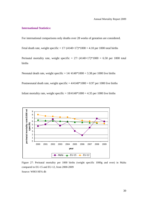### **International Statistics:**

For international comparisons only deaths over 28 weeks of gestation are considered.

Fetal death rate, weight specific =  $17/(4140+17)*1000 = 4.10$  per 1000 total births

Perinatal mortality rate, weight specific =  $27/(4140+17)*1000 = 6.50$  per 1000 total births

Neonatal death rate, weight specific  $= 14/4140*1000 = 3.38$  per 1000 live births

Postneonatal death rate, weight specific  $= 4/4140*1000 = 0.97$  per 1000 live births

Infant mortality rate, weight specific  $= 18/4140*1000 = 4.35$  per 1000 live births



Figure 27: Perinatal mortality per 1000 births (weight specific 1000g and over) in Malta compared to EU-15 and EU-12, from 2000-2009

Source: WHO HFA db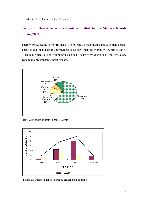# **Section 4: Deaths in non-residents who died in the Maltese Islands during 2009**

There were 52 deaths in non-residents. There were 36 male deaths and 16 female deaths. These do not include deaths of migrants at sea for which the Mortality Registry received 4 death certificates. The commonest causes of death were diseases of the circulatory system, mainly ischaemic heart disease.



Figure 28: Causes of death in non-residents



Figure 29: Deaths in non-residents by gender and age group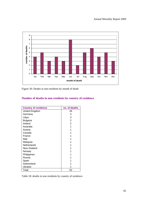

Figure 30: Deaths in non-residents by month of death

# **Number of deaths in non residents by country of residence**

| <b>Country of residence</b> | no. of deaths  |
|-----------------------------|----------------|
| United Kingdom              | 26             |
| Germany                     | 4              |
| Libya                       | 3              |
| <b>Bulgaria</b>             | $\overline{2}$ |
| Ireland                     | 2              |
| Australia                   | 1              |
| Austria                     | 1              |
| Canada                      | 1              |
| France                      |                |
| Italy                       |                |
| Malaysia                    |                |
| <b>Netherlands</b>          |                |
| New Zealand                 | 1              |
| Norway                      |                |
| Philippines                 |                |
| Russia                      |                |
| Spain                       |                |
| Switzerland                 |                |
| Ukraine                     |                |
| Total                       | 52             |

Table 18: deaths in non residents by country of residence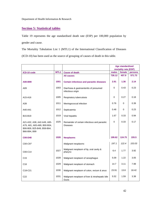# **Section 5: Statistical tables**

Table 19 represents the age standardised death rate (ESP) per 100,000 population by gender and cause.

The Mortality Tabulation List 1 (MTL1) of the International Classification of Diseases

(ICD-10) has been used as the source of grouping of causes of death in this table.

|                                                                                                          |                  |                                                              | <b>Age standardised</b> |                      |         |
|----------------------------------------------------------------------------------------------------------|------------------|--------------------------------------------------------------|-------------------------|----------------------|---------|
|                                                                                                          |                  |                                                              |                         | mortality rate (ESP) |         |
| ICD-10 code                                                                                              | MTL <sub>1</sub> | <b>Cause of death</b>                                        | males                   | female               | persons |
|                                                                                                          |                  | <b>All causes</b>                                            | 726.12                  | 457.9                | 571.73  |
| A00-B99                                                                                                  | 1001             | <b>Certain infectious and parasitic diseases</b>             | 2.91                    | 1.36                 | 2.14    |
| A09                                                                                                      | 1003             | Diarrhoea & gastroenteritis of presumed<br>infectious origin | $\Omega$                | 0.43                 | 0.23    |
| A15-A16                                                                                                  | 1005             | Respiratory tuberculosis                                     | $\mathbf 0$             | 0.27                 | 0.18    |
| A39                                                                                                      | 1011             | Meningococcal infection                                      | 0.76                    | 0                    | 0.39    |
| A40-A41                                                                                                  | 1012             | Septicaemia                                                  | 0.48                    | 0                    | 0.23    |
| B15-B19                                                                                                  | 1019             | Viral hepatitis                                              | 1.67                    | 0.33                 | 0.94    |
| A21-A32, A38, A42-A49, A65-<br>A79, A81, A83-A89, B00-B04,<br>B06-B09, B25-B49, B58-B64,<br>B66-B94, B99 | 1025             | Remainder of certain infectious and parasitic<br>Diseases    | $\Omega$                | 0.33                 | 0.17    |
| <b>C00-D48</b>                                                                                           | 1026             | <b>Neoplasms</b>                                             | 199.62                  | 124.75               | 155.5   |
| C00-C97                                                                                                  |                  | Malignant neoplasms                                          | 197.1                   | 122.4                | 153.03  |
| C00-C14                                                                                                  | 1027             | Malignant neoplasm of lip, oral cavity &<br>pharynx          | 6.4                     | 1.77                 | 3.92    |
| C <sub>15</sub>                                                                                          | 1028             | Malignant neoplasm of oesophagus                             | 5.09                    | 1.22                 | 3.05    |
| C <sub>16</sub>                                                                                          | 1029             | Malignant neoplasm of stomach                                | 14.7                    | 3.11                 | 7.99    |
| C18-C21                                                                                                  | 1030             | Malignant neoplasm of colon, rectum & anus                   | 23.91                   | 13.8                 | 18.42   |
| C <sub>22</sub>                                                                                          | 1031             | Malignant neoplasm of liver & intrahepatic bile<br>Ducts     | 5.52                    | 1.59                 | 3.38    |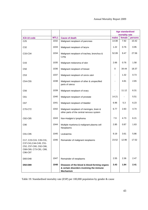|                                                                                                                 |                  |                                                                                                              | <b>Age standardised</b> |                          |         |
|-----------------------------------------------------------------------------------------------------------------|------------------|--------------------------------------------------------------------------------------------------------------|-------------------------|--------------------------|---------|
| ICD-10 code                                                                                                     | MTL <sub>1</sub> | <b>Cause of death</b>                                                                                        | males                   | mortality rate<br>female | persons |
| C <sub>25</sub>                                                                                                 | 1032             | Malignant neoplasm of pancreas                                                                               | 14.08                   | 7.92                     | 10.42   |
| C32                                                                                                             | 1033             | Malignant neoplasm of larynx                                                                                 | 1.22                    | 0.76                     | 0.95    |
| C33-C34                                                                                                         | 1034             | Malignant neoplasm of trachea, bronchus &<br>Lung                                                            | 52.09                   | 9.47                     | 27.56   |
| C43                                                                                                             | 1035             | Malignant melanoma of skin                                                                                   | 2.66                    | 0.76                     | 1.58    |
| C <sub>50</sub>                                                                                                 | 1036             | Malignant neoplasm of breast                                                                                 | 0                       | 34.44                    | 18.37   |
| C53                                                                                                             | 1037             | Malignant neoplasm of cervix uteri                                                                           |                         | 1.32                     | 0.73    |
| C54-C55                                                                                                         | 1038             | Malignant neoplasm of other & unspecified<br>parts of uterus                                                 |                         | 4.81                     | 2.65    |
| C56                                                                                                             | 1039             | Malignant neoplasm of ovary                                                                                  |                         | 11.12                    | 6.31    |
| C61                                                                                                             | 1040             | Malignant neoplasm of prostate                                                                               | 14.21                   |                          | 5.51    |
| C67                                                                                                             | 1041             | Malignant neoplasm of bladder                                                                                | 6.96                    | 5.3                      | 6.23    |
| C70-C72                                                                                                         | 1042             | Malignant neoplasm of meninges, brain &<br>other parts of the central nervous system                         | 6.77                    | 2.83                     | 4.74    |
| C82-C85                                                                                                         | 1043             | Non-Hodgkin's lymphoma                                                                                       | 7.9                     | 4.73                     | 6.21    |
| C90                                                                                                             | 1044             | Multiple myeloma & malignant plasma cell<br>Neoplasms                                                        | 2.85                    | 0.87                     | 1.63    |
| C91-C95                                                                                                         | 1045             | Leukaemia                                                                                                    | 9.19                    | 3.61                     | 5.86    |
| C17, C23-C24, C26-C31,<br>C37-C41, C44-C49, C51-<br>C52, C57-C60, C62-C66,<br>C68-C69, C73-C81, C88,<br>C96-C97 | 1046             | Remainder of malignant neoplasms                                                                             | 23.52                   | 12.96                    | 17.52   |
| D00-D48                                                                                                         | 1047             | Remainder of neoplasms                                                                                       | 2.55                    | 2.36                     | 2.47    |
| D50-D89                                                                                                         | 1048             | Diseases of the blood & blood-forming organs<br>& certain disorders involving the immune<br><b>Mechanism</b> | 3.43                    | 1.84                     | 2.41    |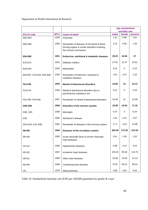|                                  |                  |                                                                                                                     | <b>Age standardised</b><br>mortality rate |          |         |
|----------------------------------|------------------|---------------------------------------------------------------------------------------------------------------------|-------------------------------------------|----------|---------|
| ICD-10 code                      | MTL <sub>1</sub> | <b>Cause of death</b>                                                                                               | males                                     | female   | persons |
| D50-D64                          | 1049             | Anaemias                                                                                                            | 1.21                                      | 0.89     | 1.02    |
| D65-D89                          | 1050             | Remainder of diseases of the blood & blood-<br>forming organs & certain disorders involving<br>the immune mechanism | 2.22                                      | 0.95     | 1.39    |
| E00-E88                          | 1051             | Endocrine, nutritional & metabolic diseases                                                                         | 29.23                                     | 24.94    | 27      |
| E10-E14                          | 1052             | Diabetes mellitus                                                                                                   | 27.81                                     | 21.47    | 24.61   |
| E40-E46                          | 1053             | Malnutrition                                                                                                        | 0.41                                      | 0        | 0.16    |
| E00-E07, E15-E34, E50-E88        | 1054             | Remainder of endocrine, nutritional &<br>metabolic diseases                                                         | 1.01                                      | 3.47     | 2.23    |
| F01-F99                          | 1055             | <b>Mental &amp; behavioural disorders</b>                                                                           | 24.69                                     | 21       | 22.14   |
| F <sub>10</sub> -F <sub>19</sub> | 1056             | Mental & behavioural disorders due to<br>psychoactive substance use                                                 | 0.41                                      | $\Omega$ | 0.18    |
| F01-F09, F20-F99                 | 1057             | Remainder of mental & behavioural disorders                                                                         | 24.28                                     | 21       | 21.96   |
| G00-G98                          | 1058             | Disorders of the nervous system                                                                                     | 19.58                                     | 16.04    | 17.19   |
| G00, G03                         | 1059             | Meningitis                                                                                                          | 0.47                                      | 0        | 0.24    |
| G30                              | 1060             | Alzheimer's disease                                                                                                 | 1.81                                      | 2.24     | 2.07    |
| G04-G25, G31-G98                 | 1061             | Remainder of diseases of the nervous system                                                                         | 17.3                                      | 13.8     | 14.88   |
| 100-199                          | 1064             | Diseases of the circulatory system                                                                                  | 263.59                                    | 172.35   | 212.04  |
| 100-109                          | 1065             | Acute rheumatic fever & chronic rheumatic<br>heart diseases                                                         | 0.41                                      | 1.56     | 1.03    |
| $110 - 114$                      | 1066             | Hypertensive diseases                                                                                               | 6.68                                      | 4.13     | 5.23    |
| I20-I25                          | 1067             | Ischaemic heart diseases                                                                                            | 155.24                                    | 85.26    | 115.74  |
| I26-I51                          | 1068             | Other heart diseases                                                                                                | 22.58                                     | 23.93    | 24.13   |
| 160-169                          | 1069             | Cerebrovascular diseases                                                                                            | 70.87                                     | 50.12    | 58.24   |
| 170                              | 1070             | Atherosclerosis                                                                                                     | 3.86                                      | 3.92     | 4.04    |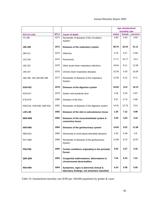# Annual Mortality Report 2009

|                           |                  |                                                                                        |       | <b>Age standardised</b>  |         |
|---------------------------|------------------|----------------------------------------------------------------------------------------|-------|--------------------------|---------|
| ICD-10 code               | MTL <sub>1</sub> | <b>Cause of death</b>                                                                  | males | mortality rate<br>female | persons |
| 171-199                   | 1071             | Remainder of diseases of the circulatory<br>System                                     | 3.95  | 3.43                     | 3.63    |
| J00-J98                   | 1072             | Diseases of the respiratory system                                                     | 80.75 | 32.53                    | 51.11   |
| J09-J11                   | 1073             | Influenza                                                                              | 0.79  | 0.27                     | 0.58    |
| $J12-J18$                 | 1074             | Pneumonia                                                                              | 17.71 | 10.77                    | 13.4    |
| J20-J22                   | 1075             | Other acute lower respiratory infections                                               | 18.64 | 9.11                     | 12.36   |
| J40-J47                   | 1076             | Chronic lower respiratory diseases                                                     | 31.05 | 4.26                     | 15.06   |
| J00-J06, J30-J39, J60-J98 | 1077             | Remainder of diseases of the respiratory<br>System                                     | 12.56 | 8.12                     | 9.71    |
| K00-K92                   | 1078             | Diseases of the digestive system                                                       | 25.83 | 13.9                     | 19.13   |
| K25-K27                   | 1079             | Gastric and duodenal ulcer                                                             | 1.56  | 0.43                     | 0.87    |
| K70-K76                   | 1080             | Diseases of the liver                                                                  | 9.37  | 0.74                     | 4.66    |
| K00-K22, K28-K66, K80-K92 | 1081             | Remainder of diseases of the digestive system                                          | 14.91 | 12.73                    | 13.6    |
| L00-L98                   | 1082             | Diseases of the skin & subcutaneous tissue                                             | 1.35  | 7.12                     | 4.99    |
| M00-M99                   | 1083             | Diseases of the musculoskeletal system &<br>connective tissue                          | 2.59  | 4.04                     | 3.44    |
| <b>N00-N98</b>            | 1084             | Diseases of the genitourinary system                                                   | 14.83 | 9.22                     | 11.56   |
| N00-N15                   | 1085             | Glomerular & renal tubulo-interstitial diseases                                        | 1.94  | 0.49                     | 0.9     |
| N17-N98                   | 1086             | Remainder of diseases of the genitourinary<br>System                                   | 12.89 | 8.73                     | 10.67   |
| <b>P00-P96</b>            | 1092             | Certain conditions originating in the perinatal<br>Period                              | 3.05  | 3.27                     | 3.16    |
| Q00-Q99                   | 1093             | Congenital malformations, deformations &<br>chromosomal abnormalities                  | 7.54  | 6.43                     | 7.01    |
| R00-R99                   | 1094             | Symptoms, signs & abnormal clinical &<br>laboratory findings, not elsewhere classified | 4.24  | 5.59                     | 5.05    |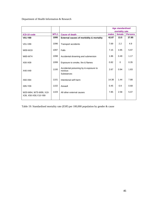|                                                 |                  |                                                                |       | <b>Age standardised</b><br>mortality rate |                |
|-------------------------------------------------|------------------|----------------------------------------------------------------|-------|-------------------------------------------|----------------|
| ICD-10 code                                     | MTL <sub>1</sub> | <b>Cause of death</b>                                          | males | female                                    | <b>Persons</b> |
| V01-Y89                                         | 1095             | External causes of morbidity & mortality                       | 42.87 | 13.5                                      | 27.85          |
| V01-V99                                         | 1096             | <b>Transport accidents</b>                                     | 7.69  | 2.2                                       | 4.9            |
| W00-W19                                         | 1097             | Falls                                                          | 7.15  | 4.95                                      | 5.97           |
| W65-W74                                         | 1098             | Accidental drowning and submersion                             | 1.86  | 0.49                                      | 1.17           |
| X00-X09                                         | 1099             | Exposure to smoke, fire & flames                               | 0.82  | $\Omega$                                  | 0.35           |
| X40-X49                                         | 1100             | Accidental poisoning by & exposure to<br>noxious<br>Substances | 2.67  | 0.94                                      | 1.83           |
| X60-X84                                         | 1101             | Intentional self-harm                                          | 14.38 | 1.44                                      | 7.88           |
| X85-Y09                                         | 1102             | Assault                                                        | 0.45  | 0.9                                       | 0.68           |
| W20-W64, W75-W99, X10-<br>X39, X50-X59, Y10-Y89 | 1103             | All other external causes                                      | 7.85  | 2.58                                      | 5.07           |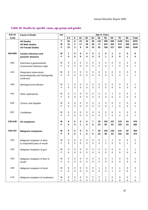| <b>ICD-10</b>   | <b>Cause of Death</b>                | sex    |              |             |                  |                  |                  | <b>Age in Years</b> |                |                |                  |           |              |
|-----------------|--------------------------------------|--------|--------------|-------------|------------------|------------------|------------------|---------------------|----------------|----------------|------------------|-----------|--------------|
| Code            |                                      |        | $0 - 4$      | $5-$        | $15 -$           | $25 -$           | $35 -$           | 45-                 | $55-$          | $65-$          | $75-$            | $85 -$    | <b>Total</b> |
|                 | <b>All Deaths</b>                    | T.     | 25           | 6           | 23               | 43               | 38               | 123                 | 358            | 569            | 1126             | 911       | 3222         |
|                 | <b>All Male Deaths</b>               | M      | 12           | 3           | 17               | 28               | 28               | 71                  | 222            | 352            | 572              | 368       | 1673         |
|                 | <b>All Female Deaths</b>             | F      | 13           | 3           | 6                | 15               | 10               | 52                  | 136            | 217            | 554              | 543       | 1549         |
|                 |                                      |        |              |             |                  |                  |                  |                     |                |                |                  |           |              |
| A00-B99         | <b>Certain infectious and</b>        | М      | 1            | 0           | $\mathbf 0$      | 0                | 0                | $\mathbf 2$         | 0              | 1              | $\mathbf{2}$     | $\bf{0}$  | 6            |
|                 | parasitic diseases                   | F      | 0            | 0           | $\mathbf{0}$     | $\bf{0}$         | $\mathbf 0$      | 0                   | 1              | $\overline{2}$ | 0                | 1         | 4            |
|                 |                                      |        |              |             |                  |                  |                  |                     |                |                |                  |           |              |
| A09             | Diarrhoea & gastroenteritis          | м      | 0            | 0           | $\mathbf 0$      | 0                | 0                | 0                   | 0              | 0              | 0                | 0         | 0            |
|                 | of presumed infectious origin        | F      | 0            | 0           | 0                | 0                | 0                | 0                   | 0              | $\mathbf{1}$   | 0                | 0         | 1            |
| A15             |                                      |        | 0            | 0           | $\mathbf 0$      | 0                | 0                | 0                   | 0              |                |                  | 0         |              |
|                 | Respiratory tuberculosis,            | м<br>F | 0            | 0           | $\Omega$         | 0                | 0                | 0                   | 0              | 0<br>$\Omega$  | 0<br>0           | 1         | 0<br>1       |
|                 | bacteriologically and histologically |        |              |             |                  |                  |                  |                     |                |                |                  |           |              |
|                 | confirmed                            |        |              |             |                  |                  |                  |                     |                |                |                  |           |              |
| A39             | Meningococcal infection              | м      | 1            | 0           | 0                | 0                | 0                | 0                   | 0              | 0              | 0                | 0         | 1            |
|                 |                                      | F      | 0            | 0           | $\Omega$         | 0                | 0                | 0                   | 0              | 0              | 0                | 0         | 0            |
|                 |                                      |        |              |             |                  |                  |                  |                     |                |                |                  |           |              |
| A41             | Other septicaemia                    | м      | 0            | 0           | $\mathbf 0$      | 0                | 0                | 0                   | 0              | 1              | 0                | 0         | 1            |
|                 |                                      | F      | 0            | 0           | $\Omega$         | 0                | 0                | 0                   | 0              | $\Omega$       | 0                | 0         | 0            |
|                 |                                      |        |              |             |                  |                  |                  |                     |                |                |                  |           |              |
| <b>B18</b>      | Chronic viral hepatitis              | м      | 0            | 0           | 0                | 0                | 0                | $\overline{c}$      | $\Omega$       | 0              | 2                | 0         | 4            |
|                 |                                      | F      | 0            | 0           | $\Omega$         | 0                | $\Omega$         | $\Omega$            | 0              | $\mathbf{1}$   | 0                | 0         | 1            |
|                 |                                      |        |              |             |                  |                  |                  |                     |                |                |                  |           |              |
| <b>B37</b>      | Candidiasis                          | м      | 0            | 0           | 0                | 0                | 0                | 0                   | 0              | 0              | 0                | 0         | 0            |
|                 |                                      | F      | 0            | 0           | 0                | 0                | $\overline{0}$   | 0                   | $\mathbf{1}$   | 0              | 0                | 0         | $\mathbf{1}$ |
|                 |                                      |        |              |             |                  |                  |                  |                     |                |                |                  |           |              |
| C00-D48         | All neoplasms                        | м<br>F | 0<br>0       | 0<br>0      | $\mathbf 2$<br>1 | 5<br>5           | 7<br>6           | 20<br>24            | 102<br>85      | 137<br>93      | 133<br>105       | 64<br>63  | 470<br>382   |
|                 |                                      |        |              |             |                  |                  |                  |                     |                |                |                  |           |              |
| C00-C97         | <b>Malignant neoplasms</b>           | м      | 0            | 0           | $\mathbf 2$      | 5                | 7                | 20                  | 102            | 135            | 131              | 62        | 464          |
|                 |                                      | F      | 0            | 0           | 1                | 5                | 6                | 24                  | 85             | 92             | 102              | 58        | 373          |
|                 |                                      |        |              |             |                  |                  |                  |                     |                |                |                  |           |              |
| CO <sub>2</sub> | Malignant neoplasm of other          | м      | 0            | 0           | 0                | 0                | 0                | 0                   | 1              | 1              | 0                | 0         | 2            |
|                 | & unspecified parts of mouth         | F      | 0            | 0           | 0                | 0                | 0                | 0                   | 1              | 0              | 0                | 1         | 2            |
|                 |                                      |        |              |             |                  |                  |                  |                     |                |                |                  |           |              |
| C <sub>03</sub> | Malignant neoplasm of gum            | M      | 0            | 0           | $\mathbf 0$      | 0                | $\boldsymbol{0}$ | 0                   | 0              | 0              | 0                | 1         | $\mathbf{1}$ |
|                 |                                      | F      | 0            | 0           | $\Omega$         | 0                | $\mathbf 0$      | 0                   | $\Omega$       | $\mathbf 0$    | 0                | 0         | 0            |
|                 |                                      |        |              |             |                  |                  |                  |                     |                |                |                  |           |              |
| CO <sub>4</sub> | Malignant neoplasm of floor of       | M      | 0            | $\pmb{0}$   | $\mathbf 0$      | $\mathbf 0$      | $\pmb{0}$        | 0                   | $\mathbf 0$    | 1              | 0                | $\pmb{0}$ | 1            |
|                 | mouth                                | F      | $\mathbf{0}$ | $\mathsf 0$ | $\mathbf 0$      | $\pmb{0}$        | $\pmb{0}$        | 0                   | $\mathbf 0$    | $\pmb{0}$      | 0                | 0         | $\mathbf 0$  |
|                 |                                      |        |              |             |                  |                  |                  |                     |                |                |                  |           |              |
| CO9             | Malignant neoplasm of tonsil         | М      | 0            | $\pmb{0}$   | $\mathbf 0$      | $\mathbf 0$      | $\mathbf 0$      | 1                   | $\overline{2}$ | $\mathbf 0$    | 1                | 0         | 4            |
|                 |                                      | F      | 0            | 0           | $\mathbf 0$      | $\mathbf 0$      | $\pmb{0}$        | $\mathsf{O}\xspace$ | 0              | $\mathbf{1}$   | 0                | 0         | 1            |
| C10             |                                      | M      | 0            | $\pmb{0}$   | 0                | $\pmb{0}$        | 0                | $\mathbf 0$         | 1              | 0              | 0                | 0         | $\mathbf{1}$ |
|                 | Malignant neoplasm of oropharynx     | F      | $\mathsf 0$  | $\pmb{0}$   | 0                | $\boldsymbol{0}$ | $\mathbf 0$      | $\mathsf{O}\xspace$ | 0              | $\mathbf 0$    | $\boldsymbol{0}$ | 0         | $\mathsf 0$  |
|                 |                                      |        |              |             |                  |                  |                  |                     |                |                |                  |           |              |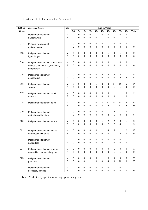| <b>ICD-10</b>   | <b>Cause of Death</b>                                                                        | <b>Age in Years</b><br>sex |                            |             |                            |               |                |                                  |                     |                                  |                |               |                  |
|-----------------|----------------------------------------------------------------------------------------------|----------------------------|----------------------------|-------------|----------------------------|---------------|----------------|----------------------------------|---------------------|----------------------------------|----------------|---------------|------------------|
| Code            |                                                                                              |                            | $0 - 4$                    | $5-$        | $15-$                      | $25 -$        | $35-$          | 45-                              | $55-$               | $65-$                            | $75-$          | 85-           | <b>Total</b>     |
| C11             | Malignant neoplasm of                                                                        | M                          | $\Omega$                   | $\mathbf 0$ | $\mathbf 0$                | $\mathbf 0$   | 1              | $\mathsf 0$                      | $\mathsf 0$         | $\mathbf{1}$                     | $\mathbf 0$    | $\mathbf 0$   | $\overline{2}$   |
|                 | nasopharynx                                                                                  | F                          | 0                          | 0           | $\mathbf 0$                | $\mathbf 0$   | $\overline{0}$ | 1                                | $\mathbf 0$         | 0                                | 1              | $\mathbf 0$   | $\overline{2}$   |
| C12             | Mlignant neoplasm of                                                                         | м                          | 0                          | 0           | $\mathbf 0$                | 0             | 0              | 0                                | 1                   | 0                                | 0              | 0             | 1                |
|                 | pyriform sinus                                                                               | F                          | 0                          | 0           | $\Omega$                   | 0             | 0              | 0                                | $\Omega$            | 0                                | $\Omega$       | 0             | $\mathbf 0$      |
| C <sub>13</sub> | Malignant neoplasm of                                                                        | M                          | 0                          | 0           | $\mathbf 0$                | 0             | 0              | 0                                | 1                   | 0                                | 1              | 0             | $\overline{2}$   |
|                 | hypopharynx                                                                                  | F                          | 0                          | 0           | $\Omega$                   | 0             | 0              | 0                                | 0                   | 0                                | $\Omega$       | $\mathbf 0$   | 0                |
| C14             | Malignant neoplasm of other and ill-<br>defined sites in the lip, oral cavity<br>and pharynx | M<br>F                     | 0<br>$\Omega$              | 0<br>0      | $\mathbf 0$<br>$\Omega$    | 0<br>$\Omega$ | 0<br>$\Omega$  | 0<br>0                           | 0<br>0              | 1<br>0                           | 0<br>$\Omega$  | 0<br>$\Omega$ | 1<br>$\mathbf 0$ |
| C15             | Malignant neoplasm of                                                                        | M                          | 0                          | 0           | $\mathbf 0$                | 0             | 0              | $\overline{c}$                   | $\overline{c}$      | 4                                | 3              | $\mathbf{1}$  | 12               |
|                 | oesophagus                                                                                   | F                          | $\mathbf 0$                | 0           | $\Omega$                   | $\Omega$      | $\mathbf 0$    | $\mathbf{0}$                     | $\Omega$            | 0                                | $\overline{2}$ | 3             | 5                |
| C <sub>16</sub> | Malignant neoplasm of                                                                        | М                          | 0                          | 0           | $\mathbf 0$                | 0             | 1              | 0                                | 3                   | 14                               | 11             | 5             | 34               |
|                 | stomach                                                                                      | F                          | 0                          | 0           | $\Omega$                   | 0             | 0              | 0                                | 4                   | 1                                | 1              | 4             | 10               |
| C <sub>17</sub> | Malignant neoplasm of small                                                                  | М                          | 0                          | 0           | 0                          | 0             | 0              | 0                                | 0                   | 1                                | 1              | 0             | $\overline{c}$   |
|                 | intestine                                                                                    | F                          | 0                          | 0           | $\Omega$                   | 0             | 0              | 0                                | $\Omega$            | $\Omega$                         | 1              | $\mathbf 0$   | 1                |
| C <sub>18</sub> | Malignant neoplasm of colon                                                                  | M<br>F                     | $\mathbf 0$<br>$\mathbf 0$ | 0<br>0      | $\mathbf 0$<br>$\mathbf 0$ | 1<br>0        | 0<br>0         | $\overline{c}$<br>$\overline{c}$ | 12<br>6             | 13<br>$\overline{7}$             | 13<br>11       | 3<br>5        | 44<br>31         |
| C <sub>19</sub> | Malignant neoplasm of                                                                        | м                          | 0                          | 0           | $\mathbf 0$                | 0             | 0              | 0                                | 1                   | 2                                | 1              | 0             | 4                |
|                 | rectosigmoid junction                                                                        | F                          | 0                          | 0           | $\Omega$                   | 0             | 0              | 0                                | 2                   | $\mathbf{1}$                     | $\Omega$       | 2             | 5                |
| C <sub>20</sub> | Malignant neoplasm of rectum                                                                 | M<br>F                     | 0<br>0                     | 0<br>0      | $\mathbf 0$<br>$\Omega$    | 0<br>0        | 0<br>0         | 1<br>0                           | 2<br>$\overline{2}$ | $\overline{c}$<br>$\overline{c}$ | 3<br>4         | 1<br>1        | 9<br>9           |
| C <sub>22</sub> | Malignant neoplasm of liver &                                                                | M                          | 0                          | 0           | 0                          | 0             | 0              | 1                                | 4                   | 5                                | 1              | 2             | 13               |
|                 | intrahepatic bile ducts                                                                      | F                          | 0                          | 0           | 0                          | 0             | 0              | 0                                | 0                   | 1                                | 5              | 0             | 6                |
| C <sub>23</sub> | Malignant neoplasm of                                                                        | M                          | 0                          | 0           | $\pmb{0}$                  | 0             | 0              | 0                                | 0                   | 0                                | $\mathbf 0$    | 1             | 1                |
|                 | gallbladder                                                                                  | F                          | $\mathbf 0$                | $\mathsf 0$ | $\mathbf 0$                | $\mathbf 0$   | 0              | 0                                | 1                   | 0                                | $\mathbf 0$    | $\mathbf 0$   | 1                |
| C <sub>24</sub> | Malignant neoplasm of other &                                                                | M                          | 0                          | $\pmb{0}$   | $\mathbf 0$                | 0             | 0              | $\pmb{0}$                        | 0                   | 1                                | 0              | 0             | 1                |
|                 | unspecified parts of biliary tract                                                           | F                          | $\mathbf 0$                | $\mathsf 0$ | $\mathbf 0$                | $\mathbf 0$   | $\mathbf 0$    | $\pmb{0}$                        | $\mathbf 0$         | $\mathbf{1}$                     | $\mathbf{1}$   | 0             | $\overline{c}$   |
| C <sub>25</sub> | Malignant neoplasm of                                                                        | M                          | 0                          | 0           | 0                          | 0             | 0              | $\mathbf{1}$                     | 8                   | 9                                | 9              | 6             | 33               |
|                 | pancreas                                                                                     | F                          | $\mathbf 0$                | $\mathbf 0$ | $\Omega$                   | 1             | 0              | $\pmb{0}$                        | 4                   | 8                                | 10             | 3             | 26               |
| C31             | Malignant neoplasm of                                                                        | M                          | 0                          | $\pmb{0}$   | 0                          | 0             | $\pmb{0}$      | $\pmb{0}$                        | 0                   | 1                                | 0              | $\mathbf 1$   | $\overline{a}$   |
|                 | accessory sinuses                                                                            | F                          | $\boldsymbol{0}$           | $\pmb{0}$   | $\mathsf 0$                | $\pmb{0}$     | 0              | $\mathbf 0$                      | $\mathsf 0$         | $\mathsf 0$                      | $\pmb{0}$      | 0             | $\boldsymbol{0}$ |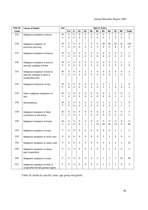| <b>ICD-10</b>   | <b>Cause of Death</b>                               | <b>Age in Years</b><br>sex |           |             |                         |               |               |                         |                  |                |                |                   |                |
|-----------------|-----------------------------------------------------|----------------------------|-----------|-------------|-------------------------|---------------|---------------|-------------------------|------------------|----------------|----------------|-------------------|----------------|
| Code            |                                                     |                            | $0-4$     | $5-$        | $15-$                   | $25 -$        | $35 -$        | 45-                     | $55-$            | $65-$          | $75-$          | $85-$             | <b>Total</b>   |
| C32             | Malignant neoplasm of larynx                        | M                          | 0         | $\pmb{0}$   | $\mathbf 0$             | 0             | $\pmb{0}$     | 0                       | $\pmb{0}$        | $\sqrt{2}$     | 1              | 0                 | 3              |
|                 |                                                     | F                          | 0         | 0           | $\Omega$                | 0             | 0             | $\mathbf 0$             | 0                | $\overline{2}$ | $\Omega$       | 0                 | 2              |
|                 |                                                     |                            |           |             |                         |               |               |                         |                  |                |                |                   |                |
| C <sub>34</sub> | Malignant neoplasm of                               | М                          | 0         | 0           | $\mathbf 0$             | 1             | 0             | 5                       | 28               | 35             | 42             | 14                | 125            |
|                 | bronchus and lung                                   | F                          | 0         | 0           | $\Omega$                | $\mathbf 0$   | 2             | 1                       | 8                | 5              | 8              | 3                 | 27             |
| C37             | Malignant neoplasm of thymus                        | М                          | 0         | 0           | 0                       | 0             | 0             | 1                       | 0                | 0              | 0              | 0                 | 1              |
|                 |                                                     | F                          | 0         | 0           | $\Omega$                | 0             | 0             | $\mathbf 0$             | $\mathbf 0$      | 0              | 0              | $\Omega$          | 0              |
|                 |                                                     |                            |           |             |                         |               |               |                         |                  |                |                |                   |                |
| C40             | Malignant neoplasm of bone &                        | М                          | 0         | 0           | $\mathbf 0$             | 0             | 0             | 0                       | 0                | 0              | 0              | 1                 | 1              |
|                 | articular cartilage of limbs                        | F                          | 0         | 0           | $\Omega$                | 0             | 0             | 0                       | 0                | 0              | $\Omega$       | 0                 | 0              |
|                 |                                                     |                            |           |             |                         |               |               |                         |                  |                |                |                   |                |
| C41             | Malignant neoplasm of bone &                        | М<br>F                     | 0<br>0    | 0<br>0      | $\mathbf 0$<br>$\Omega$ | 1<br>$\Omega$ | 1<br>$\Omega$ | 0<br>$\Omega$           | 0<br>$\mathbf 0$ | 0<br>0         | 0<br>1         | 0<br>$\mathbf{0}$ | 2<br>1         |
|                 | articular cartilage of other &<br>unspecified sites |                            |           |             |                         |               |               |                         |                  |                |                |                   |                |
|                 |                                                     |                            |           |             |                         |               |               |                         |                  |                |                |                   |                |
| C43             | Malignant melanoma of skin                          | М                          | 0         | 0           | $\pmb{0}$               | 0             | 0             | 1                       | 2                | 1              | 1              | 1                 | 6              |
|                 |                                                     | F                          | 0         | 0           | $\Omega$                | $\mathbf 0$   | 0             | $\Omega$                | $\mathbf{1}$     | 1              | $\Omega$       | 0                 | $\overline{2}$ |
|                 |                                                     |                            |           |             |                         |               |               |                         |                  |                |                |                   |                |
| C44             | Other malignant neoplasms of                        | М<br>F                     | 0<br>0    | 0<br>0      | $\mathbf 0$<br>$\Omega$ | 0<br>0        | 0<br>0        | 0<br>$\Omega$           | 0<br>$\Omega$    | 1<br>0         | 0<br>1         | 0<br>$\Omega$     | 1              |
|                 | skin                                                |                            |           |             |                         |               |               |                         |                  |                |                |                   |                |
| C45             | Mesothelioma                                        | М                          | 0         | 0           | 0                       | 0             | 0             | 0                       | 1                | 4              | $\Omega$       | 1                 | 6              |
|                 |                                                     | F                          | 0         | 0           | $\Omega$                | 0             | 0             | $\mathbf 0$             | 0                | 0              | 0              | 1                 |                |
|                 |                                                     |                            |           |             |                         |               |               |                         |                  |                |                |                   |                |
| C49             | Malignant neoplasm of other                         | М                          | 0         | 0           | $\mathbf 0$             | 0             | 0             | 0                       | 2                | 0              | 0              | 0                 | 2              |
|                 | connective & soft tissue                            | F                          | 0         | 0           | 1                       | 1             | 0             | $\Omega$                | 0                | 0              | $\Omega$       | 0                 | 2              |
| C <sub>50</sub> | Malignant neoplasm of breast                        | М                          | 0         | 0           | 0                       | 0             | 0             | 0                       | 0                | 0              | 0              | 0                 | 0              |
|                 |                                                     | F                          | 0         | 0           | $\Omega$                | 1             | 2             | 14                      | 29               | 26             | 14             | 9                 | 95             |
|                 |                                                     |                            |           |             |                         |               |               |                         |                  |                |                |                   |                |
| C51             | Malignant neoplasm of vulva                         | F                          | 0         | 0           | $\mathbf 0$             | 0             | 0             | 0                       | 0                | 0              | $\overline{c}$ | 1                 | 3              |
|                 |                                                     |                            |           |             |                         |               |               |                         |                  |                |                |                   |                |
| C <sub>53</sub> | Malignant neoplasm of cervix uteri                  | F                          | 0         | 0           | 0                       | 0             | 0             | 0                       | 1                | 1              | 2              | 0                 | 4              |
| C <sub>54</sub> |                                                     | F                          | 0         | $\mathbf 0$ | $\mathbf 0$             | $\mathbf 0$   | $\mathbf 0$   | 0                       | 4                | $\overline{4}$ | $\overline{4}$ | 1                 | 13             |
|                 | Malignant neoplasm of corpus uteri                  |                            |           |             |                         |               |               |                         |                  |                |                |                   |                |
| C55             | Malignant neoplasm of uterus,                       | F                          | 0         | $\pmb{0}$   | $\mathbf 0$             | $\mathbf 0$   | $\pmb{0}$     | $\pmb{0}$               | $\mathbf 1$      | $\mathbf{1}$   | $\mathbf 0$    | $\pmb{0}$         | $\overline{c}$ |
|                 | part unspecified                                    |                            |           |             |                         |               |               |                         |                  |                |                |                   |                |
|                 |                                                     |                            |           |             |                         |               |               |                         |                  |                |                |                   |                |
| C56             | Malignant neoplasm of ovary                         | F                          | 0         | $\pmb{0}$   | $\mathbf 0$             | $\pmb{0}$     | $\pmb{0}$     | $\overline{\mathbf{4}}$ | $\overline{7}$   | $\overline{7}$ | $\overline{7}$ | 10                | 35             |
|                 |                                                     |                            |           |             |                         |               |               |                         |                  |                |                |                   |                |
| C <sub>57</sub> | Malignant neoplasm of other &                       | F                          | $\pmb{0}$ | $\pmb{0}$   | $\pmb{0}$               | $\pmb{0}$     | 0             | $\pmb{0}$               | $\mathbf 1$      | 1              | $\mathbf{1}$   | 0                 | 3              |
|                 | unspecified female genital organs                   |                            |           |             |                         |               |               |                         |                  |                |                |                   |                |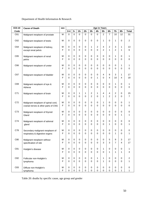| <b>ICD-10</b> | <b>Cause of Death</b>                                                     | <b>Age in Years</b><br>sex |                  |                            |                         |                            |                             |                                 |                            |                         |                                    |               |                     |
|---------------|---------------------------------------------------------------------------|----------------------------|------------------|----------------------------|-------------------------|----------------------------|-----------------------------|---------------------------------|----------------------------|-------------------------|------------------------------------|---------------|---------------------|
| Code          |                                                                           |                            | $0 - 4$          | $5-$                       | $15 -$                  | $25 -$                     | $35-$                       | 45-                             | $55-$                      | $65-$                   | $75-$                              | $85-$         | <b>Total</b>        |
| C61           | Malignant neoplasm of prostate                                            | M                          | 0                | $\mathbf 0$                | $\Omega$                | $\Omega$                   | $\mathbf{0}$                | $\mathbf 0$                     | $\overline{2}$             | $\overline{7}$          | 10                                 | 12            | 31                  |
| C62           | Malignant neoplasm of testis                                              | M                          | 0                | 0                          | $\mathbf 0$             | $\mathbf 0$                | 0                           | $\mathbf 0$                     | 1                          | $\mathbf 0$             | $\mathbf{1}$                       | 0             | 2                   |
| C64           | Malignant neoplasm of kidney,<br>except renal pelvis                      | M<br>F                     | 0<br>0           | 0<br>0                     | 0<br>$\Omega$           | 0<br>$\Omega$              | 1<br>0                      | 2<br>$\Omega$                   | 4<br>$\overline{2}$        | 2<br>1                  | 3<br>$\overline{2}$                | 1<br>1        | 13<br>6             |
| C65           | Malignant neoplasm of renal<br>pelvis                                     | M<br>F                     | 0<br>0           | 0<br>0                     | 0<br>$\Omega$           | $\mathbf 0$<br>$\mathbf 0$ | 0<br>0                      | $\mathbf 0$<br>0                | 0<br>$\mathbf 0$           | 0<br>0                  | $\mathbf{1}$<br>$\Omega$           | 0<br>0        | 0                   |
| C66           | Malignant neoplasm of ureter                                              | M<br>F                     | 0<br>0           | 0<br>0                     | $\mathbf 0$<br>$\Omega$ | $\mathbf 0$<br>$\Omega$    | 0<br>0                      | $\mathbf 0$<br>0                | 0<br>0                     | 0<br>$\Omega$           | $\mathbf 0$<br>$\Omega$            | 1<br>0        | 1<br>0              |
| C67           | Malignant neoplasm of bladder                                             | M<br>F                     | 0<br>0           | 0<br>0                     | 0<br>$\Omega$           | $\mathbf 0$<br>$\Omega$    | 0<br>0                      | $\mathbf 0$<br>1                | $\overline{4}$<br>0        | 9<br>4                  | 3<br>10                            | 1<br>4        | 17<br>19            |
| C69           | Malignant neoplasm of eye &<br>Adnexa                                     | M<br>F                     | 0<br>0           | 0<br>0                     | $\mathbf 0$<br>$\Omega$ | $\mathbf 0$<br>$\Omega$    | 0<br>$\Omega$               | $\mathbf 0$<br>$\Omega$         | 0<br>$\Omega$              | $\mathbf 0$<br>$\Omega$ | $\mathbf{1}$<br>$\Omega$           | 0<br>$\Omega$ | 1<br>0              |
| C71           | Malignant neoplasm of brain                                               | M<br>F                     | 0<br>0           | 0<br>0                     | 1<br>$\Omega$           | 1<br>$\Omega$              | 2<br>$\overline{2}$         | 1<br>0                          | 4<br>$\mathbf{1}$          | 4<br>2                  | $\overline{c}$<br>$\overline{2}$   | 0<br>$\Omega$ | 15<br>7             |
| C72           | Malignant neoplasm of spinal cord,<br>cranial nerves & other parts of CNS | M<br>F                     | 0<br>0           | 0<br>0                     | 0<br>$\Omega$           | $\mathbf 0$<br>$\Omega$    | 0<br>0                      | 0<br>0                          | 1<br>$\mathbf 0$           | 0<br>$\Omega$           | $\mathbf 0$<br>$\Omega$            | 0<br>$\Omega$ | 0                   |
| C73           | Malignant neoplasm of thyroid<br>Gland                                    | M<br>F                     | 0<br>0           | 0<br>0                     | $\mathbf 0$<br>$\Omega$ | 0<br>$\Omega$              | 0<br>0                      | $\mathbf 0$<br>$\Omega$         | 0<br>$\Omega$              | 0<br>0                  | $\mathbf 0$<br>$\Omega$            | 0<br>1        | 0<br>1              |
| C74           | Malignant neoplasm of adrenal<br>gland                                    | M<br>F                     | 0<br>0           | 0<br>0                     | 0<br>0                  | $\mathbf 0$<br>$\Omega$    | 0<br>0                      | $\pmb{0}$<br>0                  | 0<br>$\mathbf 0$           | 0<br>1                  | $\mathbf 0$<br>$\Omega$            | 0<br>0        | 0<br>1              |
| C78           | Secondary malignant neoplasm of<br>respiratory & digestive organs         | M<br>F                     | 0<br>0           | 0<br>0                     | 0<br>0                  | 0<br>$\Omega$              | 0<br>0                      | $\mathbf 0$<br>0                | 0<br>$\mathbf 0$           | 0<br>0                  | 0<br>1                             | 0<br>0        | 0<br>1              |
| C80           | Malignant neoplasm without<br>specification of site                       | M<br>F                     | 0<br>$\mathbf 0$ | 0<br>0                     | 0<br>0                  | $\mathbf 0$<br>$\mathbf 0$ | 0<br>$\mathbf{0}$           | 0<br>$\mathbf 0$                | 0<br>3                     | 5<br>3                  | $\boldsymbol{9}$<br>$\overline{7}$ | 3<br>4        | 17<br>17            |
| C81           | Hodgkin's disease                                                         | M<br>F                     | 0<br>0           | $\mathbf 0$<br>$\mathbf 0$ | 0<br>$\mathbf 0$        | $\mathbf 0$<br>$\mathbf 0$ | $\mathbf 0$<br>$\mathbf{0}$ | $\boldsymbol{0}$<br>$\mathbf 0$ | 1<br>$\pmb{0}$             | $\pmb{0}$<br>1          | $\mathbf 0$<br>$\mathbf{1}$        | 0<br>1        | 1<br>3              |
| C82           | Follicular non-Hodgkin's<br>lymphoma                                      | M<br>F                     | 0<br>$\mathbf 0$ | $\pmb{0}$<br>$\mathbf 0$   | 0<br>0                  | $\mathbf 0$<br>$\mathbf 0$ | 0<br>0                      | $\mathbf{1}$<br>$\mathbf 0$     | 1<br>$\mathbf{1}$          | 0<br>$\mathbf 0$        | $\mathbf 0$<br>$\Omega$            | 0<br>0        | $\overline{c}$<br>1 |
| C83           | Diffuse non-Hodgkin's<br>lymphoma                                         | M<br>F                     | $\pmb{0}$<br>0   | 0<br>$\mathbf 0$           | $\pmb{0}$<br>$\pmb{0}$  | $\mathbf 0$<br>$\mathbf 0$ | 0<br>$\mathbf 0$            | $\pmb{0}$<br>$\mathbf 0$        | $\mathbf 0$<br>$\mathsf 0$ | 0<br>$\mathbf 0$        | $\pmb{0}$<br>$\mathbf 0$           | 0<br>1        | $\pmb{0}$<br>1      |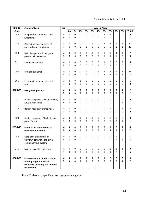| <b>ICD-10</b>   | <b>Cause of Death</b>                                                                                    | sex    |                |                            |                  |                         |                  | <b>Age in Years</b> |                          |                             |                             |                     |                              |
|-----------------|----------------------------------------------------------------------------------------------------------|--------|----------------|----------------------------|------------------|-------------------------|------------------|---------------------|--------------------------|-----------------------------|-----------------------------|---------------------|------------------------------|
| Code            |                                                                                                          |        | $0 - 4$        | $5-$                       | $15-$            | $25 -$                  | $35 -$           | 45-                 | $55-$                    | $65-$                       | $75-$                       | $85-$               | <b>Total</b>                 |
| C84             | Peripheral & cutaneous T-cell<br>lymphomas                                                               | M<br>F | $\pmb{0}$<br>0 | 0<br>0                     | 0<br>0           | 0<br>$\Omega$           | 0<br>0           | $\pmb{0}$<br>0      | 3<br>1                   | 3<br>0                      | $\mathbf 0$<br>$\mathbf{0}$ | 0<br>0              | 6<br>1                       |
| C85             | Other & unspecified types of<br>non-Hodgkin's lymphoma                                                   | M<br>F | 0<br>0         | $\mathbf 0$<br>$\mathbf 0$ | 0<br>0           | $\mathbf 0$<br>1        | 1<br>0           | 0<br>0              | 4<br>2                   | 3<br>5                      | 2<br>1                      | 1<br>1              | 11<br>10                     |
| C90             | Multiple myeloma & malignant<br>plasma cell neoplasms                                                    | M<br>F | 0<br>0         | 0<br>0                     | 0<br>0           | 0<br>$\Omega$           | 0<br>0           | 0<br>0              | 1<br>1                   | 1<br>1                      | 4<br>1                      | 1<br>0              | $\overline{7}$<br>3          |
| C91             | Lymphoid leukaemia                                                                                       | М<br>F | 0<br>0         | 0<br>0                     | 0<br>0           | 0<br>$\Omega$           | 0<br>0           | 0<br>1              | 1<br>0                   | 0<br>1                      | $\overline{c}$<br>$\Omega$  | 2<br>0              | 5<br>$\overline{c}$          |
| C92             | Myeloid leukaemia                                                                                        | м<br>F | 0<br>0         | 0<br>0                     | 0<br>0           | $\mathbf{1}$<br>1       | 0<br>0           | 1<br>0              | 4<br>$\overline{2}$      | 2<br>3                      | 5<br>1                      | 2<br>1              | 15<br>8                      |
| C95             | Leukaemia of unspecified cell<br>type                                                                    | M<br>F | 0<br>0         | 0<br>$\mathbf 0$           | 1<br>0           | $\mathbf 0$<br>$\Omega$ | 0<br>0           | 0<br>0              | 0<br>$\Omega$            | 0<br>0                      | 0<br>$\mathbf{0}$           | 0<br>$\Omega$       | 1<br>0                       |
| D10-D36         | <b>Benign neoplasms</b>                                                                                  | M<br>F | 0<br>0         | 0<br>$\bf{0}$              | 0<br>0           | $\bf{0}$<br>$\bf{0}$    | 0<br>$\bf{0}$    | 0<br>0              | 0<br>0                   | 1<br>0                      | $\mathbf 0$<br>$\bf{0}$     | 1<br>$\overline{2}$ | 2<br>$\mathbf 2$             |
| D <sub>12</sub> | Benign neoplasm of colon, rectum,<br>anus & anal canal                                                   | M<br>F | 0<br>0         | 0<br>$\mathbf 0$           | 0<br>0           | $\mathbf 0$<br>$\Omega$ | 0<br>0           | 0<br>0              | 0<br>0                   | 0<br>0                      | 0<br>$\Omega$               | 0<br>1              | 0<br>1                       |
| D32             | Benign neoplasm of meninges                                                                              | M<br>F | 0<br>0         | 0<br>$\mathbf 0$           | 0<br>0           | 0<br>$\Omega$           | 0<br>0           | 0<br>0              | $\pmb{0}$<br>$\mathbf 0$ | 1<br>0                      | 0<br>0                      | 1<br>0              | $\overline{\mathbf{c}}$<br>0 |
| D33             | Benign neoplasm of brain & other<br>parts of CNS                                                         | М<br>F | 0<br>0         | 0<br>0                     | 0<br>0           | $\mathbf 0$<br>$\Omega$ | 0<br>0           | 0<br>0              | 0<br>0                   | 0<br>0                      | 0<br>$\Omega$               | 0<br>1              | 0<br>1                       |
| D37-D48         | Neoplasms of uncertain or<br>unknown behaviour                                                           | M<br>F | 0<br>0         | 0<br>0                     | 0<br>0           | 0<br>$\bf{0}$           | 0<br>$\bf{0}$    | 0<br>0              | 0<br>0                   | 1<br>1                      | $\mathbf{2}$<br>3           | 1<br>3              | 4<br>$\overline{7}$          |
| D43             | Neoplasm of uncertain or<br>unknown behaviour of brain &<br>central nervous system                       | M<br>F | 0<br>$\Omega$  | 0<br>$\mathbf 0$           | 0<br>0           | 0<br>$\mathbf 0$        | 0<br>$\mathbf 0$ | 0<br>0              | 0<br>$\mathbf 0$         | 0<br>0                      | 1<br>$\mathbf{1}$           | 0<br>1              | 1<br>$\overline{2}$          |
| D46             | Myelodysplastic syndromes                                                                                | М<br>F | 0<br>$\Omega$  | 0<br>0                     | 0<br>$\Omega$    | 0<br>$\Omega$           | 0<br>$\Omega$    | 0<br>0              | 0<br>$\mathbf 0$         | 1<br>1                      | 1<br>$\mathbf{2}$           | 1<br>$\overline{2}$ | 3<br>5                       |
| D50-D89         | Diseases of the blood & blood<br>forming organs & certain<br>disorders involving the immune<br>mechanism | M<br>F | 0<br>0         | 0<br>$\mathbf 0$           | 0<br>$\mathbf 0$ | 0<br>1                  | 0<br>$\bf{0}$    | 0<br>$\pmb{0}$      | 1<br>$\pmb{0}$           | $\mathbf{2}$<br>$\mathbf 0$ | 2<br>5                      | 3<br>1              | 8<br>$\overline{\mathbf{r}}$ |

Table 20: deaths by specific cause, age group and gender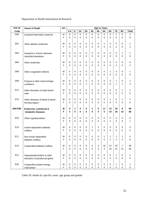| <b>ICD-10</b>   | <b>Cause of Death</b>           | sex         |              |    |             |                  |               | <b>Age in Years</b> |                |             |                |                |              |
|-----------------|---------------------------------|-------------|--------------|----|-------------|------------------|---------------|---------------------|----------------|-------------|----------------|----------------|--------------|
| Code            |                                 |             | $0 - 4$      | 5- | $15 -$      | $25 -$           | $35 -$        | 45-                 | $55-$          | $65-$       | $75-$          | $85-$          | <b>Total</b> |
| D <sub>59</sub> | Acquired haemolytic anaemia     | M           | $\pmb{0}$    | 0  | 0           | $\boldsymbol{0}$ | $\mathbf 0$   | 0                   | $\pmb{0}$      | 0           | $\mathbf{1}$   | $\mathbf 0$    | 1            |
|                 |                                 | F           | 0            | 0  | 0           | 0                | $\Omega$      | 0                   | 0              | 0           | $\mathbf 0$    | 0              | 0            |
|                 |                                 |             |              |    |             |                  |               |                     |                |             |                |                |              |
| D61             | Other aplastic anaemias         | M           | 0            | 0  | 0           | 0                | 0             | 0                   | 1              | 0           | 0              | 0              | 1            |
|                 |                                 | F           | 0            | 0  | 0           | 0                | $\Omega$      | 0                   | 0              | 0           | $\overline{2}$ | $\mathbf 0$    | 2            |
|                 |                                 |             |              |    |             |                  |               |                     |                |             |                |                |              |
| D63             | Anaemia in chronic diseases     | М<br>F      | 0            | 0  | 0           | 0                | 0<br>$\Omega$ | 0<br>$\Omega$       | 0              | 0<br>0      | 0              | $\mathbf{1}$   | 1            |
|                 | classified elsewhere            |             | 0            | 0  | 0           | 0                |               |                     | 0              |             | 0              | 0              | 0            |
| D64             | Other anaemias                  | М           | 0            | 0  | 0           | 0                | 0             | 0                   | 0              | 0           | 0              | 0              | 0            |
|                 |                                 | F           | 0            | 0  | 0           | 0                | $\Omega$      | 0                   | 0              | 0           | $\overline{2}$ | $\mathbf 0$    | 2            |
|                 |                                 |             |              |    |             |                  |               |                     |                |             |                |                |              |
| D68             | Other coagulation defects       | M           | 0            | 0  | 0           | 0                | 0             | 0                   | 0              | 1           | 0              | 0              | 1            |
|                 |                                 | F           | 0            | 0  | 0           | 0                | $\Omega$      | $\Omega$            | 0              | 0           | $\mathbf 0$    | $\mathbf 0$    | 0            |
|                 |                                 |             |              |    |             |                  |               |                     |                |             |                |                |              |
| D69             | Purpura & other haemorrhagic    | М           | 0            | 0  | 0           | 0                | 0             | 0                   | 0              | 0           | $\mathbf{1}$   | $\pmb{0}$      | 1            |
|                 | conditions                      | F           | 0            | 0  | 0           | 1                | $\Omega$      | 0                   | 0              | 0           | 1              | 1              | 3            |
|                 |                                 |             |              |    |             |                  |               |                     |                |             |                |                |              |
| D72             | Other disorders of white blood  | М           | 0            | 0  | 0           | 0                | 0             | 0                   | 0              | 0           | 0              | 1              | 1            |
|                 | cells                           | F           | $\Omega$     | 0  | $\Omega$    | $\Omega$         | $\Omega$      | $\Omega$            | 0              | $\Omega$    | 0              | $\mathbf 0$    | 0            |
| D75             | Other diseases of blood & blood | M           | 0            | 0  | 0           | 0                | 0             | 0                   | 0              | 1           | 0              | 1              | 2            |
|                 | forming organs                  | F           | 0            | 0  | 0           | 0                | 0             | $\Omega$            | 0              | $\Omega$    | $\Omega$       | 0              | $\Omega$     |
|                 |                                 |             |              |    |             |                  |               |                     |                |             |                |                |              |
| E00-E90         | Endocrine, nutritional &        | M           | 0            | 1  | 0           | 0                | 1             | 5                   | 17             | 13          | 24             | 8              | 69           |
|                 | metabolic diseases              | F           | $\mathbf{2}$ | 0  | 0           | 0                | $\mathbf 0$   | 4                   | 5              | 19          | 35             | 15             | 80           |
|                 |                                 |             |              |    |             |                  |               |                     |                |             |                |                |              |
| E03             | Other hypothyroidism            | M           | 0            | 0  | 0           | 0                | 0             | 0                   | 0              | 0           | 0              | $\pmb{0}$      | 0            |
|                 |                                 | F           | 0            | 0  | 0           | 0                | $\Omega$      | 0                   | 0              | 1           | $\mathbf 0$    | $\mathbf 0$    | 1            |
| E10             | Insulin-dependent diabetes      | М           | 0            | 0  | 0           | 0                | 1             | 2                   | 0              | 0           | 0              | 0              | 3            |
|                 | mellitus                        | F           | 0            | 0  | 0           | 0                | 0             | 0                   | 0              | 0           | 0              | 0              | 0            |
|                 |                                 |             |              |    |             |                  |               |                     |                |             |                |                |              |
| E11             | Non-insulin dependent           | М           | 0            | 0  | 0           | 0                | 0             | 0                   | 1              | 1           | 2              | 1              | 5            |
|                 | diabetes mellitus               | $\mathsf F$ | 0            | 0  | 0           | 0                | $\mathbf 0$   | 0                   | 0              | 1           | $\mathbf{3}$   | $\overline{4}$ | 8            |
|                 |                                 |             |              |    |             |                  |               |                     |                |             |                |                |              |
| E14             | Unspecified diabetes mellitus   | M           | $\mathbf 0$  | 0  | 0           | 0                | 0             | 3                   | 16             | 12          | 20             | $\overline{7}$ | 58           |
|                 |                                 | $\mathsf F$ | 0            | 0  | 0           | $\mathbf 0$      | $\mathbf 0$   | 3                   | $\overline{4}$ | 16          | 31             | 11             | 65           |
|                 |                                 |             |              |    |             |                  |               |                     |                |             |                |                |              |
| E21             | Hyperparathyroidism & other     | М           | 0            | 0  | 0           | 0                | 0             | 0                   | 0              | 0           | 1              | 0              | 1            |
|                 | disorders of parathyroid gland  | $\mathsf F$ | $\mathbf 0$  | 0  | $\mathbf 0$ | $\mathbf 0$      | $\mathbf 0$   | 0                   | $\mathsf 0$    | $\mathbf 0$ | $\mathbf 0$    | $\mathbf 0$    | 0            |
| E46             | Unspecified protein-energy      | М           | $\mathbf 0$  | 0  | 0           | 0                | 0             | 0                   | $\pmb{0}$      | 0           | 1              | 0              | 1            |
|                 | malnutrition                    | $\mathsf F$ | $\mathbf 0$  | 0  | $\mathbf 0$ | $\mathsf 0$      | $\mathbf 0$   | 0                   | $\mathbf 0$    | $\mathsf 0$ | $\pmb{0}$      | $\mathsf 0$    | 0            |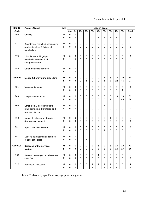| <b>ICD-10</b>   | <b>Cause of Death</b>                                 | sex    |               |        |                       |             |               |                         | <b>Age in Years</b> |                       |               |             |              |
|-----------------|-------------------------------------------------------|--------|---------------|--------|-----------------------|-------------|---------------|-------------------------|---------------------|-----------------------|---------------|-------------|--------------|
| Code            |                                                       |        | $0 - 4$       | $5-$   | $15 -$                | $25 -$      | $35-$         | 45-                     | $55-$               | 65-                   | $75-$         | $85 -$      | <b>Total</b> |
| E66             | Obesity                                               | M      | $\mathbf 0$   | 0      | $\pmb{0}$             | 0           | $\mathbf 0$   | $\mathbf 0$             | $\mathbf 0$         | $\mathbf 0$           | $\mathbf 0$   | $\mathbf 0$ | $\pmb{0}$    |
|                 |                                                       | F      | $\mathbf 0$   | 0      | $\mathbf 0$           | 0           | 0             | $\mathbf{1}$            | $\mathbf{1}$        | 1                     | $\mathbf{1}$  | $\mathbf 0$ | 4            |
|                 |                                                       |        |               |        |                       |             |               |                         |                     |                       |               |             |              |
| E71             | Disorders of branched-chain amino-                    | M      | $\mathbf 0$   | 1      | $\pmb{0}$             | 0           | 0             | 0                       | 0                   | 0                     | 0             | 0           | 1            |
|                 | acid metabolism & fatty-acid                          | F      | $\mathbf 0$   | 0      | $\Omega$              | 0           | $\mathbf 0$   | $\Omega$                | 0                   | $\mathbf 0$           | $\Omega$      | 0           | 0            |
|                 | metabolism                                            |        |               |        |                       |             |               |                         |                     |                       |               |             |              |
| E75             |                                                       | M      | 0             | 0      | 0                     | 0           | 0             | 0                       | 0                   | 0                     | 0             | 0           | 0            |
|                 | Disorders of sphingolipid<br>metabolism & other lipid | F      | $\mathbf{1}$  | 0      | $\mathbf 0$           | $\mathbf 0$ | $\Omega$      | 0                       | 0                   | 0                     | 0             | 0           |              |
|                 | storage disorders                                     |        |               |        |                       |             |               |                         |                     |                       |               |             |              |
|                 |                                                       |        |               |        |                       |             |               |                         |                     |                       |               |             |              |
| E88             | Other metabolic disorders                             | M      | $\mathbf 0$   | 0      | 0                     | $\mathbf 0$ | 0             | 0                       | 0                   | 0                     | 0             | 0           | 0            |
|                 |                                                       | F      | $\mathbf{1}$  | 0      | $\Omega$              | 0           | $\Omega$      | $\Omega$                | $\Omega$            | 0                     | $\Omega$      | 0           | 1            |
|                 |                                                       |        |               |        |                       |             |               |                         |                     |                       |               |             |              |
| F00-F99         | Mental & behavioural disorders                        | М      | 0             | 0      | 0                     | 0           | 0             | 0                       | 1                   | 6                     | 18            | 29          | 54           |
|                 |                                                       | F      | $\bf{0}$      | 0      | 0                     | 1           | 0             | $\bf{0}$                | 1                   | $\overline{7}$        | 22            | 46          | 77           |
|                 |                                                       |        |               |        |                       |             |               |                         |                     |                       |               |             |              |
| F01             | Vascular dementia                                     | М<br>F | 0<br>$\Omega$ | 0<br>0 | $\pmb{0}$<br>$\Omega$ | 0<br>0      | 0<br>$\Omega$ | 0<br>$\Omega$           | 0<br>$\Omega$       | $\pmb{0}$<br>$\Omega$ | 0<br>$\Omega$ | 0<br>1      | 0<br>1       |
|                 |                                                       |        |               |        |                       |             |               |                         |                     |                       |               |             |              |
| F <sub>03</sub> | Unspecified dementia                                  | М      | 0             | 0      | 0                     | 0           | 0             | 0                       | 0                   | 5                     | 18            | 29          | 52           |
|                 |                                                       | F      | 0             | 0      | $\Omega$              | $\Omega$    | 0             | $\Omega$                | 0                   | $\overline{7}$        | 22            | 45          | 74           |
|                 |                                                       |        |               |        |                       |             |               |                         |                     |                       |               |             |              |
| F <sub>06</sub> | Other mental disorders due to                         | M      | 0             | 0      | 0                     | 0           | 0             | 0                       | 1                   | 0                     | 0             | 0           | 1            |
|                 | brain damage & dysfunction and                        | F      | $\mathbf 0$   | 0      | $\Omega$              | 0           | 0             | $\Omega$                | $\mathbf 0$         | $\mathbf 0$           | 0             | 0           | 0            |
|                 | physical disease                                      |        |               |        |                       |             |               |                         |                     |                       |               |             |              |
|                 |                                                       |        |               |        |                       |             |               |                         |                     |                       |               |             |              |
| F <sub>10</sub> | Mental & behavioural disorders                        | М<br>F | 0             | 0      | 0<br>$\Omega$         | 0<br>0      | 0<br>0        | 0<br>$\Omega$           | 0<br>$\Omega$       | 1<br>0                | 0<br>0        | 0<br>0      | 1            |
|                 | due to use of alcohol                                 |        | 0             | 0      |                       |             |               |                         |                     |                       |               |             | 0            |
| F31             | Bipolar affective disorder                            | M      | 0             | 0      | 0                     | 0           | 0             | 0                       | 0                   | 0                     | 0             | 0           | 0            |
|                 |                                                       | F      | $\mathbf 0$   | 0      | 0                     | 0           | 0             | $\Omega$                | 1                   | 0                     | 0             | 0           | 1            |
|                 |                                                       |        |               |        |                       |             |               |                         |                     |                       |               |             |              |
| F81             | Specific developmental disorders                      | M      | 0             | 0      | 0                     | 0           | 0             | 0                       | 0                   | 0                     | 0             | 0           | 0            |
|                 | of scholastic skills                                  | F      | $\mathbf 0$   | 0      | 0                     | 1           | 0             | 0                       | 0                   | 0                     | 0             | 0           | $\mathbf{1}$ |
|                 |                                                       |        |               |        |                       |             |               |                         |                     |                       |               |             |              |
| G00-G99         | Diseases of the nervous                               | M      | $\bf{0}$      | 1      | 0                     | 0           | $\mathbf 2$   | 5                       | 2                   | 6                     | 14            | 13          | 43           |
|                 | system                                                | F      | 0             | 0      | $\mathbf 0$           | 0           | $\mathbf{2}$  | 6                       | 5                   | $6\phantom{1}$        | 14            | 17          | 50           |
| G00             |                                                       |        | $\mathbf 0$   | 0      | 0                     | $\mathbf 0$ | 0             | $\mathbf{1}$            | $\pmb{0}$           | 0                     | $\mathbf 0$   | 0           |              |
|                 | Bacterial meningitis, not elsewhere                   | M<br>F | $\mathbf 0$   | 0      | $\mathbf 0$           | $\mathbf 0$ | $\mathbf 0$   | 0                       | $\mathbf 0$         | $\mathbf 0$           | $\mathbf 0$   | 0           | 1<br>0       |
|                 | classified                                            |        |               |        |                       |             |               |                         |                     |                       |               |             |              |
| G10             | Huntington's disease                                  | М      | 0             | 0      | 0                     | 0           | 1             | 1                       | 1                   | 1                     | 0             | 0           | 4            |
|                 |                                                       | F      | 0             | 0      | $\mathsf 0$           | 0           | 1             | $\overline{\mathbf{4}}$ | $\overline{c}$      | $\mathbf{1}$          | 1             | 0           | 9            |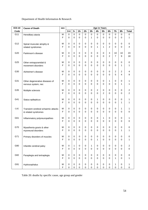| <b>ICD-10</b> | <b>Cause of Death</b>               | <b>Age in Years</b><br>sex |                  |                          |                          |                                 |                            |                          |                            |             |                         |                       |              |
|---------------|-------------------------------------|----------------------------|------------------|--------------------------|--------------------------|---------------------------------|----------------------------|--------------------------|----------------------------|-------------|-------------------------|-----------------------|--------------|
| Code          |                                     |                            | $0 - 4$          | $5-$                     | $15 -$                   | $25-$                           | $35 -$                     | 45-                      | $55-$                      | $65-$       | $75 -$                  | $85-$                 | <b>Total</b> |
| G11           | Hereditary ataxia                   | M                          | $\pmb{0}$        | $\pmb{0}$                | 0                        | $\boldsymbol{0}$                | 0                          | 0                        | 0                          | 0           | 0                       | 0                     | 0            |
|               |                                     | F                          | 0                | $\mathbf 0$              | 0                        | 0                               | 1                          | $\mathbf 0$              | 0                          | 0           | $\mathbf 0$             | 0                     | 1            |
|               |                                     |                            |                  |                          |                          |                                 |                            |                          |                            |             |                         |                       |              |
| G12           | Spinal muscular atrophy &           | M<br>F                     | 0<br>0           | $\pmb{0}$<br>$\pmb{0}$   | 0<br>$\Omega$            | 0<br>0                          | 0<br>0                     | $\mathbf 0$<br>1         | 0<br>1                     | 0<br>2      | $\mathbf 0$<br>$\Omega$ | 0<br>0                | 0            |
|               | related syndromes                   |                            |                  |                          |                          |                                 |                            |                          |                            |             |                         |                       | 4            |
| G20           | Parkinson's disease                 | M                          | 0                | $\pmb{0}$                | 0                        | 0                               | 0                          | 0                        | 0                          | 3           | 10                      | 10                    | 23           |
|               |                                     | F                          | 0                | $\pmb{0}$                | 0                        | 0                               | 0                          | 0                        | 0                          | 2           | $\overline{7}$          | 9                     | 18           |
|               |                                     |                            |                  |                          |                          |                                 |                            |                          |                            |             |                         |                       |              |
| G25           | Other extrapyramidal &              | M                          | 0                | $\pmb{0}$                | 0                        | 0                               | 0                          | 0                        | 0                          | 0           | $\pmb{0}$               | 0                     | 0            |
|               | movement disorders                  | F                          | 0                | $\pmb{0}$                | $\Omega$                 | 0                               | 0                          | $\overline{0}$           | 0                          | 0           | $\mathbf 0$             | 1                     | 1            |
| G30           |                                     | M                          |                  | $\pmb{0}$                | $\pmb{0}$                |                                 |                            | 0                        |                            |             | $\sqrt{2}$              | $\overline{c}$        |              |
|               | Alzheimer's disease                 | F                          | 0<br>0           | 0                        | $\Omega$                 | 0<br>0                          | 0<br>0                     | $\overline{0}$           | 0<br>0                     | 0<br>0      | 5                       | 4                     | 4<br>9       |
|               |                                     |                            |                  |                          |                          |                                 |                            |                          |                            |             |                         |                       |              |
| G31           | Other degenerative diseases of      | M                          | 0                | $\pmb{0}$                | $\mathbf 0$              | 0                               | 0                          | 0                        | $\pmb{0}$                  | 1           | $\mathbf 0$             | 0                     | 1            |
|               | nervous system, nec                 | F                          | 0                | $\mathbf 0$              | $\Omega$                 | 0                               | 0                          | $\Omega$                 | 0                          | 0           | $\Omega$                | 1                     | 1            |
|               |                                     |                            |                  |                          |                          |                                 |                            |                          |                            |             |                         |                       |              |
| G35           | Multiple sclerosis                  | M<br>F                     | 0<br>0           | $\pmb{0}$<br>$\mathbf 0$ | 0<br>$\Omega$            | 0<br>0                          | 0<br>0                     | 2<br>$\Omega$            | 0<br>2                     | 0           | $\mathbf 0$<br>$\Omega$ | 0<br>0                | 2            |
|               |                                     |                            |                  |                          |                          |                                 |                            |                          |                            | 0           |                         |                       | 2            |
| G41           | Status epilepticus                  | M                          | 0                | $\pmb{0}$                | 0                        | 0                               | 0                          | 1                        | 0                          | 0           | $\pmb{0}$               | 0                     | 1            |
|               |                                     | F                          | 0                | $\pmb{0}$                | 0                        | 0                               | 0                          | $\mathbf 0$              | 0                          | 0           | $\mathbf 0$             | 1                     | 1            |
|               |                                     |                            |                  |                          |                          |                                 |                            |                          |                            |             |                         |                       |              |
| G45           | Transient cerebral schaemic attacks | M                          | 0                | $\pmb{0}$                | 0                        | 0                               | 0                          | $\mathbf 0$              | 0                          | 0           | 0                       | 1                     | 1            |
|               | & related syndromes                 | F                          | 0                | 0                        | 0                        | 0                               | 0                          | $\mathbf 0$              | 0                          | 0           | $\mathbf 0$             | 0                     | 0            |
| G61           | Inflammatory polyneuropathies       | M                          | 0                | $\pmb{0}$                | 0                        | 0                               | 0                          | $\mathbf 0$              | 1                          | 0           | 0                       | 0                     | 1            |
|               |                                     | F                          | 0                | 0                        | 0                        | 0                               | 0                          | $\mathbf 0$              | 0                          | 0           | $\mathbf 0$             | 0                     | 0            |
|               |                                     |                            |                  |                          |                          |                                 |                            |                          |                            |             |                         |                       |              |
| G70           | Myasthenia gravis & other           | M                          | 0                | $\pmb{0}$                | 0                        | 0                               | 0                          | 0                        | 0                          | 0           | $\pmb{0}$               | 0                     | 0            |
|               | myoneural disorders                 | F                          | 0                | $\mathbf 0$              | $\Omega$                 | 0                               | 0                          | $\mathbf 0$              | 0                          | 0           | $\Omega$                | 1                     | 1            |
| G71           | Primary disorders of muscles        | M                          | 0                | $\mathbf 0$              | 0                        | 0                               | 0                          | 0                        | 0                          | 0           | 0                       | 0                     | 0            |
|               |                                     | F                          | 0                | $\pmb{0}$                | $\mathbf 0$              | 0                               | 0                          | 1                        | 0                          | 0           | $\mathbf 0$             | 0                     | 1            |
|               |                                     |                            |                  |                          |                          |                                 |                            |                          |                            |             |                         |                       |              |
| G80           | Infantile cerebral palsy            | M                          | $\pmb{0}$        | $\mathbf{1}$             | $\pmb{0}$                | $\boldsymbol{0}$                | 1                          | $\pmb{0}$                | $\mathbf 0$                | 0           | $\mathbf 0$             | 0                     | 2            |
|               |                                     | F                          | 0                | $\mathsf 0$              | $\mathbf 0$              | 0                               | $\mathbf 0$                | $\pmb{0}$                | $\mathbf 0$                | $\mathbf 0$ | $\mathbf 0$             | 0                     | $\pmb{0}$    |
|               |                                     |                            |                  |                          |                          |                                 |                            |                          |                            |             |                         |                       |              |
| G82           | Paraplegia and tertraplegia         | M<br>$\mathsf F$           | 0<br>$\mathbf 0$ | $\mathsf 0$<br>$\pmb{0}$ | $\pmb{0}$<br>$\mathbf 0$ | $\boldsymbol{0}$<br>$\mathbf 0$ | $\mathbf 0$<br>$\mathbf 0$ | $\pmb{0}$<br>$\mathbf 0$ | $\mathbf 0$<br>$\mathbf 0$ | 0<br>0      | $\pmb{0}$<br>1          | 0<br>$\boldsymbol{0}$ | 0<br>1       |
|               |                                     |                            |                  |                          |                          |                                 |                            |                          |                            |             |                         |                       |              |
| G91           | Hydrocephalus                       | M                          | 0                | $\pmb{0}$                | $\pmb{0}$                | 0                               | 0                          | $\mathbf 0$              | $\pmb{0}$                  | 0           | 1                       | 0                     | 1            |
|               |                                     | F                          | 0                | $\mathbf 0$              | $\pmb{0}$                | $\mathbf 0$                     | $\pmb{0}$                  | $\mathbf 0$              | $\mathbf 0$                | 0           | $\mathbf 0$             | 0                     | 0            |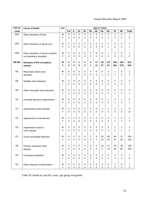| <b>ICD-10</b> | <b>Cause of Death</b>                 | <b>Age in Years</b><br>sex |             |             |             |        |             |                |                |             |                  |                |                         |
|---------------|---------------------------------------|----------------------------|-------------|-------------|-------------|--------|-------------|----------------|----------------|-------------|------------------|----------------|-------------------------|
| Code          |                                       |                            | $0 - 4$     | $5-$        | $15-$       | $25 -$ | $35-$       | 45-            | $55-$          | $65-$       | $75-$            | $85-$          | <b>Total</b>            |
| G93           | Other disorders of brain              | M                          | 0           | $\mathbf 0$ | $\pmb{0}$   | 0      | $\pmb{0}$   | 0              | $\pmb{0}$      | $\mathbf 0$ | 1                | $\mathbf 0$    | 1                       |
|               |                                       | F                          | 0           | 0           | 0           | 0      | 0           | 0              | $\mathbf 0$    | 0           | 0                | 0              | 0                       |
|               |                                       |                            |             |             |             |        |             |                |                |             |                  |                |                         |
| G95           | Other disorders of spinal cord        | M                          | 0           | $\pmb{0}$   | 0           | 0      | 0           | 0              | 0              | 0           | 0                | 0              | 0                       |
|               |                                       | F                          | 0           | $\pmb{0}$   | 0           | 0      | 0           | 0              | $\Omega$       | 1           | 0                | $\mathbf 0$    | 1                       |
| G98           | Other disorders of nervous system     | M                          | 0           | $\pmb{0}$   | 0           | 0      | 0           | 0              | 0              | 1           | 0                | 0              | 1                       |
|               | not elsewhere classified              | F                          | 0           | 0           | 0           | 0      | 0           | 0              | 0              | 0           | $\Omega$         | 0              | 0                       |
|               |                                       |                            |             |             |             |        |             |                |                |             |                  |                |                         |
| 100-199       | Diseases of the circulatory           | M                          | 0           | $\mathbf 0$ | 1           | 0      | 4           | 17             | 68             | 127         | 245              | 153            | 615                     |
|               | system                                | F                          | 0           | 2           | $\bf{0}$    | 3      | 1           | 11             | 27             | 51          | 261              | 278            | 634                     |
|               |                                       |                            |             |             |             |        |             |                |                |             |                  |                |                         |
| 105           | Rheumatic mitral valve                | M                          | 0           | $\pmb{0}$   | 0           | 0      | 0           | 0              | 0              | 0           | 1                | 0              | 1                       |
|               | diseases                              | F                          | 0           | 0           | 0           | 0      | 0           | 0              | 1              | $\Omega$    | $\overline{2}$   | $\mathbf 0$    | 3                       |
| 108           | Multiple valve diseases               | M                          | 0           | 0           | 0           | 0      | 0           | 0              | 0              | 0           | 0                | 0              | 0                       |
|               |                                       | F                          | 0           | 0           | 0           | 0      | 0           | 0              | 1              | 0           | 0                | $\mathbf 0$    | 1                       |
|               |                                       |                            |             |             |             |        |             |                |                |             |                  |                |                         |
| 109           | Other rheumatic heart diseases        | M                          | 0           | $\pmb{0}$   | 0           | 0      | 0           | 0              | 0              | 0           | 0                | 0              | 0                       |
|               |                                       | F                          | $\Omega$    | 0           | 0           | 0      | 0           | 0              | $\Omega$       | $\Omega$    | 1                | $\mathbf 0$    | 1                       |
|               |                                       |                            |             |             |             |        |             |                |                |             |                  |                |                         |
| 110           | Essential (primary) hypertension      | M                          | 0           | 0           | 0           | 0      | 0           | 0              | 0              | 1           | 4                | 1              | 6                       |
|               |                                       | F                          | $\Omega$    | 0           | 0           | 0      | 0           | 0              | 0              | 0           | 1                | 0              | 1                       |
| 111           | Hypertensive heart disease            | M                          | 0           | 0           | 0           | 0      | $\pmb{0}$   | 0              | 1              | 1           | 2                | $\overline{c}$ | 6                       |
|               |                                       | F                          | 0           | 0           | $\mathbf 0$ | 0      | 0           | 0              | 0              | 0           | 6                | 5              | 11                      |
|               |                                       |                            |             |             |             |        |             |                |                |             |                  |                |                         |
| 112           | Hypertensive renal disease            | M                          | 0           | 0           | 0           | 0      | 0           | 0              | 0              | 0           | $\boldsymbol{2}$ | 0              | $\overline{\mathbf{c}}$ |
|               |                                       | F                          | 0           | 0           | 0           | 0      | 0           | 0              | 0              | 0           | $\overline{2}$   | $\mathbf{1}$   | 3                       |
| 113           |                                       | M                          | 0           |             | 0           | 0      |             | 0              | 0              | 0           | 1                |                |                         |
|               | Hypertensive heart &<br>renal disease | F                          | 0           | 0<br>0      | 0           | 0      | 0<br>0      | 0              | 0              | 0           | 0                | 1<br>2         | 2<br>2                  |
|               |                                       |                            |             |             |             |        |             |                |                |             |                  |                |                         |
| 121           | Acute myocardial infarction           | M                          | 0           | 0           | 0           | 0      | 2           | 4              | 30             | 59          | 96               | 37             | 228                     |
|               |                                       | F                          | 0           | $\mathsf 0$ | 0           | 0      | 0           | 7              | 10             | 20          | 57               | 55             | 149                     |
|               |                                       |                            |             |             |             |        |             |                |                |             |                  |                |                         |
| 125           | Chronic ischaemic heart               | M                          | 0           | $\mathsf 0$ | 0           | 0      | $\pmb{0}$   | 6              | 18             | 27          | 48               | 39             | 138                     |
|               | disease                               | F                          | 0           | 0           | 0           | 0      | $\pmb{0}$   | $\overline{2}$ | 5              | 13          | 55               | 85             | 160                     |
| 126           | Pulmonary embolism                    | M                          | 0           | 0           | 0           | 0      | $\mathbf 0$ | 0              | $\overline{2}$ | 0           | 0                | 0              | 2                       |
|               |                                       | F                          | $\mathbf 0$ | 0           | $\mathbf 0$ | 0      | $\mathbf 0$ | $\mathbf 0$    | $\mathbf 0$    | $\mathbf 0$ | 3                | 3              | 6                       |
|               |                                       |                            |             |             |             |        |             |                |                |             |                  |                |                         |
| 131           | Other diseases of pericardium         | M                          | 0           | 0           | 0           | 0      | $\pmb{0}$   | 0              | 0              | 0           | 1                | 0              | 1                       |
|               |                                       | F                          | $\mathsf 0$ | $\mathsf 0$ | 0           | 0      | $\mathbf 0$ | 0              | 0              | $\mathsf 0$ | $\mathbf 0$      | 0              | 0                       |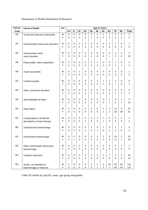| <b>ICD-10</b> | <b>Cause of Death</b>               | <b>Age in Years</b><br>sex |             |                  |               |              |             |                  |                         |                  |               |                     |                |
|---------------|-------------------------------------|----------------------------|-------------|------------------|---------------|--------------|-------------|------------------|-------------------------|------------------|---------------|---------------------|----------------|
| Code          |                                     |                            | $0-4$       | $5-$             | $15-$         | $25 -$       | $35 -$      | 45-              | $55-$                   | $65-$            | $75 -$        | $85-$               | <b>Total</b>   |
| 133           | Acute and subacute endocarditis     | M                          | $\mathsf 0$ | 0                | 0             | $\mathbf 0$  | $\pmb{0}$   | $\pmb{0}$        | $\mathbf{1}$            | 1                | $\mathbf 0$   | 0                   | 2              |
|               |                                     | F                          | 0           | 0                | $\mathbf 0$   | 0            | 1           | 0                | $\mathbf 0$             | $\mathbf 0$      | 0             | 0                   | 1              |
|               |                                     |                            |             |                  |               |              |             |                  |                         |                  |               |                     |                |
| 134           | Nonrheumatic mitral valve disorders | M                          | 0           | $\pmb{0}$        | $\pmb{0}$     | $\mathbf 0$  | 0           | $\pmb{0}$        | 0                       | 0                | 1             | 0                   | 1              |
|               |                                     | F                          | 0           | 0                | $\mathbf 0$   | 0            | $\Omega$    | 0                | $\mathbf 0$             | $\mathbf 0$      | $\Omega$      | 0                   | 0              |
| 135           | Nonrheumatic aortic                 | M                          | 0           | 0                | 0             | 0            | 0           | 0                | 0                       | 0                | 3             | 1                   | 4              |
|               | valve disorders                     | F                          | 0           | 0                | 0             | 0            | 0           | 0                | $\mathbf 0$             | 1                | 5             | 4                   | 10             |
|               |                                     |                            |             |                  |               |              |             |                  |                         |                  |               |                     |                |
| 138           | Endocarditis, valve unspecified     | M                          | 0           | 0                | 0             | 0            | 0           | 1                | $\pmb{0}$               | 0                | 1             | 0                   | 2              |
|               |                                     | F                          | 0           | 0                | $\mathbf 0$   | $\mathbf 0$  | 0           | 0                | 0                       | 0                | 1             | 1                   | $\overline{2}$ |
|               |                                     |                            |             |                  |               |              |             |                  |                         |                  |               |                     |                |
| 140           | Acute myocarditis                   | M                          | 0           | 0                | 1             | 0            | 0           | $\pmb{0}$        | 0                       | 0                | 0             | 0                   | 1              |
|               |                                     | F                          | 0           | 0                | $\mathbf 0$   | 0            | 0           | 0                | $\mathbf 0$             | 0                | $\Omega$      | 0                   | 0              |
| I42           | Cardiomyopathy                      | M                          | 0           | 0                | 0             | $\pmb{0}$    | 0           | $\sqrt{2}$       | 1                       | 2                | 1             | 0                   | 6              |
|               |                                     | F                          | 0           | 0                | 0             | 0            | $\mathbf 0$ | $\mathbf 0$      | 1                       | 0                | 1             | 0                   | 2              |
|               |                                     |                            |             |                  |               |              |             |                  |                         |                  |               |                     |                |
| 145           | Other conduction disorders          | M                          | 0           | 0                | $\mathbf 0$   | 0            | 0           | $\mathbf 0$      | 0                       | 0                | 0             | 0                   | 0              |
|               |                                     | F                          | 0           | 0                | $\Omega$      | $\Omega$     | $\Omega$    | $\Omega$         | $\mathbf 0$             | 0                | 1             | 1                   | 2              |
|               |                                     |                            |             |                  |               |              |             |                  |                         |                  |               |                     |                |
| 148           | Atrial fibrillation & flutter       | M<br>F                     | 0<br>0      | 0<br>0           | 0<br>$\Omega$ | 0<br>0       | 0<br>0      | 0<br>0           | 0<br>$\mathbf 0$        | 1<br>1           | 3<br>6        | 1<br>$\overline{7}$ | 5<br>14        |
|               |                                     |                            |             |                  |               |              |             |                  |                         |                  |               |                     |                |
| 150           | Heart failure                       | M                          | 0           | 0                | 0             | 0            | 0           | $\mathbf 0$      | 2                       | 3                | 11            | 9                   | 25             |
|               |                                     | F                          | 0           | 0                | $\mathbf 0$   | $\mathbf 0$  | 0           | 0                | 1                       | 2                | 18            | 30                  | 51             |
|               |                                     |                            |             |                  |               |              |             |                  |                         |                  |               |                     |                |
| 151           | Complications & ill-defined         | M                          | 0           | 0                | $\mathbf 0$   | 0            | 0           | 1                | 1                       | 0                | $\mathbf 0$   | $\overline{c}$      | 4              |
|               | descriptions of heart disease       | F                          | 0           | 0                | $\mathbf 0$   | $\mathbf{1}$ | 0           | 0                | $\mathbf{1}$            | 0                | $\Omega$      | 0                   | 2              |
| 160           | Subarachnoid haemorrhage            | M                          | 0           | 0                | 0             | $\pmb{0}$    | 1           | $\mathbf 0$      | 1                       | 0                | 1             | 1                   | 4              |
|               |                                     | F                          | 0           | 0                | 0             | 1            | 0           | 1                | 0                       | 1                | 2             | 0                   | 5              |
|               |                                     |                            |             |                  |               |              |             |                  |                         |                  |               |                     |                |
| 161           | Intracerebral haemorrhage           | M                          | 0           | 0                | 0             | 0            | 0           | 1                | 2                       | 3                | 14            | 2                   | 22             |
|               |                                     | F                          | 0           | 1                | 0             | $\mathbf 0$  | $\mathbf 0$ | 0                | $\boldsymbol{0}$        | 5                | 11            | $\overline{7}$      | 24             |
|               |                                     |                            |             |                  |               |              |             |                  |                         |                  |               |                     |                |
| 162           | Other nontraumatic intracranial     | M<br>F                     | 0<br>0      | 0<br>$\mathbf 0$ | 0<br>$\Omega$ | 0<br>0       | 0<br>0      | 0<br>$\mathbf 0$ | 0<br>$\pmb{0}$          | 0<br>$\mathbf 0$ | 0<br>$\Omega$ | 1<br>$\mathbf 0$    | 1<br>0         |
|               | haemorrhage                         |                            |             |                  |               |              |             |                  |                         |                  |               |                     |                |
| 163           | Cerebral infarctions                | M                          | 0           | $\pmb{0}$        | 0             | 0            | 1           | 1                | $\boldsymbol{2}$        | $\overline{7}$   | 3             | 2                   | 16             |
|               |                                     | F                          | 0           | $\mathbf 0$      | $\mathbf 0$   | $\mathbf 0$  | 0           | $\mathbf 0$      | $\overline{2}$          | $\mathbf 0$      | 6             | 4                   | 12             |
|               |                                     |                            |             |                  |               |              |             |                  |                         |                  |               |                     |                |
| 164           | Stroke, not specified as            | M                          | 0           | 0                | $\mathbf 0$   | 0            | 0           | 1                | $\overline{\mathbf{4}}$ | 16               | 45            | 45                  | 111            |
|               | haemorrhage or infarction           | F                          | $\pmb{0}$   | 0                | 0             | $\mathbf 0$  | 0           | 1                | $\overline{c}$          | $\overline{7}$   | 65            | 52                  | 127            |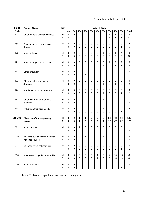| <b>ICD-10</b>   | <b>Cause of Death</b>               | sex    | <b>Age in Years</b> |                  |             |             |             |                     |                           |                         |                  |                |              |
|-----------------|-------------------------------------|--------|---------------------|------------------|-------------|-------------|-------------|---------------------|---------------------------|-------------------------|------------------|----------------|--------------|
| Code            |                                     |        | $0 - 4$             | $5-$             | $15 -$      | $25 -$      | $35 -$      | 45-                 | $55-$                     | $65-$                   | $75-$            | $85 -$         | <b>Total</b> |
| 167             | Other cerebrovascular diseases      | M      | $\pmb{0}$           | $\pmb{0}$        | $\mathbf 0$ | 0           | $\mathbf 0$ | 0                   | 0                         | 1                       | $\boldsymbol{2}$ | 3              | 6            |
|                 |                                     | F      | 0                   | $\mathbf{1}$     | $\mathbf 0$ | 0           | $\mathbf 0$ | 0                   | 0                         | 1                       | 3                | 7              | 12           |
|                 |                                     |        |                     |                  |             |             |             |                     |                           |                         |                  |                |              |
| 169             | Sequelae of cerebrovascular         | М      | 0                   | $\pmb{0}$        | $\mathbf 0$ | 0           | $\pmb{0}$   | 0                   | 0                         | 0                       | $\overline{c}$   | 0              | 2            |
|                 | disease                             | F      | 0                   | $\mathbf 0$      | $\Omega$    | $\Omega$    | 0           | 0                   | 0                         | $\mathbf 0$             | 5                | 1              | 6            |
|                 |                                     |        |                     |                  |             |             |             |                     |                           |                         |                  |                |              |
| 170             | Atherosclerosis                     | М      | 0                   | $\pmb{0}$        | 0           | 0           | 0           | 0                   | 1                         | $\overline{2}$          | 1                | 4              | 8            |
|                 |                                     | F      | 0                   | $\mathbf 0$      | 0           | 0           | 0           | 0                   | 0                         | 0                       | 7                | 9              | 16           |
|                 |                                     |        |                     |                  |             |             |             |                     |                           |                         |                  |                |              |
| 171             | Aortic aneurysm & dissection        | M      | 0                   | $\pmb{0}$        | 0           | 0           | 0           | 0                   | 0                         | 1                       | $\overline{c}$   | $\overline{c}$ | 5            |
|                 |                                     | F      | 0                   | $\pmb{0}$        | $\Omega$    | 0           | 0           | 0                   | 1                         | 0                       | $\overline{c}$   | $\overline{2}$ | 5            |
| 172             |                                     | M      | 0                   | $\pmb{0}$        | 0           | 0           | 0           |                     | $\mathbf 0$               | 0                       | 0                | 0              |              |
|                 | Other aneurysm                      | F      | 0                   | $\mathbf 0$      | 0           | 1           | 0           | 0<br>0              | 0                         | 0                       | 0                | 0              | 0<br>1       |
|                 |                                     |        |                     |                  |             |             |             |                     |                           |                         |                  |                |              |
| 173             | Other peripheral vascular           | M      | 0                   | $\pmb{0}$        | $\mathbf 0$ | 0           | $\pmb{0}$   | 0                   | 0                         | 0                       | 0                | 0              | 0            |
|                 | diseases                            | F      | 0                   | $\mathbf 0$      | $\mathbf 0$ | 0           | 0           | 0                   | 1                         | 0                       | $\mathbf{1}$     | 0              | 2            |
|                 |                                     |        |                     |                  |             |             |             |                     |                           |                         |                  |                |              |
| 174             | Arterial embolism & thrombosis      | М      | 0                   | $\pmb{0}$        | 0           | 0           | $\pmb{0}$   | 0                   | 0                         | 0                       | 0                | 0              | 0            |
|                 |                                     | F      | 0                   | $\mathbf 0$      | $\Omega$    | $\Omega$    | 0           | 0                   | 1                         | $\Omega$                | $\Omega$         | 1              | 2            |
|                 |                                     |        |                     |                  |             |             |             |                     |                           |                         |                  |                |              |
| 177             | Other disorders of arteries &       | М      | 0                   | $\pmb{0}$        | 0           | 0           | 0           | 0                   | 1                         | 0                       | 0                | 0              | 1            |
|                 | arterioles                          | F      | 0                   | $\mathbf 0$      | $\Omega$    | $\Omega$    | 0           | $\Omega$            | 0                         | $\Omega$                | 0                | 0              | 0            |
|                 |                                     |        |                     |                  |             |             |             |                     |                           |                         |                  |                |              |
| 180             | Phlebitis & thrombophlebitis        | М      | 0                   | $\pmb{0}$        | 0           | 0           | 0           | 0                   | 1                         | 2                       | 0                | 0              | 3            |
|                 |                                     | F      | 0                   | $\pmb{0}$        | $\Omega$    | 0           | 0           | 0                   | 0                         | $\mathbf 0$             | $\mathbf 0$      | 1              | 1            |
|                 |                                     |        |                     |                  |             |             |             |                     |                           |                         |                  |                |              |
| J00-J99         | Diseases of the respiratory         | М<br>F | 0<br>0              | 0<br>$\mathbf 0$ | 1<br>1      | 1<br>0      | 0<br>0      | 5<br>$\overline{2}$ | 8<br>1                    | 26<br>17                | 78<br>47         | 64<br>52       | 183<br>120   |
|                 | system                              |        |                     |                  |             |             |             |                     |                           |                         |                  |                |              |
| J <sub>01</sub> | Acute sinusitis                     | M      | 0                   | $\pmb{0}$        | 1           | 0           | 0           | 0                   | 0                         | 0                       | 0                | 0              | 1            |
|                 |                                     | F      | 0                   | 0                | 0           | 0           | 0           | 0                   | 0                         | 0                       | 0                | 0              | 0            |
|                 |                                     |        |                     |                  |             |             |             |                     |                           |                         |                  |                |              |
| J09             | Influenza due to certain identified | M      | 0                   | $\pmb{0}$        | 0           | 1           | 0           | 0                   | 1                         | 0                       | 0                | 0              | 2            |
|                 | influenza viruses                   | F      | 0                   | $\mathbf 0$      | $\mathbf 0$ | 0           | 0           | 0                   | 0                         | $\mathbf 0$             | $\mathbf 0$      | 0              | $\pmb{0}$    |
|                 |                                     |        |                     |                  |             |             |             |                     |                           |                         |                  |                |              |
| J11             | Influenza, virus not identified     | M      | 0                   | $\pmb{0}$        | 0           | 0           | $\pmb{0}$   | 0                   | $\pmb{0}$                 | 0                       | 0                | 0              | 0            |
|                 |                                     | F      | 0                   | $\pmb{0}$        | 0           | 0           | 0           | 0                   | $\mathbf 0$               | 0                       | $\mathbf 0$      | 1              | 1            |
|                 |                                     |        |                     |                  |             |             |             |                     |                           |                         |                  |                |              |
| J18             | Pneumonia, organism unspecified     | M      | $\mathbf 0$         | $\mathbf 0$      | 0           | 0           | $\pmb{0}$   | 1                   | $\ensuremath{\mathsf{3}}$ | $\overline{\mathbf{4}}$ | 16               | 16             | 40           |
|                 |                                     | F      | 0                   | $\mathbf 0$      | $\Omega$    | 0           | $\pmb{0}$   | 1                   | $\pmb{0}$                 | 5                       | 15               | 19             | 40           |
|                 |                                     |        |                     |                  |             |             |             |                     |                           |                         |                  |                |              |
| J20             | Acute bronchitis                    | M      | 0                   | $\pmb{0}$        | $\mathbf 0$ | 0           | $\pmb{0}$   | $\pmb{0}$           | $\pmb{0}$                 | 0                       | 0                | 0              | 0            |
|                 |                                     | F      | 0                   | $\mathbf 0$      | 0           | $\mathsf 0$ | $\pmb{0}$   | $\mathsf 0$         | $\mathbf 0$               | $\pmb{0}$               | 0                | $\mathbf{1}$   | $\mathbf{1}$ |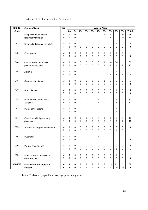| <b>ICD-10</b> | <b>Cause of Death</b>                            | sex              | <b>Age in Years</b> |                         |                          |                  |                          |                          |                                    |                            |                                |                             |                                          |
|---------------|--------------------------------------------------|------------------|---------------------|-------------------------|--------------------------|------------------|--------------------------|--------------------------|------------------------------------|----------------------------|--------------------------------|-----------------------------|------------------------------------------|
| Code          |                                                  |                  | $0 - 4$             | $5-$                    | $15-$                    | $25 -$           | $35 -$                   | 45-                      | $55-$                              | $65-$                      | $75 -$                         | $85-$                       | <b>Total</b>                             |
| J22           | Unspecified acute lower<br>respiratory infection | M<br>F           | $\mathsf 0$<br>0    | 0<br>0                  | 0<br>0                   | 0<br>0           | 0<br>0                   | $\pmb{0}$<br>$\mathbf 0$ | $\mathbf{1}$<br>$\mathbf 0$        | 1<br>$\overline{2}$        | 11<br>13                       | 26<br>19                    | 39<br>34                                 |
| J42           | Unspecified chronic bronchitis                   | M<br>F           | 0<br>0              | $\mathbf 0$<br>0        | 0<br>0                   | 0<br>0           | 0<br>0                   | $\pmb{0}$<br>$\mathbf 0$ | 0<br>0                             | 0<br>0                     | $\overline{c}$<br>$\mathbf{0}$ | $\mathbf 0$<br>0            | $\sqrt{2}$<br>$\pmb{0}$                  |
| J43           | Emphysema                                        | М<br>F           | 0<br>0              | 0<br>0                  | 0<br>$\Omega$            | 0<br>0           | 0<br>0                   | 0<br>0                   | 0<br>0                             | 0<br>0                     | $\mathbf{1}$<br>$\Omega$       | 0<br>0                      | $\mathbf{1}$<br>$\mathbf 0$              |
| J44           | Other chronic obstructive<br>pulmonary disease   | M<br>F           | 0<br>0              | 0<br>0                  | 0<br>0                   | 0<br>0           | 0<br>0                   | 0<br>0                   | 1<br>1                             | 18<br>$\overline{4}$       | 36<br>1                        | 11<br>$\overline{4}$        | 66<br>10                                 |
| J45           | Asthma                                           | М<br>F           | 0<br>$\mathbf 0$    | 0<br>0                  | 0<br>$\Omega$            | 0<br>0           | 0<br>$\Omega$            | 0<br>0                   | 0<br>0                             | 0<br>$\mathbf{1}$          | $\mathbf{1}$<br>3              | 0<br>$\mathbf{1}$           | 1<br>5                                   |
| J46           | Status asthmaticus                               | м<br>F           | 0<br>0              | 0<br>0                  | 0<br>0                   | 0<br>0           | 0<br>0                   | 0<br>0                   | 1<br>0                             | 0<br>0                     | $\pmb{0}$<br>$\mathbf 0$       | 0<br>0                      | 1<br>$\pmb{0}$                           |
| J47           | <b>Bronchiectasis</b>                            | М<br>F           | 0<br>$\Omega$       | $\mathbf 0$<br>$\Omega$ | 0<br>$\Omega$            | 0<br>0           | 0<br>$\Omega$            | 0<br>0                   | 0<br>$\Omega$                      | $\overline{c}$<br>$\Omega$ | $\mathbf{1}$<br>$\Omega$       | 0<br>$\Omega$               | $\ensuremath{\mathsf{3}}$<br>$\mathbf 0$ |
| <b>J69</b>    | Pneumonitis due to solids<br>& liquids           | М<br>F           | 0<br>$\Omega$       | 0<br>0                  | 0<br>$\Omega$            | 0<br>0           | 0<br>0                   | 1<br>1                   | 0<br>$\Omega$                      | 0<br>$\Omega$              | $\mathbf{2}$<br>3              | 8<br>6                      | 11<br>10                                 |
| <b>J81</b>    | Pulmonary oedema                                 | М<br>F           | 0<br>0              | 0<br>0                  | 0<br>0                   | 0<br>0           | 0<br>0                   | 0<br>0                   | 0<br>0                             | 0<br>0                     | $\mathbf{1}$<br>1              | 0<br>$\mathbf 0$            | 1<br>1                                   |
| <b>J84</b>    | Other interstitial pulmonary<br>diseases         | М<br>F           | 0<br>$\mathbf 0$    | 0<br>0                  | 0<br>1                   | 0<br>0           | 0<br>0                   | 2<br>0                   | 1<br>0                             | 1<br>5                     | 6<br>9                         | 3<br>1                      | 13<br>16                                 |
| <b>J85</b>    | Abscess of lung & mediastinum                    | М<br>F           | 0<br>$\mathbf 0$    | 0<br>0                  | 0<br>0                   | 0<br>0           | 0<br>0                   | 0<br>0                   | 0<br>0                             | 0<br>$\mathbf 0$           | $\pmb{0}$<br>$\mathbf{1}$      | 0<br>0                      | 0<br>1                                   |
| <b>J86</b>    | Pyothorax                                        | М<br>F           | 0<br>$\mathbf 0$    | 0<br>0                  | 0<br>$\mathsf 0$         | 0<br>0           | 0<br>0                   | 1<br>0                   | 0<br>$\overline{0}$                | 0<br>$\pmb{0}$             | 0<br>$\mathbf 0$               | 0<br>$\mathbf 0$            | 1<br>$\pmb{0}$                           |
| J90           | Pleural effusion, nec                            | М<br>F           | 0<br>$\mathbf 0$    | 0<br>0                  | $\pmb{0}$<br>$\mathbf 0$ | 0<br>$\Omega$    | $\pmb{0}$<br>$\mathbf 0$ | $\pmb{0}$<br>0           | $\pmb{0}$<br>$\mathbf 0$           | 0<br>$\mathbf 0$           | $\mathbf 0$<br>$\mathbf{1}$    | $\mathbf 0$<br>$\mathbf{0}$ | $\pmb{0}$<br>1                           |
| <b>J95</b>    | Postprocedural respiratory<br>disorders, nec     | M<br>F           | 0<br>$\mathbf 0$    | 0<br>0                  | $\pmb{0}$<br>$\mathbf 0$ | 0<br>$\mathbf 0$ | $\pmb{0}$<br>$\mathbf 0$ | 0<br>0                   | $\pmb{0}$<br>$\mathbf 0$           | 0<br>$\mathbf 0$           | $\mathbf{1}$<br>$\mathbf 0$    | 0<br>$\mathbf{0}$           | 1<br>$\pmb{0}$                           |
| K00-K93       | Diseases of the digestive<br>system              | M<br>$\mathsf F$ | 0<br>$\mathbf 0$    | 0<br>0                  | $\bf{0}$<br>$\pmb{0}$    | $\bf{0}$<br>0    | $\mathbf 2$<br>$\pmb{0}$ | 6<br>1                   | $\bf 6$<br>$\overline{\mathbf{5}}$ | 13<br>6                    | 21<br>18                       | 12<br>19                    | 60<br>49                                 |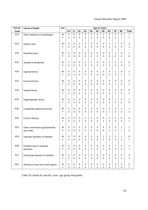| <b>ICD-10</b>   | <b>Cause of Death</b>              | sex | <b>Age in Years</b> |             |             |             |             |                |              |             |                  |                |                |
|-----------------|------------------------------------|-----|---------------------|-------------|-------------|-------------|-------------|----------------|--------------|-------------|------------------|----------------|----------------|
| Code            |                                    |     | $0 - 4$             | $5-$        | $15-$       | $25 -$      | $35 -$      | 45-            | $55-$        | $65-$       | $75-$            | $85 -$         | <b>Total</b>   |
| K22             | Other diseases of oesophagus       | M   | 0                   | 0           | $\mathbf 0$ | 0           | $\pmb{0}$   | 0              | 1            | $\pmb{0}$   | $\pmb{0}$        | 0              | 1              |
|                 |                                    | F   | $\mathbf 0$         | 0           | 0           | 0           | 0           | $\overline{0}$ | 0            | 0           | 0                | $\mathbf{1}$   | 1              |
|                 |                                    |     |                     |             |             |             |             |                |              |             |                  |                |                |
| K <sub>25</sub> | Gastric ulcer                      | M   | 0                   | $\pmb{0}$   | 0           | 0           | $\pmb{0}$   | 0              | 0            | 1           | 2                | 0              | 3              |
|                 |                                    | F   | $\mathbf 0$         | 0           | 0           | $\mathbf 0$ | 0           | 0              | $\mathbf 0$  | 1           | $\mathbf 0$      | 0              | 1              |
|                 |                                    |     |                     |             |             |             |             |                |              |             |                  |                |                |
| K26             | Duodenal ulcer                     | M   | 0                   | $\pmb{0}$   | 0           | 0           | 0           | 0              | 0            | 0           | 1                | 0              | 1              |
|                 |                                    | F   | 0                   | 0           | 0           | $\Omega$    | $\mathbf 0$ | 0              | $\mathbf 0$  | 0           | 0                | 0              | 0              |
|                 |                                    |     |                     |             |             |             |             |                |              |             |                  |                |                |
| K <sub>29</sub> | Gastritis & duodenitis             | M   | 0                   | $\pmb{0}$   | 0           | 0           | 0           | 0              | 0            | 0           | 0                | 0              | 0              |
|                 |                                    | F   | 0                   | 0           | 0           | 0           | 0           | 0              | 0            | 1           | 0                | 0              | 1              |
|                 |                                    |     |                     |             |             |             |             |                |              |             |                  |                |                |
| K40             | Inguinal hernia                    | M   | 0                   | 0           | 0           | 0           | 0           | 0              | 0            | 0           | 1                | 0              | 1              |
|                 |                                    | F   | 0                   | 0           | 0           | 0           | 0           | 0              | 0            | 0           | 0                | 1              | 1              |
|                 |                                    |     |                     |             |             |             |             |                |              |             |                  |                |                |
| K41             | Femoral hernia                     | М   | 0                   | 0           | 0           | 0           | 0           | 0              | 0            | 0           | 0                | 0              | 0              |
|                 |                                    | F   | 0                   | 0           | 0           | 0           | 0           | 0              | 0            | 0           | 1                | 0              | 1              |
|                 |                                    |     |                     |             |             |             |             |                |              |             |                  |                |                |
| K43             | Ventral hernia                     | M   | 0                   | $\pmb{0}$   | 0           | 0           | $\pmb{0}$   | 0              | 0            | 0           | 0                | 0              | 0              |
|                 |                                    | F   | $\mathbf 0$         | 0           | 0           | $\Omega$    | 0           | 0              | $\mathbf 0$  | 0           | $\overline{c}$   | 0              | 2              |
|                 |                                    |     |                     |             |             |             |             |                |              |             |                  |                |                |
| K44             | Diaphragmatic hernia               | M   | 0                   | 0           | 0           | 0           | 0           | 0              | 0            | 0           | 1                | 0              | 1              |
|                 |                                    | F   | 0                   | 0           | 0           | $\Omega$    | $\mathbf 0$ | 0              | 0            | 0           | 0                | 0              | 0              |
| K46             |                                    | M   | 0                   | $\pmb{0}$   | 0           | 0           | 0           | 0              | 0            | 0           | 0                | 1              | 1              |
|                 | Unspecified abdominal hernia       | F   | 0                   | 0           | 0           | 0           | 0           | 0              | 0            | 1           | $\mathbf 0$      | 0              | 1              |
|                 |                                    |     |                     |             |             |             |             |                |              |             |                  |                |                |
| K50             | Crohn's disease                    | M   | 0                   | 0           | 0           | 0           | 0           | 0              | 0            | 0           | 0                | 0              | 0              |
|                 |                                    | F   | $\mathbf 0$         | 0           | 0           | 0           | 0           | 0              | 1            | 0           | $\mathbf 0$      | 0              | 1              |
|                 |                                    |     |                     |             |             |             |             |                |              |             |                  |                |                |
| K <sub>52</sub> | Other noninfective gastroenteritis | M   | 0                   | 0           | 0           | 0           | 0           | 0              | 0            | 0           | 0                | 1              | 1              |
|                 | and colitis                        | F   | 0                   | 0           | 0           | 0           | 0           | 0              | 0            | 1           | 0                | 1              | 2              |
|                 |                                    |     |                     |             |             |             |             |                |              |             |                  |                |                |
| K <sub>55</sub> | Vascular disorders of intestine    | M   | 0                   | 0           | 0           | 0           | 0           | 0              | 1            | 1           | 5                | 1              | 8              |
|                 |                                    | F   | $\mathsf 0$         | 0           | $\mathbf 0$ | 0           | 0           | 0              | 1            | $\pmb{0}$   | 4                | $\overline{2}$ | 7              |
|                 |                                    |     |                     |             |             |             |             |                |              |             |                  |                |                |
| K56             | Paralytic ileus & intestinal       | M   | 0                   | 0           | 0           | 0           | $\pmb{0}$   | 0              | $\pmb{0}$    | 0           | $\boldsymbol{2}$ | 0              | 2              |
|                 | disorders                          | F   | 0                   | $\mathbf 0$ | $\Omega$    | $\Omega$    | $\mathbf 0$ | 0              | $\mathbf{1}$ | $\mathbf 0$ | 3                | 3              | $\overline{7}$ |
|                 |                                    |     |                     |             |             |             |             |                |              |             |                  |                |                |
| <b>K57</b>      | Diverticular disease of intestine  | M   | 0                   | 0           | 0           | 0           | $\pmb{0}$   | $\pmb{0}$      | $\pmb{0}$    | $\mathbf 0$ | $\mathbf 0$      | 0              | 0              |
|                 |                                    | F   | $\mathbf 0$         | $\pmb{0}$   | $\mathbf 0$ | 0           | $\pmb{0}$   | 0              | $\mathbf 0$  | $\mathbf 0$ | $\mathbf 0$      | 3              | 3              |
|                 |                                    |     |                     |             |             |             |             |                |              |             |                  |                |                |
| K61             | Abscess of anal and rectal regions | M   | 0                   | 0           | $\mathbf 0$ | 0           | $\pmb{0}$   | $\pmb{0}$      | $\mathbf 0$  | 0           | 0                | 0              | 0              |
|                 |                                    | F   | 0                   | $\pmb{0}$   | 0           | $\mathbf 0$ | $\pmb{0}$   | $\mathsf 0$    | $\mathsf 0$  | $\pmb{0}$   | $\mathbf{1}$     | 0              | $\mathbf{1}$   |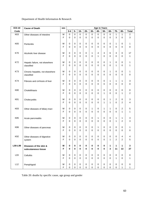| <b>ICD-10</b>   | <b>Cause of Death</b>            | sex    | <b>Age in Years</b> |                            |                          |                         |                          |                          |             |                         |                  |                          |              |
|-----------------|----------------------------------|--------|---------------------|----------------------------|--------------------------|-------------------------|--------------------------|--------------------------|-------------|-------------------------|------------------|--------------------------|--------------|
| Code            |                                  |        | $0-4$               | $5-$                       | $15 -$                   | $25 -$                  | $35 -$                   | 45-                      | $55-$       | $65-$                   | $75-$            | $85-$                    | <b>Total</b> |
| K63             | Other diseases of intestine      | M      | 0                   | $\mathbf 0$                | $\pmb{0}$                | 0                       | $\pmb{0}$                | $\mathsf 0$              | $\pmb{0}$   | $\pmb{0}$               | $\mathbf{1}$     | $\mathbf{1}$             | 2            |
|                 |                                  | F      | 0                   | $\mathbf 0$                | $\mathbf 0$              | 0                       | $\mathbf 0$              | $\mathbf 0$              | 0           | $\mathbf 0$             | 3                | $\mathbf 0$              | 3            |
|                 |                                  |        |                     |                            |                          |                         |                          |                          |             |                         |                  |                          |              |
| K65             | Peritonitis                      | M<br>F | 0<br>0              | $\mathbf 0$<br>$\mathbf 0$ | $\pmb{0}$<br>$\mathbf 0$ | 0<br>0                  | $\pmb{0}$<br>$\mathbf 0$ | $\pmb{0}$<br>$\mathbf 0$ | 0<br>0      | 0<br>$\mathbf 0$        | 1<br>0           | 0<br>$\mathbf 0$         | 1            |
|                 |                                  |        |                     |                            |                          |                         |                          |                          |             |                         |                  |                          | 0            |
| K70             | Alcoholic liver disease          | М      | 0                   | 0                          | 0                        | 0                       | 1                        | 4                        | 3           | 6                       | 3                | $\mathbf 0$              | 17           |
|                 |                                  | F      | 0                   | 0                          | $\mathbf 0$              | 0                       | $\mathbf 0$              | 1                        | 0           | $\mathbf 0$             | 0                | $\mathbf 0$              | 1            |
|                 |                                  |        |                     |                            |                          |                         |                          |                          |             |                         |                  |                          |              |
| K72             | Hepatic failure, not elsewhere   | M      | $\mathbf 0$         | 0                          | 0                        | $\mathbf 0$             | $\pmb{0}$                | $\mathbf 0$              | 0           | 1                       | 0                | $\pmb{0}$                | 1            |
|                 | classified                       | F      | 0                   | 0                          | $\mathbf 0$              | 0                       | $\mathbf 0$              | 0                        | 0           | $\mathbf 0$             | 1                | $\mathbf 0$              | 1            |
|                 |                                  |        |                     |                            |                          |                         |                          |                          |             |                         |                  |                          |              |
| K73             | Chronic hepatitis, not elsewhere | M<br>F | 0<br>0              | 0<br>0                     | 0<br>0                   | $\mathbf 0$<br>$\Omega$ | 0<br>$\mathbf 0$         | 0<br>0                   | 0<br>0      | 1<br>$\mathbf 0$        | $\mathbf 0$<br>0 | $\pmb{0}$<br>$\mathbf 0$ | 1<br>0       |
|                 | classified                       |        |                     |                            |                          |                         |                          |                          |             |                         |                  |                          |              |
| K74             | Fibrosis and cirrhosis of liver  | м      | 0                   | 0                          | 0                        | 0                       | $\pmb{0}$                | 0                        | 0           | 1                       | 1                | 1                        | 3            |
|                 |                                  | F      | 0                   | 0                          | 0                        | 0                       | $\mathbf 0$              | $\mathbf 0$              | 0           | $\mathbf 0$             | 0                | $\mathbf 0$              | 0            |
|                 |                                  |        |                     |                            |                          |                         |                          |                          |             |                         |                  |                          |              |
| K80             | Cholelithiasis                   | М      | 0                   | $\pmb{0}$                  | $\pmb{0}$                | 0                       | $\pmb{0}$                | $\pmb{0}$                | 0           | 0                       | $\boldsymbol{0}$ | $\pmb{0}$                | 0            |
|                 |                                  | F      | 0                   | 0                          | $\mathbf 0$              | $\Omega$                | $\mathbf 0$              | $\Omega$                 | 1           | $\Omega$                | $\Omega$         | $\mathbf{1}$             | 2            |
| K81             |                                  | М      | 0                   | 0                          | 0                        | 0                       | 0                        | 0                        | 0           | 1                       | 2                | 0                        |              |
|                 | Cholecystitis                    | F      | 0                   | 0                          | $\mathbf 0$              | $\Omega$                | $\mathbf 0$              | 0                        | 1           | 1                       | $\Omega$         | $\overline{c}$           | 3<br>4       |
|                 |                                  |        |                     |                            |                          |                         |                          |                          |             |                         |                  |                          |              |
| K83             | Other diseases of biliary tract  | M      | 0                   | 0                          | 0                        | $\mathbf 0$             | 1                        | $\mathbf 0$              | 1           | 1                       | 0                | $\overline{c}$           | 5            |
|                 |                                  | F      | 0                   | $\mathbf 0$                | $\mathbf 0$              | 0                       | $\mathbf 0$              | $\mathbf 0$              | 0           | $\mathbf 0$             | $\mathbf 0$      | 1                        | 1            |
|                 |                                  |        |                     |                            |                          |                         |                          |                          |             |                         |                  |                          |              |
| K85             | Acute pancreatitis               | M      | 0                   | 0                          | 0                        | $\mathbf 0$             | 0                        | 1                        | 0           | 0                       | 1                | 1                        | 3            |
|                 |                                  | F      | 0                   | 0                          | 0                        | 0                       | $\mathbf 0$              | 0                        | $\mathbf 0$ | $\mathbf 0$             | 1                | $\overline{c}$           | 3            |
| K86             | Other diseases of pancreas       | M      | 0                   | 0                          | 0                        | 0                       | $\pmb{0}$                | 1                        | 0           | 0                       | 0                | $\pmb{0}$                | 1            |
|                 |                                  | F      | 0                   | 0                          | 0                        | 0                       | $\mathbf 0$              | 0                        | 0           | 0                       | 0                | $\mathbf 0$              | 0            |
|                 |                                  |        |                     |                            |                          |                         |                          |                          |             |                         |                  |                          |              |
| K92             | Other diseases of digestive      | M      | 0                   | 0                          | 0                        | 0                       | 0                        | 0                        | 0           | 0                       | 0                | 4                        | 4            |
|                 | system                           | F      | 0                   | 0                          | 0                        | 0                       | $\mathbf 0$              | 0                        | 0           | $\mathbf{1}$            | $\overline{2}$   | $\overline{c}$           | 5            |
| L00-L99         | Diseases of the skin &           | M      | 0                   | 0                          | 0                        | 0                       | 0                        | 0                        | 0           | 1                       | 1                | 1                        | 3            |
|                 | subcutaneous tissue              | F      | 0                   | 0                          | $\bf{0}$                 | 0                       | $\bf{0}$                 | 0                        | 0           | $\overline{\mathbf{3}}$ | 11               | 13                       | 27           |
|                 |                                  |        |                     |                            |                          |                         |                          |                          |             |                         |                  |                          |              |
| L <sub>03</sub> | Cellulitis                       | M      | 0                   | 0                          | $\mathbf 0$              | $\mathbf 0$             | 0                        | $\mathbf 0$              | $\mathbf 0$ | $\mathbf 0$             | 0                | $\mathbf 0$              | 0            |
|                 |                                  | F      | $\Omega$            | $\mathbf 0$                | $\Omega$                 | $\Omega$                | $\mathbf 0$              | $\mathbf 0$              | 0           | $\Omega$                | 1                | $\mathbf 0$              | 1            |
|                 |                                  |        |                     |                            |                          |                         |                          |                          |             |                         |                  |                          |              |
| L12             | Pemphigoid                       | M      | 0                   | 0                          | 0                        | $\mathbf 0$             | 0                        | 0                        | 0           | $\pmb{0}$               | 0                | 0                        | 0            |
|                 |                                  | F      | 0                   | 0                          | $\mathsf 0$              | 0                       | $\pmb{0}$                | 0                        | 0           | $\mathsf 0$             | 0                | $\mathbf{1}$             | 1            |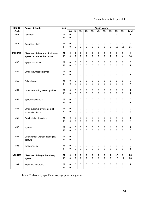| <b>ICD-10</b> | <b>Cause of Death</b>            | sex    | <b>Age in Years</b> |          |                  |                  |             |             |                     |                         |                  |                |                         |
|---------------|----------------------------------|--------|---------------------|----------|------------------|------------------|-------------|-------------|---------------------|-------------------------|------------------|----------------|-------------------------|
| Code          |                                  |        | $0 - 4$             | $5-$     | $15-$            | $25 -$           | $35 -$      | $45-$       | $55-$               | $65 -$                  | $75-$            | $85 -$         | <b>Total</b>            |
| L40           | Psoriasis                        | M      | 0                   | 0        | 0                | $\mathbf 0$      | $\mathbf 0$ | 0           | $\pmb{0}$           | $\pmb{0}$               | $\mathbf{1}$     | 0              | 1                       |
|               |                                  | F      | 0                   | 0        | 0                | $\mathbf 0$      | 0           | 0           | $\overline{0}$      | 0                       | 0                | 0              | 0                       |
|               |                                  |        |                     |          |                  |                  |             |             |                     |                         |                  |                |                         |
| L89           | Decubitus ulcer                  | M      | 0                   | 0        | 0                | $\boldsymbol{0}$ | $\mathbf 0$ | 0           | 0                   | 1                       | $\mathbf 0$      | 1              | $\overline{c}$          |
|               |                                  | F      | 0                   | 0        | 0                | $\mathbf 0$      | $\mathbf 0$ | $\mathbf 0$ | 0                   | 3                       | 10               | 12             | 25                      |
|               |                                  |        |                     |          |                  |                  |             |             |                     |                         |                  |                |                         |
| M00-M99       | Diseases of the musculoskeletal  | M      | 0                   | 0        | 0                | 0                | 0           | 0           | 1                   | 1                       | 3                | 1              | 6                       |
|               | system & connective tissue       | F      | 0                   | 0        | 0                | $\mathbf 0$      | $\bf{0}$    | 1           | 1                   | $\mathbf 2$             | 6                | 4              | 14                      |
|               |                                  |        |                     |          |                  |                  |             |             |                     |                         |                  |                |                         |
| <b>M00</b>    | Pyogenic arthritis               | M      | 0                   | 0        | 0                | $\mathbf 0$      | 0           | 0           | 0                   | 0                       | $\mathbf 0$      | 0              | $\pmb{0}$               |
|               |                                  | F      | 0                   | 0        | 0                | 0                | 0           | 0           | $\mathbf 0$         | $\mathbf 0$             | 1                | 0              | 1                       |
|               |                                  |        |                     |          |                  |                  |             |             |                     |                         |                  |                |                         |
| M06           | Other rheumatoid arthritis       | M      | 0                   | 0        | 0                | $\mathbf 0$      | 0           | 0           | 0                   | 0                       | $\mathbf 0$      | 0              | $\pmb{0}$               |
|               |                                  | F      | 0                   | 0        | 0                | 0                | 0           | 0           | $\overline{0}$      | 0                       | 1                | 0              | 1                       |
|               |                                  |        |                     |          |                  |                  |             |             |                     |                         |                  |                |                         |
| M15           | Polyarthrosis                    | M      | 0                   | 0        | 0                | $\mathbf 0$      | 0           | 0           | 0                   | 0                       | $\boldsymbol{2}$ | 1              | 3                       |
|               |                                  | F      | 0                   | 0        | $\mathbf 0$      | 0                | 0           | 0           | $\overline{0}$      | $\mathbf 0$             | $\overline{2}$   | $\overline{2}$ | 4                       |
|               |                                  |        |                     |          |                  |                  |             |             |                     |                         |                  |                |                         |
| M31           | Other necrotizing vasculopathies | M<br>F | 0                   | 0        | 0                | $\boldsymbol{0}$ | $\mathbf 0$ | $\mathbf 0$ | $\mathbf{1}$        | 0                       | 0                | 0              | 1                       |
|               |                                  |        | 0                   | 0        | 0                | $\Omega$         | $\Omega$    | $\Omega$    | $\mathbf{1}$        | $\mathbf 0$             | 0                | 0              | 1                       |
|               |                                  |        |                     |          |                  |                  |             |             |                     |                         |                  |                |                         |
| M34           | Systemic sclerosis               | M<br>F | 0<br>0              | 0<br>0   | 0<br>$\mathbf 0$ | 0<br>0           | 0<br>0      | 0<br>0      | 0<br>$\overline{0}$ | 0<br>1                  | 0<br>0           | 0<br>0         | 0<br>1                  |
|               |                                  |        |                     |          |                  |                  |             |             |                     |                         |                  |                |                         |
| M35           | Other systemic involvement of    | M      | 0                   | 0        | 0                | $\mathbf 0$      | 0           | 0           | 0                   | 0                       | 0                | 0              | $\pmb{0}$               |
|               | connective tissue                | F      | 0                   | 0        | 0                | 0                | 0           | 1           | 0                   | 1                       | 1                | 0              | 3                       |
|               |                                  |        |                     |          |                  |                  |             |             |                     |                         |                  |                |                         |
| M50           | Cervical disc disorders          | M      | 0                   | 0        | 0                | 0                | 0           | 0           | 0                   | 0                       | 1                | 0              | 1                       |
|               |                                  | F      | 0                   | 0        | 0                | 0                | 0           | 0           | $\overline{0}$      | 0                       | 0                | 0              | 0                       |
|               |                                  |        |                     |          |                  |                  |             |             |                     |                         |                  |                |                         |
| M60           | <b>Myositis</b>                  | M      | 0                   | 0        | 0                | $\mathbf 0$      | 0           | 0           | $\mathbf 0$         | 1                       | 0                | 0              | 1                       |
|               |                                  | F      | 0                   | 0        | 0                | 0                | 0           | 0           | $\mathbf 0$         | 0                       | 0                | 0              | 0                       |
|               |                                  |        |                     |          |                  |                  |             |             |                     |                         |                  |                |                         |
| M81           | Osteoporosis without patological | M      | 0                   | 0        | 0                | 0                | 0           | 0           | 0                   | 0                       | 0                | 0              | 0                       |
|               | fracture                         | F      | $\mathsf 0$         | 0        | 0                | 0                | 0           | $\mathsf 0$ | $\mathbf 0$         | $\pmb{0}$               | $\mathbf{1}$     | 1              | $\overline{\mathbf{c}}$ |
|               |                                  |        |                     |          |                  |                  |             |             |                     |                         |                  |                |                         |
| M86           | Osteomyelitis                    | M      | 0                   | 0        | 0                | $\mathbf 0$      | 0           | $\mathbf 0$ | 0                   | $\pmb{0}$               | 0                | 0              | $\mathbf 0$             |
|               |                                  | F      | $\mathbf 0$         | 0        | 0                | $\Omega$         | $\Omega$    | $\mathbf 0$ | $\mathbf 0$         | $\mathbf 0$             | $\Omega$         | 1              | $\mathbf{1}$            |
|               |                                  |        |                     |          |                  |                  |             |             |                     |                         |                  |                |                         |
| N00-N99       | Diseases of the genitourinary    | M      | $\pmb{0}$           | 0        | $\pmb{0}$        | $\pmb{0}$        | $\mathbf 0$ | 2           | 1                   | $\overline{7}$          | 17               | 8              | 35                      |
|               | system                           | F      | $\mathbf 0$         | $\bf{0}$ | 1                | $\mathbf 0$      | $\mathbf 0$ | 1           | $\pmb{0}$           | $\overline{\mathbf{3}}$ | 12               | 16             | 33                      |
|               |                                  |        |                     |          |                  |                  |             |             |                     |                         |                  |                |                         |
| N04           | Nephrotic syndrome               | M      | 0                   | 0        | 0                | $\mathbf 0$      | 0           | 0           | $\pmb{0}$           | $\pmb{0}$               | $\mathbf 0$      | 1              | 1                       |
|               |                                  | F      | $\mathbf 0$         | 0        | $\mathbf 0$      | $\mathbf 0$      | 0           | 0           | $\mathbf 0$         | $\mathbf 0$             | $\pmb{0}$        | 0              | $\mathbf 0$             |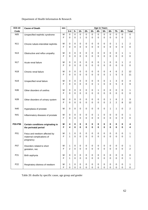## Department of Health Information & Research

| <b>ICD-10</b>   | <b>Cause of Death</b>                 | sex         | <b>Age in Years</b>      |        |                  |                  |                  |          |                          |                          |                            |                          |                |
|-----------------|---------------------------------------|-------------|--------------------------|--------|------------------|------------------|------------------|----------|--------------------------|--------------------------|----------------------------|--------------------------|----------------|
| Code            |                                       |             | $0 - 4$                  | $5-$   | $15 -$           | $25 -$           | $35 -$           | 45-      | $55-$                    | 65-                      | $75-$                      | $85-$                    | <b>Total</b>   |
| N05             | Unspecified nephritic syndrome        | М           | $\mathbf 0$              | 0      | 0                | $\mathbf 0$      | 0                | 0        | $\mathbf 0$              | 0                        | 0                          | $\mathbf 0$              | 0              |
|                 |                                       | F           | 0                        | 0      | 1                | 0                | $\Omega$         | 0        | 0                        | 0                        | $\mathbf 0$                | $\Omega$                 | 1              |
|                 |                                       |             |                          |        |                  |                  |                  |          |                          |                          |                            |                          |                |
| N11             | Chronic tubulo-interstitial nephritis | М           | 0                        | 0      | 0                | 0                | 0                | 0        | 0                        | 0                        | 1                          | $\mathbf{1}$             | 2              |
|                 |                                       | F           | 0                        | 0      | 0                | 0                | $\Omega$         | 0        | 0                        | 0                        | 0                          | $\mathbf 0$              | $\mathbf 0$    |
| N <sub>13</sub> |                                       | М           | 0                        | 0      | 0                | 0                | 0                | 0        | 0                        | 0                        | 0                          | $\mathbf{1}$             |                |
|                 | Obstructive and reflux uropathy       | F           | 0                        | 0      | 0                | 0                | 0                | 0        | 0                        | 0                        | $\mathbf 0$                | $\mathbf 0$              | 1<br>0         |
|                 |                                       |             |                          |        |                  |                  |                  |          |                          |                          |                            |                          |                |
| <b>N17</b>      | Acute renal failure                   | М           | 0                        | 0      | 0                | 0                | 0                | 0        | 1                        | 0                        | 0                          | $\mathbf{1}$             | 2              |
|                 |                                       | F           | 0                        | 0      | 0                | 0                | $\mathbf 0$      | 0        | 0                        | 0                        | 0                          | $\mathbf 0$              | $\mathbf 0$    |
|                 |                                       |             |                          |        |                  |                  |                  |          |                          |                          |                            |                          |                |
| N <sub>18</sub> | Chronic renal failure                 | M           | $\pmb{0}$                | 0      | 0                | 0                | 0                | 0        | 0                        | $\overline{\mathbf{4}}$  | 6                          | $\sqrt{2}$               | 12             |
|                 |                                       | F           | 0                        | 0      | 0                | 0                | $\Omega$         | 0        | 0                        | 1                        | 5                          | 5                        | 11             |
|                 |                                       |             |                          |        |                  |                  |                  |          |                          |                          |                            |                          |                |
| N <sub>19</sub> | Unspecified renal failure             | М           | 0                        | 0      | 0                | 0                | 0                | 0        | 0                        | 1                        | $\ensuremath{\mathsf{3}}$  | 0                        | 4              |
|                 |                                       | F           | 0                        | 0      | 0                | 0                | 0                | 1        | 0                        | 0                        | 5                          | 3                        | 9              |
| N36             |                                       | M           | 0                        | 0      | 0                | 0                | 0                | 1        | 0                        | 0                        | 0                          | $\pmb{0}$                | 1              |
|                 | Other disorders of urethra            | F           | 0                        | 0      | 0                | $\Omega$         | 0                | $\Omega$ | 0                        | $\Omega$                 | 0                          | $\Omega$                 | 0              |
|                 |                                       |             |                          |        |                  |                  |                  |          |                          |                          |                            |                          |                |
| N39             | Other disorders of urinary system     | М           | 0                        | 0      | 0                | 0                | 0                | 0        | 0                        | 1                        | 6                          | $\sqrt{2}$               | 9              |
|                 |                                       | F           | 0                        | 0      | $\Omega$         | $\Omega$         | $\Omega$         | 0        | 0                        | $\overline{c}$           | $\overline{2}$             | 8                        | 12             |
|                 |                                       |             |                          |        |                  |                  |                  |          |                          |                          |                            |                          |                |
| N40             | Hyperplasia of prostate               | М           | 0                        | 0      | 0                | 0                | 0                | 0        | 0                        | 1                        | 1                          | $\mathbf 0$              | 2              |
|                 |                                       |             |                          |        |                  |                  |                  |          |                          |                          |                            |                          |                |
| N41             | Inflammatory diseases of prostate     | M           | 0                        | 0      | 0                | 0                | 0                | 1        | 0                        | 0                        | 0                          | 0                        | 1              |
|                 |                                       | F           | 0                        | 0      | 0                | 0                | $\Omega$         | 0        | 0                        | 0                        | 0                          | $\mathbf 0$              | 0              |
| P00-P96         | Certain conditions originating in     | M           | 4                        | 0      | 0                | 0                | 0                | 0        | 0                        | 0                        | 0                          | 0                        | 4              |
|                 | the perinatal period                  | F           | 4                        | 0      | 0                | 0                | $\bf{0}$         | 0        | 0                        | 0                        | 0                          | $\mathbf 0$              | 4              |
|                 |                                       |             |                          |        |                  |                  |                  |          |                          |                          |                            |                          |                |
| P01             | Fetus and newborn affected by         | M           | 1                        | 0      | 0                | 0                | 0                | 0        | 0                        | 0                        | 0                          | 0                        |                |
|                 | maternal complications of             | F           | 1                        | 0      | 0                | 0                | 0                | 0        | 0                        | 0                        | 0                          | 0                        | 1              |
|                 | pregnancy                             |             |                          |        |                  |                  |                  |          |                          |                          |                            |                          |                |
|                 |                                       |             |                          |        |                  |                  |                  |          |                          |                          |                            |                          |                |
| P07             | Disorders related to short            | М           | 1                        | 0      | 0                | 0                | $\mathbf 0$      | 0        | $\pmb{0}$                | 0                        | 0                          | $\pmb{0}$                | 1              |
|                 | gestation, nec                        | $\mathsf F$ | $\overline{2}$           | 0      | 0                | $\Omega$         | $\Omega$         | 0        | 0                        | 0                        | $\Omega$                   | 0                        | $\overline{c}$ |
| P21             |                                       |             |                          |        |                  |                  |                  |          |                          |                          |                            |                          |                |
|                 | Birth asphyxia                        | М<br>F      | $\pmb{0}$<br>$\mathbf 1$ | 0<br>0 | 0<br>$\mathbf 0$ | 0<br>$\mathbf 0$ | 0<br>$\mathbf 0$ | 0<br>0   | $\pmb{0}$<br>$\mathbf 0$ | $\pmb{0}$<br>$\mathbf 0$ | $\mathbf 0$<br>$\mathbf 0$ | $\pmb{0}$<br>$\mathbf 0$ | 0<br>1         |
|                 |                                       |             |                          |        |                  |                  |                  |          |                          |                          |                            |                          |                |
| P <sub>22</sub> | Respiratory distress of newborn       | М           | 1                        | 0      | 0                | $\pmb{0}$        | 0                | 0        | $\pmb{0}$                | $\pmb{0}$                | $\pmb{0}$                  | 0                        | 1              |
|                 |                                       | F           | $\mathbf 0$              | 0      | $\mathbf 0$      | $\pmb{0}$        | $\mathbf 0$      | 0        | $\mathbf 0$              | $\mathbf 0$              | $\pmb{0}$                  | $\pmb{0}$                | $\pmb{0}$      |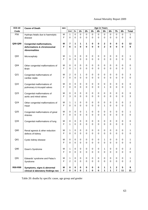| <b>ICD-10</b>   | <b>Cause of Death</b>                                                                  | sex    | <b>Age in Years</b> |             |                            |                  |                  |                       |                                |                            |                         |                            |                       |
|-----------------|----------------------------------------------------------------------------------------|--------|---------------------|-------------|----------------------------|------------------|------------------|-----------------------|--------------------------------|----------------------------|-------------------------|----------------------------|-----------------------|
| Code            |                                                                                        |        | $0 - 4$             | $5-$        | $15-$                      | $25 -$           | $35 -$           | 45-                   | $55-$                          | $65-$                      | $75-$                   | $85 -$                     | <b>Total</b>          |
| P <sub>56</sub> | Hydrops fetalis due to haemolytic                                                      | М      | $\mathbf{1}$        | $\mathsf 0$ | $\mathbf 0$                | 0                | $\mathbf 0$      | $\mathbf 0$           | $\mathbf 0$                    | $\mathbf 0$                | 0                       | $\mathbf 0$                | 1                     |
|                 | disease                                                                                | F      | 0                   | 0           | $\mathbf 0$                | 0                | 0                | $\Omega$              | 0                              | $\mathbf 0$                | 0                       | $\mathbf 0$                | 0                     |
| Q00-Q99         | <b>Congenital malformations,</b><br>deformations & chromosomal<br><b>Abnormalities</b> | М<br>F | $\overline{7}$<br>6 | 1<br>1      | 1<br>$\bf{0}$              | 1<br>0           | 0<br>0           | $\pmb{0}$<br>$\bf{0}$ | $\mathbf{2}$<br>$\overline{2}$ | $\mathbf 0$<br>$\bf{0}$    | 0<br>0                  | 0<br>$\bf{0}$              | 12<br>9               |
| Q <sub>02</sub> | Microcephaly                                                                           | М<br>F | 1<br>0              | 0<br>0      | 0<br>$\Omega$              | 0<br>0           | 0<br>0           | 0<br>0                | 0<br>0                         | 0<br>0                     | 0<br>0                  | 0<br>0                     | 1<br>0                |
| Q <sub>04</sub> | Other congenital malformations of                                                      | М      | 0                   | 0           | 0                          | 0                | 0                | 0                     | 0                              | 0                          | 0                       | $\mathbf 0$                | 0                     |
|                 | <b>Brain</b>                                                                           | F      | 0                   | 1           | $\Omega$                   | 0                | $\Omega$         | 0                     | $\Omega$                       | $\Omega$                   | $\Omega$                | $\mathbf 0$                | 1                     |
| Q21             | Congenital malformations of                                                            | М      | $\sqrt{2}$          | 0           | 1                          | $\mathbf 0$      | 0                | 0                     | 0                              | 0                          | 0                       | $\mathbf 0$                | 3                     |
|                 | cardiac septa                                                                          | F      | 0                   | 0           | $\Omega$                   | 0                | 0                | $\Omega$              | $\Omega$                       | 0                          | $\Omega$                | $\Omega$                   | 0                     |
| Q22             | Congenital malformations of                                                            | М      | 0                   | 0           | 0                          | 0                | 0                | 0                     | 0                              | 0                          | 0                       | 0                          | 0                     |
|                 | pulmonary & tricuspid valves                                                           | F      | 0                   | 0           | $\Omega$                   | 0                | $\Omega$         | $\Omega$              | 1                              | $\mathbf 0$                | 0                       | $\mathbf 0$                | 1                     |
| Q23             | Congenital malformations of                                                            | M      | 0                   | 0           | 0                          | 0                | 0                | 0                     | 0                              | 0                          | 0                       | 0                          | 0                     |
|                 | aortic and mitral valves                                                               | F      | 3                   | 0           | $\Omega$                   | 0                | $\Omega$         | $\Omega$              | $\Omega$                       | $\Omega$                   | $\Omega$                | 0                          | 3                     |
| Q24             | Other congenital malformations of                                                      | М      | 1                   | 1           | 0                          | 0                | 0                | 0                     | 0                              | 0                          | 0                       | $\mathbf 0$                | 2                     |
|                 | Heart                                                                                  | F      | $\mathbf 0$         | 0           | $\Omega$                   | 0                | 0                | 0                     | 1                              | $\Omega$                   | 0                       | $\mathbf 0$                | 1                     |
| Q <sub>25</sub> | Congenital malformations of great                                                      | М      | 0                   | 0           | 0                          | 1                | 0                | 0                     | 0                              | 0                          | 0                       | 0                          | 1                     |
|                 | Arteries                                                                               | F      | 0                   | 0           | $\Omega$                   | $\Omega$         | $\mathbf 0$      | $\Omega$              | $\Omega$                       | $\Omega$                   | 0                       | $\mathbf 0$                | 0                     |
| Q <sub>33</sub> | Congenital malformations of lung                                                       | М<br>F | 0<br>1              | 0<br>0      | 0<br>$\Omega$              | $\mathbf 0$<br>0 | 0<br>$\Omega$    | 0<br>$\Omega$         | 0<br>$\Omega$                  | 0<br>0                     | 0<br>0                  | $\mathbf 0$<br>$\mathbf 0$ | 0<br>1                |
| Q60             | Renal agnesis & other reduction<br>defects of kidney                                   | М<br>F | 1<br>0              | 0<br>0      | 0<br>0                     | 0<br>0           | 0<br>0           | 0<br>0                | 0<br>0                         | 0<br>0                     | 0<br>0                  | 0<br>0                     | 0                     |
| Q61             | Cystic kidney disease                                                                  | М<br>F | 0<br>$\Omega$       | 0<br>0      | $\mathbf 0$<br>$\mathbf 0$ | 0<br>0           | 0<br>$\mathbf 0$ | 0<br>0                | 1<br>0                         | $\mathsf 0$<br>$\mathbf 0$ | $\mathbf 0$<br>$\Omega$ | $\pmb{0}$<br>0             | 1<br>0                |
| Q90             | Down's Syndrome                                                                        | М<br>F | 1<br>$\mathbf 0$    | 0<br>0      | 0<br>$\mathbf 0$           | 0<br>0           | 0<br>$\mathbf 0$ | 0<br>0                | 1<br>$\mathbf 0$               | $\pmb{0}$<br>$\mathbf 0$   | 0<br>0                  | 0<br>$\mathbf 0$           | $\boldsymbol{2}$<br>0 |
| Q91             | Edwards' syndrome and Patau's                                                          | М      | 1                   | 0           | 0                          | 0                | 0                | 0                     | $\mathbf 0$                    | 0                          | 0                       | 0                          | 1                     |
|                 | Syndrome                                                                               | F      | 2                   | 0           | $\Omega$                   | $\Omega$         | $\mathbf 0$      | 0                     | $\mathbf 0$                    | $\mathbf 0$                | $\Omega$                | $\mathbf 0$                | $\overline{2}$        |
| R00-R99         | Symptoms, signs & abnormal                                                             | Μ      | 0                   | 0           | 0                          | $\pmb{0}$        | 0                | 0                     | 1                              | 1                          | $\mathbf{2}$            | 5                          | 9                     |
|                 | clinical & laboratory findings nec                                                     | F      | 0                   | $\pmb{0}$   | $\pmb{0}$                  | 1                | 0                | $\pmb{0}$             | 1                              | 1                          | $\overline{7}$          | 11                         | 21                    |

Table 20: deaths by specific cause, age group and gender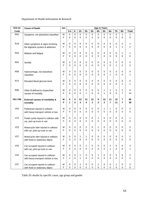## Department of Health Information & Research

| $5-$<br>$15-$<br>45-<br>$75-$<br><b>Total</b><br>$0 - 4$<br>$25 -$<br>$35 -$<br>$55-$<br>65-<br>$85-$<br>Code<br>R <sub>02</sub><br>$\mathbf 0$<br>0<br>0<br>$\mathbf 0$<br>0<br>0<br>0<br>0<br>0<br>1<br>М<br>1<br>Gangrene, not elsewhere classified<br>0<br>F<br>0<br>0<br>0<br>0<br>$\Omega$<br>0<br>0<br>0<br>0<br>0<br>0<br>0<br>R <sub>19</sub><br>М<br>0<br>0<br>0<br>0<br>0<br>$\mathbf 0$<br>0<br>1<br>1<br>Other symptoms & signs involving<br>F<br>$\mathbf 0$<br>0<br>0<br>0<br>0<br>0<br>1<br>2<br>0<br>0<br>1<br>the digestive system & abdomen<br><b>R53</b><br>М<br>0<br>0<br>0<br>0<br>0<br>0<br>0<br>0<br>0<br>1<br>1<br>Malaise and fatigue<br>F<br>0<br>0<br>0<br>0<br>0<br>0<br>0<br>0<br>0<br>0<br>0<br>0<br><b>R54</b><br>М<br>0<br>0<br>0<br>0<br>0<br>0<br>0<br>0<br>0<br>0<br>Senility<br>$\overline{c}$<br>F<br>0<br>0<br>0<br>0<br>0<br>0<br>0<br>0<br>1<br>3<br><b>R58</b><br>М<br>0<br>0<br>0<br>0<br>0<br>0<br>0<br>0<br>0<br>0<br>0<br>Haemorrhage, not elsewhere<br>F<br>0<br>0<br>0<br>0<br>0<br>0<br>0<br>0<br>1<br>0<br>1<br>classified<br>R73<br>М<br>0<br>0<br>0<br>0<br>0<br>$\mathbf 0$<br>0<br>0<br>0<br>0<br>0<br>Elevated blood glucose level<br>F<br>0<br>0<br>0<br>1<br>0<br>0<br>$\Omega$<br>0<br>$\Omega$<br>0<br>1<br>2<br>$\pmb{0}$<br>1<br>2<br>6<br>R99<br>0<br>0<br>0<br>0<br>$\mathbf 0$<br>1<br>М<br>Other ill-defined & unspecified<br>5<br>$\overline{7}$<br>F<br>$\Omega$<br>$\Omega$<br>1<br>$\Omega$<br>14<br>0<br>0<br>1<br>0<br>causes of mortality<br>V01-Y98<br>12<br>21<br>12<br>9<br>12<br>11<br>12<br>7<br>96<br>Μ<br>0<br>0<br><b>External causes of morbidity &amp;</b><br>F<br>4<br>$\overline{2}$<br>$\overline{7}$<br>11<br>$\overline{7}$<br>3<br>1<br>$\mathbf{2}$<br>38<br>1<br>0<br>mortality<br>V <sub>03</sub><br>2<br>0<br>0<br>0<br>0<br>0<br>0<br>1<br>1<br>0<br>0<br>М<br>Pedestrian injured in collision<br>F<br>0<br>0<br>0<br>0<br>0<br>0<br>0<br>0<br>0<br>0<br>0<br>with heavy transport vehicle or bus<br>V13<br>0<br>0<br>0<br>0<br>1<br>0<br>0<br>0<br>0<br>1<br>M<br>0<br>Pedal cyclist injured in collision with<br>F<br>0<br>0<br>0<br>0<br>0<br>0<br>0<br>0<br>0<br>0<br>$\mathbf 0$<br>car, pick-up truck or van<br>V23<br>2<br>0<br>0<br>0<br>0<br>1<br>0<br>0<br>0<br>0<br>3<br>M<br>Motorcycle rider injured in collision<br>F<br>0<br>0<br>0<br>0<br>0<br>0<br>0<br>0<br>0<br>0<br>0<br>with car, pick-up truck or van<br>V <sub>27</sub><br>0<br>0<br>1<br>0<br>0<br>0<br>0<br>0<br>0<br>2<br>М<br>1<br>Motorcycle rider injured in collision<br>F<br>0<br>$\mathbf 0$<br>0<br>0<br>0<br>0<br>0<br>0<br>0<br>$\mathbf 0$<br>$\mathbf 0$<br>with fixed or stationary object<br>V43<br>$\overline{c}$<br>М<br>3<br>0<br>0<br>0<br>1<br>0<br>0<br>0<br>0<br>0<br>Car occupant injured in collision<br>F<br>$\mathbf 0$<br>0<br>1<br>$\mathbf 0$<br>$\Omega$<br>0<br>$\Omega$<br>0<br>0<br>$\Omega$<br>1<br>with car, pick-up truck or van<br>V44<br>$\overline{c}$<br>М<br>0<br>0<br>0<br>1<br>0<br>0<br>$\mathbf 0$<br>0<br>Car occupant injured in collision<br>0<br>1<br>$\mathsf F$<br>$\overline{2}$<br>1<br>$\mathbf 0$<br>0<br>$\mathbf 0$<br>$\mathbf 0$<br>$\mathbf 0$<br>0<br>0<br>0<br>with heavy transport vehicle or bus<br>1 | <b>ICD-10</b> | <b>Cause of Death</b> | sex | <b>Age in Years</b> |  |  |  |  |  |  |  |  |  |  |
|---------------------------------------------------------------------------------------------------------------------------------------------------------------------------------------------------------------------------------------------------------------------------------------------------------------------------------------------------------------------------------------------------------------------------------------------------------------------------------------------------------------------------------------------------------------------------------------------------------------------------------------------------------------------------------------------------------------------------------------------------------------------------------------------------------------------------------------------------------------------------------------------------------------------------------------------------------------------------------------------------------------------------------------------------------------------------------------------------------------------------------------------------------------------------------------------------------------------------------------------------------------------------------------------------------------------------------------------------------------------------------------------------------------------------------------------------------------------------------------------------------------------------------------------------------------------------------------------------------------------------------------------------------------------------------------------------------------------------------------------------------------------------------------------------------------------------------------------------------------------------------------------------------------------------------------------------------------------------------------------------------------------------------------------------------------------------------------------------------------------------------------------------------------------------------------------------------------------------------------------------------------------------------------------------------------------------------------------------------------------------------------------------------------------------------------------------------------------------------------------------------------------------------------------------------------------------------------------------------------------------------------------------------------------------------------------------------------------------------------------------------------------------------------------------------------------------------------------------------------------------------------------------------------------------------------------------------------------------------------------------------------------------------------------------------------------------------------------------------------------------------------------------------------------------------------------------------------------------------------------|---------------|-----------------------|-----|---------------------|--|--|--|--|--|--|--|--|--|--|
|                                                                                                                                                                                                                                                                                                                                                                                                                                                                                                                                                                                                                                                                                                                                                                                                                                                                                                                                                                                                                                                                                                                                                                                                                                                                                                                                                                                                                                                                                                                                                                                                                                                                                                                                                                                                                                                                                                                                                                                                                                                                                                                                                                                                                                                                                                                                                                                                                                                                                                                                                                                                                                                                                                                                                                                                                                                                                                                                                                                                                                                                                                                                                                                                                                             |               |                       |     |                     |  |  |  |  |  |  |  |  |  |  |
|                                                                                                                                                                                                                                                                                                                                                                                                                                                                                                                                                                                                                                                                                                                                                                                                                                                                                                                                                                                                                                                                                                                                                                                                                                                                                                                                                                                                                                                                                                                                                                                                                                                                                                                                                                                                                                                                                                                                                                                                                                                                                                                                                                                                                                                                                                                                                                                                                                                                                                                                                                                                                                                                                                                                                                                                                                                                                                                                                                                                                                                                                                                                                                                                                                             |               |                       |     |                     |  |  |  |  |  |  |  |  |  |  |
|                                                                                                                                                                                                                                                                                                                                                                                                                                                                                                                                                                                                                                                                                                                                                                                                                                                                                                                                                                                                                                                                                                                                                                                                                                                                                                                                                                                                                                                                                                                                                                                                                                                                                                                                                                                                                                                                                                                                                                                                                                                                                                                                                                                                                                                                                                                                                                                                                                                                                                                                                                                                                                                                                                                                                                                                                                                                                                                                                                                                                                                                                                                                                                                                                                             |               |                       |     |                     |  |  |  |  |  |  |  |  |  |  |
|                                                                                                                                                                                                                                                                                                                                                                                                                                                                                                                                                                                                                                                                                                                                                                                                                                                                                                                                                                                                                                                                                                                                                                                                                                                                                                                                                                                                                                                                                                                                                                                                                                                                                                                                                                                                                                                                                                                                                                                                                                                                                                                                                                                                                                                                                                                                                                                                                                                                                                                                                                                                                                                                                                                                                                                                                                                                                                                                                                                                                                                                                                                                                                                                                                             |               |                       |     |                     |  |  |  |  |  |  |  |  |  |  |
|                                                                                                                                                                                                                                                                                                                                                                                                                                                                                                                                                                                                                                                                                                                                                                                                                                                                                                                                                                                                                                                                                                                                                                                                                                                                                                                                                                                                                                                                                                                                                                                                                                                                                                                                                                                                                                                                                                                                                                                                                                                                                                                                                                                                                                                                                                                                                                                                                                                                                                                                                                                                                                                                                                                                                                                                                                                                                                                                                                                                                                                                                                                                                                                                                                             |               |                       |     |                     |  |  |  |  |  |  |  |  |  |  |
|                                                                                                                                                                                                                                                                                                                                                                                                                                                                                                                                                                                                                                                                                                                                                                                                                                                                                                                                                                                                                                                                                                                                                                                                                                                                                                                                                                                                                                                                                                                                                                                                                                                                                                                                                                                                                                                                                                                                                                                                                                                                                                                                                                                                                                                                                                                                                                                                                                                                                                                                                                                                                                                                                                                                                                                                                                                                                                                                                                                                                                                                                                                                                                                                                                             |               |                       |     |                     |  |  |  |  |  |  |  |  |  |  |
|                                                                                                                                                                                                                                                                                                                                                                                                                                                                                                                                                                                                                                                                                                                                                                                                                                                                                                                                                                                                                                                                                                                                                                                                                                                                                                                                                                                                                                                                                                                                                                                                                                                                                                                                                                                                                                                                                                                                                                                                                                                                                                                                                                                                                                                                                                                                                                                                                                                                                                                                                                                                                                                                                                                                                                                                                                                                                                                                                                                                                                                                                                                                                                                                                                             |               |                       |     |                     |  |  |  |  |  |  |  |  |  |  |
|                                                                                                                                                                                                                                                                                                                                                                                                                                                                                                                                                                                                                                                                                                                                                                                                                                                                                                                                                                                                                                                                                                                                                                                                                                                                                                                                                                                                                                                                                                                                                                                                                                                                                                                                                                                                                                                                                                                                                                                                                                                                                                                                                                                                                                                                                                                                                                                                                                                                                                                                                                                                                                                                                                                                                                                                                                                                                                                                                                                                                                                                                                                                                                                                                                             |               |                       |     |                     |  |  |  |  |  |  |  |  |  |  |
|                                                                                                                                                                                                                                                                                                                                                                                                                                                                                                                                                                                                                                                                                                                                                                                                                                                                                                                                                                                                                                                                                                                                                                                                                                                                                                                                                                                                                                                                                                                                                                                                                                                                                                                                                                                                                                                                                                                                                                                                                                                                                                                                                                                                                                                                                                                                                                                                                                                                                                                                                                                                                                                                                                                                                                                                                                                                                                                                                                                                                                                                                                                                                                                                                                             |               |                       |     |                     |  |  |  |  |  |  |  |  |  |  |
|                                                                                                                                                                                                                                                                                                                                                                                                                                                                                                                                                                                                                                                                                                                                                                                                                                                                                                                                                                                                                                                                                                                                                                                                                                                                                                                                                                                                                                                                                                                                                                                                                                                                                                                                                                                                                                                                                                                                                                                                                                                                                                                                                                                                                                                                                                                                                                                                                                                                                                                                                                                                                                                                                                                                                                                                                                                                                                                                                                                                                                                                                                                                                                                                                                             |               |                       |     |                     |  |  |  |  |  |  |  |  |  |  |
|                                                                                                                                                                                                                                                                                                                                                                                                                                                                                                                                                                                                                                                                                                                                                                                                                                                                                                                                                                                                                                                                                                                                                                                                                                                                                                                                                                                                                                                                                                                                                                                                                                                                                                                                                                                                                                                                                                                                                                                                                                                                                                                                                                                                                                                                                                                                                                                                                                                                                                                                                                                                                                                                                                                                                                                                                                                                                                                                                                                                                                                                                                                                                                                                                                             |               |                       |     |                     |  |  |  |  |  |  |  |  |  |  |
|                                                                                                                                                                                                                                                                                                                                                                                                                                                                                                                                                                                                                                                                                                                                                                                                                                                                                                                                                                                                                                                                                                                                                                                                                                                                                                                                                                                                                                                                                                                                                                                                                                                                                                                                                                                                                                                                                                                                                                                                                                                                                                                                                                                                                                                                                                                                                                                                                                                                                                                                                                                                                                                                                                                                                                                                                                                                                                                                                                                                                                                                                                                                                                                                                                             |               |                       |     |                     |  |  |  |  |  |  |  |  |  |  |
|                                                                                                                                                                                                                                                                                                                                                                                                                                                                                                                                                                                                                                                                                                                                                                                                                                                                                                                                                                                                                                                                                                                                                                                                                                                                                                                                                                                                                                                                                                                                                                                                                                                                                                                                                                                                                                                                                                                                                                                                                                                                                                                                                                                                                                                                                                                                                                                                                                                                                                                                                                                                                                                                                                                                                                                                                                                                                                                                                                                                                                                                                                                                                                                                                                             |               |                       |     |                     |  |  |  |  |  |  |  |  |  |  |
|                                                                                                                                                                                                                                                                                                                                                                                                                                                                                                                                                                                                                                                                                                                                                                                                                                                                                                                                                                                                                                                                                                                                                                                                                                                                                                                                                                                                                                                                                                                                                                                                                                                                                                                                                                                                                                                                                                                                                                                                                                                                                                                                                                                                                                                                                                                                                                                                                                                                                                                                                                                                                                                                                                                                                                                                                                                                                                                                                                                                                                                                                                                                                                                                                                             |               |                       |     |                     |  |  |  |  |  |  |  |  |  |  |
|                                                                                                                                                                                                                                                                                                                                                                                                                                                                                                                                                                                                                                                                                                                                                                                                                                                                                                                                                                                                                                                                                                                                                                                                                                                                                                                                                                                                                                                                                                                                                                                                                                                                                                                                                                                                                                                                                                                                                                                                                                                                                                                                                                                                                                                                                                                                                                                                                                                                                                                                                                                                                                                                                                                                                                                                                                                                                                                                                                                                                                                                                                                                                                                                                                             |               |                       |     |                     |  |  |  |  |  |  |  |  |  |  |
|                                                                                                                                                                                                                                                                                                                                                                                                                                                                                                                                                                                                                                                                                                                                                                                                                                                                                                                                                                                                                                                                                                                                                                                                                                                                                                                                                                                                                                                                                                                                                                                                                                                                                                                                                                                                                                                                                                                                                                                                                                                                                                                                                                                                                                                                                                                                                                                                                                                                                                                                                                                                                                                                                                                                                                                                                                                                                                                                                                                                                                                                                                                                                                                                                                             |               |                       |     |                     |  |  |  |  |  |  |  |  |  |  |
|                                                                                                                                                                                                                                                                                                                                                                                                                                                                                                                                                                                                                                                                                                                                                                                                                                                                                                                                                                                                                                                                                                                                                                                                                                                                                                                                                                                                                                                                                                                                                                                                                                                                                                                                                                                                                                                                                                                                                                                                                                                                                                                                                                                                                                                                                                                                                                                                                                                                                                                                                                                                                                                                                                                                                                                                                                                                                                                                                                                                                                                                                                                                                                                                                                             |               |                       |     |                     |  |  |  |  |  |  |  |  |  |  |
|                                                                                                                                                                                                                                                                                                                                                                                                                                                                                                                                                                                                                                                                                                                                                                                                                                                                                                                                                                                                                                                                                                                                                                                                                                                                                                                                                                                                                                                                                                                                                                                                                                                                                                                                                                                                                                                                                                                                                                                                                                                                                                                                                                                                                                                                                                                                                                                                                                                                                                                                                                                                                                                                                                                                                                                                                                                                                                                                                                                                                                                                                                                                                                                                                                             |               |                       |     |                     |  |  |  |  |  |  |  |  |  |  |
|                                                                                                                                                                                                                                                                                                                                                                                                                                                                                                                                                                                                                                                                                                                                                                                                                                                                                                                                                                                                                                                                                                                                                                                                                                                                                                                                                                                                                                                                                                                                                                                                                                                                                                                                                                                                                                                                                                                                                                                                                                                                                                                                                                                                                                                                                                                                                                                                                                                                                                                                                                                                                                                                                                                                                                                                                                                                                                                                                                                                                                                                                                                                                                                                                                             |               |                       |     |                     |  |  |  |  |  |  |  |  |  |  |
|                                                                                                                                                                                                                                                                                                                                                                                                                                                                                                                                                                                                                                                                                                                                                                                                                                                                                                                                                                                                                                                                                                                                                                                                                                                                                                                                                                                                                                                                                                                                                                                                                                                                                                                                                                                                                                                                                                                                                                                                                                                                                                                                                                                                                                                                                                                                                                                                                                                                                                                                                                                                                                                                                                                                                                                                                                                                                                                                                                                                                                                                                                                                                                                                                                             |               |                       |     |                     |  |  |  |  |  |  |  |  |  |  |
|                                                                                                                                                                                                                                                                                                                                                                                                                                                                                                                                                                                                                                                                                                                                                                                                                                                                                                                                                                                                                                                                                                                                                                                                                                                                                                                                                                                                                                                                                                                                                                                                                                                                                                                                                                                                                                                                                                                                                                                                                                                                                                                                                                                                                                                                                                                                                                                                                                                                                                                                                                                                                                                                                                                                                                                                                                                                                                                                                                                                                                                                                                                                                                                                                                             |               |                       |     |                     |  |  |  |  |  |  |  |  |  |  |
|                                                                                                                                                                                                                                                                                                                                                                                                                                                                                                                                                                                                                                                                                                                                                                                                                                                                                                                                                                                                                                                                                                                                                                                                                                                                                                                                                                                                                                                                                                                                                                                                                                                                                                                                                                                                                                                                                                                                                                                                                                                                                                                                                                                                                                                                                                                                                                                                                                                                                                                                                                                                                                                                                                                                                                                                                                                                                                                                                                                                                                                                                                                                                                                                                                             |               |                       |     |                     |  |  |  |  |  |  |  |  |  |  |
|                                                                                                                                                                                                                                                                                                                                                                                                                                                                                                                                                                                                                                                                                                                                                                                                                                                                                                                                                                                                                                                                                                                                                                                                                                                                                                                                                                                                                                                                                                                                                                                                                                                                                                                                                                                                                                                                                                                                                                                                                                                                                                                                                                                                                                                                                                                                                                                                                                                                                                                                                                                                                                                                                                                                                                                                                                                                                                                                                                                                                                                                                                                                                                                                                                             |               |                       |     |                     |  |  |  |  |  |  |  |  |  |  |
|                                                                                                                                                                                                                                                                                                                                                                                                                                                                                                                                                                                                                                                                                                                                                                                                                                                                                                                                                                                                                                                                                                                                                                                                                                                                                                                                                                                                                                                                                                                                                                                                                                                                                                                                                                                                                                                                                                                                                                                                                                                                                                                                                                                                                                                                                                                                                                                                                                                                                                                                                                                                                                                                                                                                                                                                                                                                                                                                                                                                                                                                                                                                                                                                                                             |               |                       |     |                     |  |  |  |  |  |  |  |  |  |  |
|                                                                                                                                                                                                                                                                                                                                                                                                                                                                                                                                                                                                                                                                                                                                                                                                                                                                                                                                                                                                                                                                                                                                                                                                                                                                                                                                                                                                                                                                                                                                                                                                                                                                                                                                                                                                                                                                                                                                                                                                                                                                                                                                                                                                                                                                                                                                                                                                                                                                                                                                                                                                                                                                                                                                                                                                                                                                                                                                                                                                                                                                                                                                                                                                                                             |               |                       |     |                     |  |  |  |  |  |  |  |  |  |  |
|                                                                                                                                                                                                                                                                                                                                                                                                                                                                                                                                                                                                                                                                                                                                                                                                                                                                                                                                                                                                                                                                                                                                                                                                                                                                                                                                                                                                                                                                                                                                                                                                                                                                                                                                                                                                                                                                                                                                                                                                                                                                                                                                                                                                                                                                                                                                                                                                                                                                                                                                                                                                                                                                                                                                                                                                                                                                                                                                                                                                                                                                                                                                                                                                                                             |               |                       |     |                     |  |  |  |  |  |  |  |  |  |  |
|                                                                                                                                                                                                                                                                                                                                                                                                                                                                                                                                                                                                                                                                                                                                                                                                                                                                                                                                                                                                                                                                                                                                                                                                                                                                                                                                                                                                                                                                                                                                                                                                                                                                                                                                                                                                                                                                                                                                                                                                                                                                                                                                                                                                                                                                                                                                                                                                                                                                                                                                                                                                                                                                                                                                                                                                                                                                                                                                                                                                                                                                                                                                                                                                                                             |               |                       |     |                     |  |  |  |  |  |  |  |  |  |  |
|                                                                                                                                                                                                                                                                                                                                                                                                                                                                                                                                                                                                                                                                                                                                                                                                                                                                                                                                                                                                                                                                                                                                                                                                                                                                                                                                                                                                                                                                                                                                                                                                                                                                                                                                                                                                                                                                                                                                                                                                                                                                                                                                                                                                                                                                                                                                                                                                                                                                                                                                                                                                                                                                                                                                                                                                                                                                                                                                                                                                                                                                                                                                                                                                                                             |               |                       |     |                     |  |  |  |  |  |  |  |  |  |  |
|                                                                                                                                                                                                                                                                                                                                                                                                                                                                                                                                                                                                                                                                                                                                                                                                                                                                                                                                                                                                                                                                                                                                                                                                                                                                                                                                                                                                                                                                                                                                                                                                                                                                                                                                                                                                                                                                                                                                                                                                                                                                                                                                                                                                                                                                                                                                                                                                                                                                                                                                                                                                                                                                                                                                                                                                                                                                                                                                                                                                                                                                                                                                                                                                                                             |               |                       |     |                     |  |  |  |  |  |  |  |  |  |  |
|                                                                                                                                                                                                                                                                                                                                                                                                                                                                                                                                                                                                                                                                                                                                                                                                                                                                                                                                                                                                                                                                                                                                                                                                                                                                                                                                                                                                                                                                                                                                                                                                                                                                                                                                                                                                                                                                                                                                                                                                                                                                                                                                                                                                                                                                                                                                                                                                                                                                                                                                                                                                                                                                                                                                                                                                                                                                                                                                                                                                                                                                                                                                                                                                                                             |               |                       |     |                     |  |  |  |  |  |  |  |  |  |  |
|                                                                                                                                                                                                                                                                                                                                                                                                                                                                                                                                                                                                                                                                                                                                                                                                                                                                                                                                                                                                                                                                                                                                                                                                                                                                                                                                                                                                                                                                                                                                                                                                                                                                                                                                                                                                                                                                                                                                                                                                                                                                                                                                                                                                                                                                                                                                                                                                                                                                                                                                                                                                                                                                                                                                                                                                                                                                                                                                                                                                                                                                                                                                                                                                                                             |               |                       |     |                     |  |  |  |  |  |  |  |  |  |  |
|                                                                                                                                                                                                                                                                                                                                                                                                                                                                                                                                                                                                                                                                                                                                                                                                                                                                                                                                                                                                                                                                                                                                                                                                                                                                                                                                                                                                                                                                                                                                                                                                                                                                                                                                                                                                                                                                                                                                                                                                                                                                                                                                                                                                                                                                                                                                                                                                                                                                                                                                                                                                                                                                                                                                                                                                                                                                                                                                                                                                                                                                                                                                                                                                                                             |               |                       |     |                     |  |  |  |  |  |  |  |  |  |  |
|                                                                                                                                                                                                                                                                                                                                                                                                                                                                                                                                                                                                                                                                                                                                                                                                                                                                                                                                                                                                                                                                                                                                                                                                                                                                                                                                                                                                                                                                                                                                                                                                                                                                                                                                                                                                                                                                                                                                                                                                                                                                                                                                                                                                                                                                                                                                                                                                                                                                                                                                                                                                                                                                                                                                                                                                                                                                                                                                                                                                                                                                                                                                                                                                                                             |               |                       |     |                     |  |  |  |  |  |  |  |  |  |  |
|                                                                                                                                                                                                                                                                                                                                                                                                                                                                                                                                                                                                                                                                                                                                                                                                                                                                                                                                                                                                                                                                                                                                                                                                                                                                                                                                                                                                                                                                                                                                                                                                                                                                                                                                                                                                                                                                                                                                                                                                                                                                                                                                                                                                                                                                                                                                                                                                                                                                                                                                                                                                                                                                                                                                                                                                                                                                                                                                                                                                                                                                                                                                                                                                                                             |               |                       |     |                     |  |  |  |  |  |  |  |  |  |  |
|                                                                                                                                                                                                                                                                                                                                                                                                                                                                                                                                                                                                                                                                                                                                                                                                                                                                                                                                                                                                                                                                                                                                                                                                                                                                                                                                                                                                                                                                                                                                                                                                                                                                                                                                                                                                                                                                                                                                                                                                                                                                                                                                                                                                                                                                                                                                                                                                                                                                                                                                                                                                                                                                                                                                                                                                                                                                                                                                                                                                                                                                                                                                                                                                                                             |               |                       |     |                     |  |  |  |  |  |  |  |  |  |  |
|                                                                                                                                                                                                                                                                                                                                                                                                                                                                                                                                                                                                                                                                                                                                                                                                                                                                                                                                                                                                                                                                                                                                                                                                                                                                                                                                                                                                                                                                                                                                                                                                                                                                                                                                                                                                                                                                                                                                                                                                                                                                                                                                                                                                                                                                                                                                                                                                                                                                                                                                                                                                                                                                                                                                                                                                                                                                                                                                                                                                                                                                                                                                                                                                                                             |               |                       |     |                     |  |  |  |  |  |  |  |  |  |  |
|                                                                                                                                                                                                                                                                                                                                                                                                                                                                                                                                                                                                                                                                                                                                                                                                                                                                                                                                                                                                                                                                                                                                                                                                                                                                                                                                                                                                                                                                                                                                                                                                                                                                                                                                                                                                                                                                                                                                                                                                                                                                                                                                                                                                                                                                                                                                                                                                                                                                                                                                                                                                                                                                                                                                                                                                                                                                                                                                                                                                                                                                                                                                                                                                                                             |               |                       |     |                     |  |  |  |  |  |  |  |  |  |  |
|                                                                                                                                                                                                                                                                                                                                                                                                                                                                                                                                                                                                                                                                                                                                                                                                                                                                                                                                                                                                                                                                                                                                                                                                                                                                                                                                                                                                                                                                                                                                                                                                                                                                                                                                                                                                                                                                                                                                                                                                                                                                                                                                                                                                                                                                                                                                                                                                                                                                                                                                                                                                                                                                                                                                                                                                                                                                                                                                                                                                                                                                                                                                                                                                                                             |               |                       |     |                     |  |  |  |  |  |  |  |  |  |  |
|                                                                                                                                                                                                                                                                                                                                                                                                                                                                                                                                                                                                                                                                                                                                                                                                                                                                                                                                                                                                                                                                                                                                                                                                                                                                                                                                                                                                                                                                                                                                                                                                                                                                                                                                                                                                                                                                                                                                                                                                                                                                                                                                                                                                                                                                                                                                                                                                                                                                                                                                                                                                                                                                                                                                                                                                                                                                                                                                                                                                                                                                                                                                                                                                                                             |               |                       |     |                     |  |  |  |  |  |  |  |  |  |  |
| V47<br>3<br>М<br>0<br>1<br>0<br>0<br>1<br>$\mathbf 0$<br>0<br>1<br>0<br>Car occupant injured in collision<br>0                                                                                                                                                                                                                                                                                                                                                                                                                                                                                                                                                                                                                                                                                                                                                                                                                                                                                                                                                                                                                                                                                                                                                                                                                                                                                                                                                                                                                                                                                                                                                                                                                                                                                                                                                                                                                                                                                                                                                                                                                                                                                                                                                                                                                                                                                                                                                                                                                                                                                                                                                                                                                                                                                                                                                                                                                                                                                                                                                                                                                                                                                                                              |               |                       |     |                     |  |  |  |  |  |  |  |  |  |  |
| F<br>$\pmb{0}$<br>$\mathbf 0$<br>0<br>0<br>0<br>$\mathbf 0$<br>0<br>0<br>$\pmb{0}$<br>0<br>0<br>with fixed or stationary object                                                                                                                                                                                                                                                                                                                                                                                                                                                                                                                                                                                                                                                                                                                                                                                                                                                                                                                                                                                                                                                                                                                                                                                                                                                                                                                                                                                                                                                                                                                                                                                                                                                                                                                                                                                                                                                                                                                                                                                                                                                                                                                                                                                                                                                                                                                                                                                                                                                                                                                                                                                                                                                                                                                                                                                                                                                                                                                                                                                                                                                                                                             |               |                       |     |                     |  |  |  |  |  |  |  |  |  |  |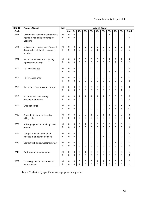| <b>ICD-10</b> | <b>Cause of Death</b>                                                                 | sex    | <b>Age in Years</b> |                            |                  |                       |                  |                     |                            |                          |                  |                  |                       |
|---------------|---------------------------------------------------------------------------------------|--------|---------------------|----------------------------|------------------|-----------------------|------------------|---------------------|----------------------------|--------------------------|------------------|------------------|-----------------------|
| Code          |                                                                                       |        | $0 - 4$             | $5-$                       | $15-$            | $25 -$                | $35 -$           | 45-                 | $55-$                      | $65-$                    | $75-$            | $85 -$           | <b>Total</b>          |
| <b>V68</b>    | Occupant of heavy transport vehicle<br>injured in non collision transport<br>accident | M<br>F | 0<br>0              | 0<br>0                     | 0<br>0           | 0<br>$\Omega$         | 0<br>$\Omega$    | 0<br>$\Omega$       | $\mathbf 0$<br>$\mathbf 0$ | $\mathbf{1}$<br>$\Omega$ | 0<br>0           | 0<br>0           | 1<br>0                |
| V80           | Animal-rider or occupant of animal<br>drawn vehicle injured in transport<br>accident  | M<br>F | 0<br>0              | 0<br>0                     | 0<br>0           | 0<br>$\Omega$         | 0<br>0           | 0<br>1              | 0<br>0                     | 0<br>$\Omega$            | 0<br>0           | 0<br>0           | 0<br>1                |
| W01           | Fall on same level from slipping,<br>tripping & stumbling                             | М<br>F | 0<br>0              | 0<br>0                     | 0<br>0           | 0<br>0                | 0<br>0           | 0<br>0              | 0<br>0                     | 1<br>0                   | 2<br>2           | 1<br>0           | 4<br>2                |
| <b>W06</b>    | Fall involving bed                                                                    | M<br>F | 0<br>0              | 0<br>$\mathbf 0$           | 0<br>$\Omega$    | 0<br>0                | 0<br>0           | 0<br>0              | 0<br>0                     | 0<br>1                   | $\mathbf 0$<br>1 | 0<br>0           | 0<br>2                |
| <b>W07</b>    | Fall involving chair                                                                  | M<br>F | 0<br>0              | 0<br>0                     | 0<br>0           | 0<br>0                | 0<br>0           | 0<br>0              | 0<br>0                     | 0<br>$\Omega$            | 0<br>0           | 1<br>0           | 1<br>0                |
| W10           | Fall on and from stairs and steps                                                     | М<br>F | 0<br>0              | 0<br>0                     | 0<br>0           | 0<br>0                | 0<br>$\mathbf 0$ | 0<br>0              | 0<br>0                     | 0<br>$\Omega$            | $\pmb{0}$<br>0   | 0<br>1           | 0<br>1                |
| W13           | Fall from, out of or through<br>building or structure                                 | М<br>F | 0<br>0              | 0<br>0                     | 1<br>0           | 1<br>$\Omega$         | 1<br>$\Omega$    | 1<br>$\Omega$       | 1<br>0                     | 0<br>$\Omega$            | 0<br>0           | 0<br>0           | 5<br>0                |
| W19           | Unspecified fall                                                                      | М<br>F | 0<br>0              | 0<br>0                     | 0<br>0           | 0<br>0                | 0<br>0           | 0<br>0              | 0<br>0                     | 1<br>3                   | 2<br>5           | 3<br>5           | 6<br>13               |
| W20           | Struck by thrown, projected or<br>falling object                                      | м<br>F | 0<br>0              | 0<br>$\mathbf 0$           | 0<br>$\Omega$    | 0<br>0                | 1<br>0           | 0<br>0              | 1<br>0                     | 1<br>0                   | 0<br>$\Omega$    | 0<br>0           | 3<br>0                |
| W22           | Striking against or struck by other<br>objects                                        | M<br>F | 0<br>0              | 0<br>0                     | 0<br>0           | 1<br>0                | 0<br>$\mathbf 0$ | 0<br>0              | 0<br>0                     | 0<br>0                   | 0<br>0           | 0<br>0           | 1<br>0                |
| W23           | Caught, crushed, jammed or<br>pinched in or between objects                           | М<br>F | 0<br>0              | 0<br>0                     | 0<br>0           | 0<br>0                | 0<br>0           | 0<br>0              | 0<br>1                     | 0<br>0                   | 0<br>0           | 0<br>0           | 0<br>1                |
| W30           | Contact with agricultural machinary                                                   | M<br>F | 0<br>$\mathbf 0$    | $\mathsf 0$<br>$\mathbf 0$ | 0<br>$\mathbf 0$ | $\pmb{0}$<br>$\Omega$ | $\pmb{0}$<br>0   | 0<br>$\overline{0}$ | $\pmb{0}$<br>$\mathbf 0$   | $\pmb{0}$<br>$\mathbf 0$ | 1<br>$\mathbf 0$ | 0<br>$\mathbf 0$ | 1<br>0                |
| W40           | Explosion of other materials                                                          | М<br>F | 0<br>0              | 0<br>$\mathbf 0$           | 0<br>$\mathbf 0$ | 1<br>$\mathbf 0$      | 0<br>$\pmb{0}$   | 0<br>0              | 0<br>$\mathbf 0$           | 0<br>$\mathbf 0$         | 0<br>$\Omega$    | 0<br>$\mathbf 0$ | 1<br>0                |
| W69           | Drowning and submersion while<br>natural water                                        | M<br>F | 0<br>0              | 0<br>$\pmb{0}$             | 0<br>1           | 0<br>0                | 0<br>$\mathsf 0$ | 1<br>$\mathsf 0$    | 1<br>$\mathsf 0$           | 0<br>$\mathbf 0$         | 0<br>$\mathsf 0$ | 0<br>0           | $\boldsymbol{2}$<br>1 |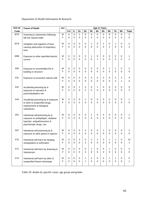## Department of Health Information & Research

| <b>ICD-10</b> | <b>Cause of Death</b>                                                                                                              | sex    | <b>Age in Years</b>     |                            |                                |                         |                         |                          |                        |                         |                         |                                |                     |
|---------------|------------------------------------------------------------------------------------------------------------------------------------|--------|-------------------------|----------------------------|--------------------------------|-------------------------|-------------------------|--------------------------|------------------------|-------------------------|-------------------------|--------------------------------|---------------------|
| Code          |                                                                                                                                    |        | $0 - 4$                 | $5-$                       | $15 -$                         | $25 -$                  | $35 -$                  | 45-                      | $55 -$                 | $65-$                   | $75-$                   | $85-$                          | <b>Total</b>        |
| <b>W70</b>    | Drowning & submersion following<br>fall into natural water                                                                         | M<br>F | $\mathbf 0$<br>$\Omega$ | $\mathbf 0$<br>$\Omega$    | $\overline{c}$<br>$\mathbf{0}$ | $\mathbf 0$<br>$\Omega$ | $\mathbf 0$<br>$\Omega$ | $\mathbf 0$<br>$\Omega$  | 0<br>0                 | $\mathbf 0$<br>$\Omega$ | $\mathbf 0$<br>$\Omega$ | $\mathbf 0$<br>0               | 2<br>0              |
| W79           | Inhalation and ingestion of food<br>causing obstruction of respiratory<br>tract                                                    | М<br>F | 0<br>$\Omega$           | $\pmb{0}$<br>$\Omega$      | 0<br>$\Omega$                  | 0<br>$\Omega$           | 1<br>0                  | 0<br>$\Omega$            | 1<br>$\Omega$          | 0<br>$\overline{2}$     | 1<br>$\Omega$           | 0<br>$\Omega$                  | 3<br>$\overline{2}$ |
| <b>W86</b>    | Exposure to other specified electric<br>current                                                                                    | M<br>F | 0<br>$\Omega$           | $\mathbf 0$<br>$\Omega$    | 0<br>$\Omega$                  | 0<br>$\Omega$           | 1<br>$\Omega$           | 0<br>1                   | 0<br>0                 | 0<br>0                  | 0<br>$\Omega$           | 0<br>0                         |                     |
| X00           | Exposure to uncontrolled fire in<br>building or structure                                                                          | M<br>F | 0<br>$\Omega$           | 0<br>$\Omega$              | 0<br>$\Omega$                  | 0<br>$\Omega$           | 0<br>0                  | 0<br>$\Omega$            | 0<br>0                 | 1<br>0                  | 1<br>$\Omega$           | 0<br>0                         | 2<br>0              |
| X31           | Exposure to excessive natural cold                                                                                                 | M<br>F | 0<br>$\Omega$           | $\mathbf 0$<br>$\Omega$    | 0<br>$\Omega$                  | 0<br>$\Omega$           | 0<br>0                  | 0<br>$\Omega$            | 0<br>0                 | 0<br>0                  | $\overline{c}$<br>3     | $\overline{c}$<br>$\mathbf{1}$ | 4<br>4              |
| X42           | Accidental poisoning by &<br>exposure to narcotics &<br>psychodysleptics nec                                                       | М<br>F | 0<br>$\Omega$           | $\mathbf 0$<br>$\Omega$    | 1<br>$\Omega$                  | 3<br>$\mathfrak{p}$     | 0<br>$\Omega$           | $\mathbf{1}$<br>$\Omega$ | 0<br>0                 | 0<br>$\Omega$           | $\mathbf 0$<br>$\Omega$ | 0<br>$\Omega$                  | 5<br>2              |
| X44           | Accidental poisoning by & exposure<br>to other & unspecified drugs,<br>medicaments & biological<br>substances                      | М<br>F | 0<br>$\Omega$           | 0<br>$\Omega$              | 0<br>$\Omega$                  | 1<br>$\mathbf 0$        | 0<br>0                  | 0<br>$\Omega$            | 0<br>$\Omega$          | 0<br>0                  | 0<br>$\Omega$           | 0<br>0                         | 0                   |
| X61           | Intentional self-poisoning by &<br>exposure to antiepileptic, sedative-<br>hypnotic, antiparkinsonism &<br>psychotropic drugs, nec | M<br>F | 0<br>$\Omega$           | 0<br>$\Omega$              | 0<br>$\Omega$                  | 0<br>$\mathbf 0$        | 1<br>0                  | 0<br>$\Omega$            | 0<br>0                 | 0<br>0                  | 0<br>$\Omega$           | 0<br>0                         | 0                   |
| X67           | Intentional self-poisoning by &<br>exposure to other gases & vapours                                                               | М<br>F | 0<br>0                  | $\pmb{0}$<br>0             | 0<br>$\Omega$                  | 2<br>$\Omega$           | 0<br>0                  | 0<br>$\Omega$            | 1<br>0                 | 0<br>0                  | 0<br>0                  | 0<br>0                         | 3<br>0              |
| X70           | Intentional self-harm by hanging,<br>strangulation & suffocation                                                                   | M<br>F | 0<br>$\Omega$           | $\pmb{0}$<br>$\mathbf 0$   | 3<br>$\Omega$                  | 4<br>1                  | 2<br>$\Omega$           | 1<br>0                   | 3<br>0                 | 1<br>$\Omega$           | 1<br>0                  | 0<br>0                         | 15<br>1.            |
| X71           | Intentional self-harm by drowning &<br>Submersion                                                                                  | М<br>F | 0<br>$\Omega$           | $\mathbf 0$<br>$\mathbf 0$ | 0<br>$\Omega$                  | 0<br>$\mathbf 0$        | 1<br>0                  | $\pmb{0}$<br>$\mathbf 0$ | 0<br>$\mathbf 0$       | 1<br>0                  | 0<br>$\Omega$           | 0<br>$\mathbf 0$               | 2<br>$\mathbf 0$    |
| X74           | Intentional self-harm by other &<br>unspecified firearm discharge                                                                  | М<br>F | 0<br>0                  | $\mathbf 0$<br>$\pmb{0}$   | 0<br>$\mathbf 0$               | 1<br>1                  | 2<br>0                  | $\pmb{0}$<br>0           | $\pmb{0}$<br>$\pmb{0}$ | 1<br>0                  | 1<br>$\pmb{0}$          | 0<br>0                         | 5<br>1              |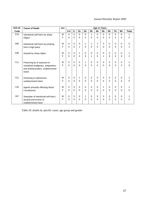| <b>ICD-10</b> | <b>Cause of Death</b>                                                            | sex |          |             |          |          |             | <b>Age in Years</b> |          |          |          |          |                |
|---------------|----------------------------------------------------------------------------------|-----|----------|-------------|----------|----------|-------------|---------------------|----------|----------|----------|----------|----------------|
| Code          |                                                                                  |     | $0 - 4$  | 5-          | $15 -$   | $25 -$   | $35 -$      | 45-                 | $55-$    | $65-$    | $75-$    | $85-$    | <b>Total</b>   |
| X78           | Intentional self-harm by sharp                                                   | M   | $\Omega$ | $\Omega$    | $\Omega$ | 0        | 1           | $\Omega$            | 0        | $\Omega$ | $\Omega$ | $\Omega$ | 1              |
|               | Object                                                                           | F   | $\Omega$ | $\Omega$    | $\Omega$ | $\Omega$ | 0           | $\Omega$            | 0        | $\Omega$ | $\Omega$ | $\Omega$ | $\Omega$       |
| X80           | Intentional self-harm by jumping                                                 | М   | 0        | $\mathbf 0$ | $\Omega$ | 1        | 1           | 1                   | 2        | $\Omega$ | 0        | 0        | 5              |
|               | from a high place                                                                | F   | 0        | $\mathbf 0$ | 1        | 0        | 0           | $\mathbf 0$         | $\Omega$ | $\Omega$ | $\Omega$ | $\Omega$ |                |
| X99           | Assault by sharp object                                                          | м   | 0        | $\mathbf 0$ | 1        | $\Omega$ | $\Omega$    | 0                   | 0        | $\Omega$ | $\Omega$ | 0        | 1              |
|               |                                                                                  | F   | 0        | $\Omega$    | $\Omega$ | 0        | 1           | $\Omega$            | 1        | $\Omega$ | $\Omega$ | 0        | $\overline{2}$ |
| Y11           | Poisoning by & exposure to                                                       | M   | 0        | $\mathbf 0$ | 0        | 1        | 0           | $\mathbf 0$         | 0        | 0        | 0        | 0        |                |
|               | nonopioid analgesics, antipyretics<br>and antirheumatics, undetermined<br>Intent | F   | 0        | $\Omega$    | $\Omega$ | 0        | 0           | $\Omega$            | 0        | $\Omega$ | $\Omega$ | 0        | 0              |
| Y21           | Drowning & submersion,                                                           | М   | $\Omega$ | $\mathbf 0$ | 1        | 0        | $\mathbf 0$ | $\mathbf 0$         | 0        | 0        | 0        | $\Omega$ |                |
|               | undetermined intent                                                              | F   | $\Omega$ | $\Omega$    | $\Omega$ | $\Omega$ | 0           | $\Omega$            | 0        | $\Omega$ | $\Omega$ | $\Omega$ | $\Omega$       |
| Y44           | Agents primarily effecting blood                                                 | м   | 0        | $\Omega$    | $\Omega$ | $\Omega$ | $\Omega$    | $\mathbf 0$         | 1        | $\Omega$ | $\Omega$ | 0        |                |
|               | Constituents                                                                     | F   | $\Omega$ | $\Omega$    | $\Omega$ | $\Omega$ | 0           | $\Omega$            | 0        | $\Omega$ | $\Omega$ | 0        | $\Omega$       |
| Y87           | Sequelae of intentional self-harm,                                               | м   | 0        | $\mathbf 0$ | $\Omega$ | 1        | $\Omega$    | $\mathbf 0$         | 0        | $\Omega$ | $\Omega$ | 0        |                |
|               | assault and events of<br>undetermined intent                                     | F   | $\Omega$ | $\Omega$    | $\Omega$ | $\Omega$ | 0           | $\Omega$            | $\Omega$ | $\Omega$ | $\Omega$ | $\Omega$ | $\Omega$       |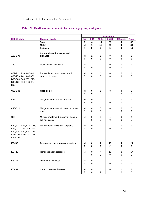|                         |                                                       | age groups |           |        |                  |                     |                  |
|-------------------------|-------------------------------------------------------|------------|-----------|--------|------------------|---------------------|------------------|
| ICD-10 code             | <b>Cause of death</b>                                 | <b>sex</b> | $0 - 44$  | 45-64  | 65-84            | <b>85&amp; over</b> | <b>Total</b>     |
|                         | <b>Total</b>                                          | T          | 4         | 19     | 25               | 4                   | 52               |
|                         | <b>Males</b>                                          | М          | 1         | 11     | 20               | 4                   | 36               |
|                         | <b>Females</b>                                        | F          | 3         | 8      | 5                | 0                   | 16               |
|                         | Ceratain infectious & parastic                        |            |           |        |                  |                     |                  |
| A00-B99                 | diseases                                              | M          | 1         | 1      | 0                | 0                   | 2                |
|                         |                                                       | F          | 0         | 0      | $\bf{0}$         | 0                   | 0                |
|                         |                                                       |            |           |        |                  |                     |                  |
| A39                     | Meningococcal infection                               | М          | 1         | 0      | 0                | 0                   | 1                |
|                         |                                                       | F          | 0         | 0      | $\mathbf 0$      | 0                   | 0                |
|                         |                                                       |            |           |        |                  |                     |                  |
| A21-A32, A38, A42-A49,  | Remainder of certain infectious &                     | M          | 0         | 1      | 0                | 0                   | 1                |
| A65-A79, A81, A83-A89,  | parasitic diseases                                    | F          | 0         | 0      | $\mathbf 0$      | 0                   | 0                |
| B00-B04, B06-B09, B25-  |                                                       |            |           |        |                  |                     |                  |
| B49, B58-B64, B66-B94,  |                                                       |            |           |        |                  |                     |                  |
| <b>B99</b>              |                                                       |            |           |        |                  |                     |                  |
| C00-D48                 | <b>Neoplasms</b>                                      | M          | 0         | 0      | 3                | 0                   | 3                |
|                         |                                                       | F          | 0         | 0      | 1                | 0                   | 1                |
|                         |                                                       |            |           |        |                  |                     |                  |
| C <sub>16</sub>         | Malignant neoplasm of stomach                         | М          | 0         | 0      | 1                | 0                   | 1                |
|                         |                                                       | F          | 0         | 0      | $\mathbf 0$      | 0                   | 0                |
|                         |                                                       |            |           |        |                  |                     |                  |
| C18-C21                 | Malignant neoplasm of colon, rectum &                 | M          | 0         | 0      | 0                | 0                   | 0                |
|                         | Anus                                                  | F          | $\Omega$  | 0      | $\mathbf{1}$     | 0                   | 1                |
|                         |                                                       |            |           |        |                  |                     |                  |
| C90                     | Multiple myeloma & malignant plasma<br>cell neoplasms | M<br>F     | 0<br>0    | 0<br>0 | 1<br>$\mathbf 0$ | 0<br>0              | 1<br>0           |
|                         |                                                       |            |           |        |                  |                     |                  |
| C17, C23-C24, C26-C31,  | Remainder of malignant neoplsms                       | M          | $\pmb{0}$ | 0      | 1                | 0                   | 1                |
| C37, C41, C44-C49, C51- |                                                       | F          | $\Omega$  | 0      | $\Omega$         | 0                   | 0                |
| C52, C57-C60, C62-C66,  |                                                       |            |           |        |                  |                     |                  |
| C68-C69, C73-C81, C88,  |                                                       |            |           |        |                  |                     |                  |
| C96-C97                 |                                                       |            |           |        |                  |                     |                  |
|                         |                                                       |            |           |        |                  |                     |                  |
| 100-199                 | Diseases of the circulatory system                    | M          | 0         | 7      | 13               | 4                   | 24               |
|                         |                                                       | F          | 0         | 6      | $\overline{2}$   | 0                   | 8                |
| I20-I25                 | Ischaemic heart diseases                              |            | 0         |        | 10               |                     | 17               |
|                         |                                                       | M<br>F     | 0         | 4<br>2 | $\pmb{0}$        | 3<br>0              | $\boldsymbol{2}$ |
|                         |                                                       |            |           |        |                  |                     |                  |
| I26-I51                 | Other heart diseases                                  | М          | 0         | 1      | 1                | 0                   | $\boldsymbol{2}$ |
|                         |                                                       | F          | 0         | 1      | 0                | 0                   | 1                |
|                         |                                                       |            |           |        |                  |                     |                  |
| 160-169                 | Cerebrovascular diseases                              | M          | 0         | 1      | 0                | 1                   | $\sqrt{2}$       |
|                         |                                                       | F          | $\pmb{0}$ | 2      | 1                | 0                   | 3                |

## **Table 21: Deaths in non-residents by cause, age group and gender**